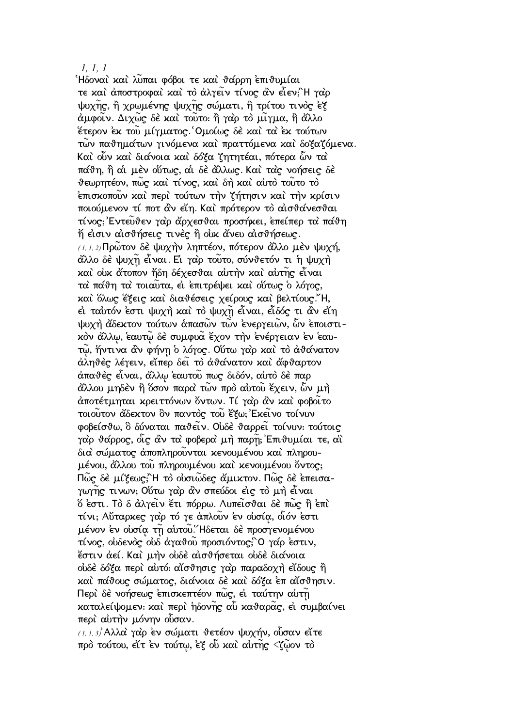## $1.1.1$

Ήδοναι και λύπαι φόβοι τε και θάρρη επιθυμίαι τε και άποστροφαι και το άλγειν τίνος άν είεν; Η γαρ ψυχης, ή χρωμένης ψυχης σώματι, ή τρίτου τινός έξ άμφοιν. Διχώς δέ και τουτο: ή γαρ το μιγμα, ή άλλο έτερον εκ του μίγματος. Ομοίως δε και τα εκ τούτων των παθημάτων γινόμενα και πραττόμενα και δοξαζόμενα. Καὶ οἶν καὶ διάνοια καὶ δό τα ζητητέαι, πότερα ὧν τα πάθη, ή αι μέν ούτως, αι δέ άλλως. Και τας νοήσεις δέ θεωρητέον, πώς και τίνος, και δη και αυτό τουτο το έπισκοπούν και περι τούτων την ζήτησιν και την κρίσιν ποιούμενον τί ποτ άν είη. Και πρότερον το αισθανεσθαι τίνος; Εντεύθεν γαρ άρχεσθαι προσήκει, επείπερ τα πάθη ή είσιν αισθήσεις τινές ή ούκ άνευ αισθήσεως. (1, 1, 2) Πρώτον δε ψυχήν ληπτέον, πότερον άλλο μεν ψυχή, άλλο δε ψυχη είναι. Ει γαρ τούτο, σύνθετόν τι η ψυχη και ούκ άτοπον ήδη δέχεσθαι αύτην και αύτης είναι τα πάθη τα τοιαύτα, εί επιτρέψει και ούτως ο λόγος, και δλως έξεις και διαθέσεις χείρους και βελτίους. Ή, ει ταυτόν έστι ψυχή και το ψυχη είναι, είδός τι άν είη ψυχή άδεκτον τούτων άπασών των ενεργειών, ὧν εποιστικον άλλω, εαυτώ δε συμφυα έχον την ενέργειαν εν εαυτῷ, ἥντινα ἀν φήνη ὁ λόγος. Ούτω γαρ και το άθανατον άληθές λέγειν, είπερ δει το άθανατον και άφθαρτον άπαθές είναι, άλλω εαυτου πως διδόν, αυτό δέ παρ άλλου μηδεν ή όσον παρα των προ αυτου έχειν, ὧν μη άποτέτμηται κρειττόνων όντων. Τί γαρ άν και φοβοίτο τοιούτον άδεκτον όν παντός του έξω; Εκείνο τοίνυν φοβείσθω, δ δύναται παθείν. Ουδε θαρρεί τοίνυν: τούτοις γαρ θαρρος, δίς άν τα φοβερα μή παρή; Επιθυμίαι τε, αί δια σώματος άποπληρούνται κενουμένου και πληρουμένου, άλλου του πληρουμένου και κενουμένου όντος; Πώς δε μίζεως; Η το ουσιώδες άμικτον. Πως δε επεισαγωγής τινων; Ούτω γαρ άν σπεύδοι είς το μή είναι δ έστι. Το δ άλγειν έτι πόρρω. Λυπεισθαι δε πως ή επι τίνι; Αύταρκες γαρ τό γε άπλουν εν ουσία, οιόν εστι μένον εν ουσία τη αυτου. Ήδεται δε προσγενομένου τίνος, ουδενός ουδ άγαθου προσιόντος; Ο γαρ έστιν, έστιν άεί. Και μην ουδε αισθήσεται ουδε διάνοια ουδέ δόξα περί αυτό: αίσθησις γαρ παραδοχή είδους ή και πάθους σώματος, διάνοια δε και δόξα έπ αίσθησιν. Περι δε νοήσεως επισκεπτέον πως, ει ταύτην αυτή καταλείψομεν: και περι ηδονης αύ καθαράς, ει συμβαίνει περί αυτήν μόνην ούσαν.

(1, 1, 3) Αλλα γαρ εν σώματι θετέον ψυχήν, ούσαν είτε πρὸ τούτου, εἴτ ἐν τούτῳ, ἐξ οὗ καὶ αὐτῆς <ζῷον τὸ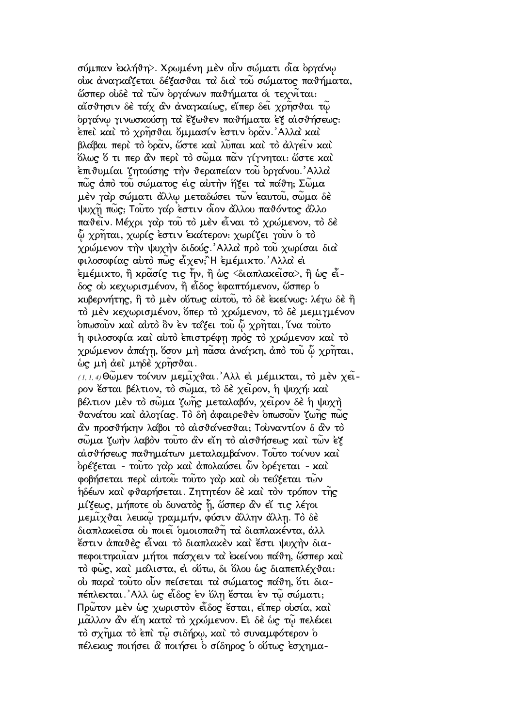σύμπαν εκλήθη>. Χρωμένη μεν ούν σώματι οια οργάνω ούκ άναγκάζεται δέξασθαι τα δια του σώματος παθήματα, ώσπερ ουδέ τα των οργανων παθήματα οι τεχνιται: αίσθησιν δε τάχ αν αναγκαίως, είπερ δει χρησθαι τω όργανω γινωσκούση τα έξωθεν παθήματα έξ αισθήσεως: έπει και το χρησθαι όμμασίν εστιν δραν. Αλλα και βλαβαι περί το δράν, ώστε και λύπαι και το άλγειν και δλως δ τι περ άν περί το σώμα παν γίγνηται: ώστε και επιθυμίαι ζητούσης την θεραπείαν του οργανου. Αλλα πώς άπό του σώματος είς αύτην ήξει τα πάθη; Σώμα μεν γαρ σώματι άλλω μεταδώσει των εαυτου, σωμα δε ψυχη πώς; Τούτο γαρ εστιν οίον άλλου παθόντος άλλο παθείν. Μέχρι γαρ του το μεν είναι το χρώμενον, το δε ώ χρήται, χωρίς εστιν εκατερον: χωρίζει γουν ο το χρώμενον την ψυχήν διδούς. Αλλα πρό του χωρίσαι δια φιλοσοφίας αύτο πώς είχεν; Η εμέμικτο. Αλλα ει 'εμέμικτο, ἢ κρασίς τις ἦν, ἢ ὡς <διαπλακεισα>, ἢ ὡς εἶδος ου κεχωρισμένον, ή είδος εφαπτόμενον, ώσπερ δ κυβερνήτης, ή τὸ μèν ούτως αὐτου, τὸ δè ἐκείνως: λέγω δè ή τὸ μὲν κεχωρισμένον, ὅπερ τὸ χρώμενον, τὸ δὲ μεμιγμένον **δπωσούν και αύτο όν εν ταξει του ω χρηται**, ίνα τουτο η φιλοσοφία και αύτο επιστρέφη προς το χρώμενον και το χρώμενον άπάγη, όσον μη πάσα άνάγκη, άπό του ω χρήται, ώς μη άει μηδέ χρησθαι.

 $(1, 1, 4)$ Θώμεν τοίνυν μεμίχθαι. Αλλ ει μέμικται, το μεν χείρον έσται βέλτιον, τὸ σὦμα, τὸ δὲ χεἶρον, ἡ ψυχή: καὶ βέλτιον μεν το σώμα ζωής μεταλαβόν, χείρον δε η ψυχη θανάτου και άλογίας. Το δη άφαιρεθεν οπωσουν ζωής πως άν προσθήκην λαβοι το αισθανεσθαι; Τουναντίον δ άν το σώμα ζωήν λαβόν τούτο άν είη το αισθήσεως και των έξ αισθήσεως παθηματων μεταλαμβανον. Τουτο τοίνυν και όρέξεται - τουτο γαρ και άπολαύσει ὧν ορέγεται - και φοβήσεται περί αυτού: τούτο γαρ και ου τεύξεται των ηδέων και φθαρήσεται. Ζητητέον δε και τον τρόπον της μίζεως, μήποτε ου δυνατός ή, ώσπερ άν εί τις λέγοι μεμίχθαι λευκώ γραμμήν, φύσιν άλλην άλλη. Το δε διαπλακείσα ου ποιεί δμοιοπαθη τα διαπλακέντα, άλλ έστιν άπαθές είναι το διαπλακέν και έστι ψυχην διαπεφοιτηκυιαν μήτοι πάσχειν τα εκείνου πάθη, ώσπερ και τὸ φως, καὶ μάλιστα, ἐι οὕτω, δι ὅλου ὡς διαπεπλέχθαι: ού παρα τουτο ούν πείσεται τα σώματος πάθη, ότι διαπέπλεκται. Αλλ ώς εἶδος εν ύλη έσται εν τῷ σώματι; Πρωτον μεν ώς χωριστον είδος έσται, είπερ ουσία, και μαλλον άν είη κατα το χρώμενον. Ει δε ως τω πελέκει το σχήμα το έπι τω σιδήρω, και το συναμφότερον ο πέλεκυς ποιήσει α ποιήσει ο σίδηρος ο ούτως εσχημα-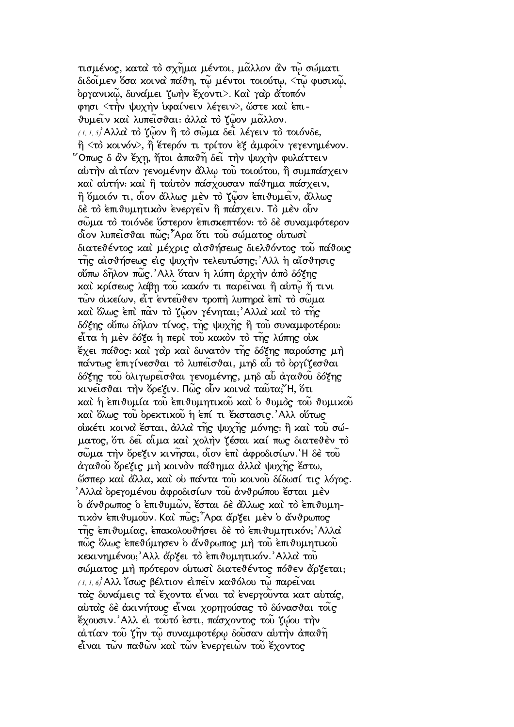τισμένος, κατα το σχημα μέντοι, μαλλον άν τω σώματι διδοίμεν όσα κοινα πάθη, τω μέντοι τοιούτω, <τω φυσικώ, όργανικώ, δυνάμει ζωήν έχοντι>. Και γαρ άτοπόν φησι <την ψυχην υφαίνειν λέγειν>, ὥστε καὶ 'επιθυμείν και λυπείσθαι: άλλα το ζώον μάλλον. (1, 1, 5) Αλλα το ζώον ή το σώμα δεί λέγειν το τοιόνδε, ή <το κοινόν>, ή έτερόν τι τρίτον εξ άμφοιν γεγενημένον. **Όπως** δ ἀν ἔχη, ἤτοι ἀπαθη δει την ψυχην φυλαττειν αύτην αιτίαν γενομένην άλλω του τοιούτου, ή συμπάσχειν και αυτήν: και ή ταυτον πάσχουσαν πάθημα πάσχειν, ή δμοιόν τι, δίον άλλως μεν το ζώον επιθυμείν, άλλως δε το επιθυμητικον ενεργείν ή πασχειν. Το μεν ούν σώμα τὸ τοιόνδε ὕστερον ἐπισκεπτέον: τὸ δὲ συναμφότερον δίον λυπείσθαι πώς; Άρα ότι του σώματος ούτωσι διατεθέντος και μέχρις αισθήσεως διελθόντος του πάθους της αισθήσεως είς ψυχην τελευτώσης; Αλλ η αίσθησις ούπω δήλον πως. Αλλ όταν η λύπη άρχην άπο δόξης και κρίσεως λάβη του κακόν τι παρείναι ή αυτώ ή τινι των οικείων, είτ εντεύθεν τροπή λυπηρα επι το σώμα και δλως επι παν το ζώον γένηται; Αλλα και το της δόξης ούπω δηλον τίνος, της ψυχης ή του συναμφοτέρου: εἶτα ἡ μεν δόξα ἡ περὶ τοῦ κακὸν τὸ τῆς λύπης οὐκ έχει πάθος: καὶ γαρ καὶ δυνατὸν της δόξης παρούσης μὴ πάντως επιγίνεσθαι το λυπεισθαι, μηδ αύ το οργίζεσθαι δόξης του ολιγωρείσθαι γενομένης, μηδ αύ άγαθου δόξης κινείσθαι την όρεξιν. Πώς ούν κοινα ταυτα; Η, ότι και η επιθυμία του επιθυμητικού και ο θυμός του θυμικού και δλως του ορεκτικού η επί τι έκστασις. Αλλ ούτως ούκέτι κοινα έσται, άλλα της ψυχης μόνης: ή και του σώματος, ότι δει αίμα και χολην ζέσαι καί πως διατεθεν το σώμα την ὄρεξιν κινήσαι, οίον επι άφροδισίων. Η δε του άγαθου όρεξις μή κοινον πάθημα άλλα ψυχης έστω, ώσπερ και άλλα, και ου πάντα του κοινου δίδωσί τις λόγος. 'Αλλα` ορεγομένου αφροδισίων του ανθρώπου ἔσται μεν δ άνθρωπος δ επιθυμών, έσται δε άλλως και το επιθυμητικόν επιθυμούν. Και πώς; Άρα άρξει μεν ο άνθρωπος της επιθυμίας, επακολουθήσει δε το επιθυμητικόν; Αλλα πώς δλως επεθύμησεν ο άνθρωπος μή του επιθυμητικού κεκινημένου; Αλλ άρξει το επιθυμητικόν. Αλλα του σώματος μή πρότερον ουτωσι διατεθέντος πόθεν άρξεται; (1, 1, 6) Αλλ Ίσως βέλτιον ειπείν καθόλου τω παρείναι τας δυνάμεις τα έχοντα είναι τα ενεργούντα κατ αύτάς, αύτας δε άκινήτους είναι χορηγούσας το δύνασθαι τοις έχουσιν. Αλλ ει τουτό εστι, πασχοντος του ζώου την αιτίαν του ζην τω συναμφοτέρω δουσαν αυτην απαθη είναι των παθών και των ενεργειών του έχοντος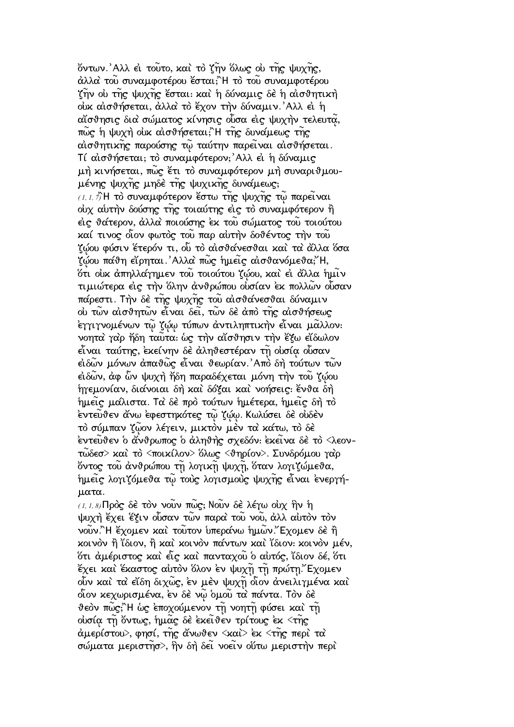U+/C\ B) 8(J + @( &'( ) %,R
#\$-, ζην ού της ψυχης έσται: και η δύναμις δε η αισθητικη οὐκ αἰσθήσεται, ἀλλα` τὸ ἔχον τὴν δύναμιν.'Αλλ εἰ ἡ αἴσθησις δια σώματος κίνησις οὗσα εἰς ψυχὴν τελευτα, πῶς ἡ ψυχὴ οὐκ αἰσθήσεται;`Η τῆς δυναμεως τῆς αισθητικής παρούσης τω ταύτην παρείναι αισθήσεται. Τί αισθήσεται: τὸ συναμφότερον: Ἀλλ εἰ ἡ δύναμις μή κινήσεται, πως έτι το συναμφότερον μή συναριθμουμένης ψυχής μηδε της ψυχικής δυναμεως;  $(1, 1, i)$ Η τὸ συναμφότερον ἔστω της ψυχης τῷ παρεῖναι ούχ αυτήν δούσης της τοιαύτης είς το συναμφότερον ή εις θατερον, αλλα` ποιούσης 'εκ τοῦ σώματος τοῦ τοιούτου καί τινος οίον φωτός του παρ αύτην δοθέντος την του ζώου φύσιν έτεοόν τι, οὗ τὸ αἰσθανεσθαι καὶ τὰ ἄλλα ὅσα 7ώου πάθη είρηται.'Αλλα` πὧς ἡμεῖς αισθανόμεθα:'Ή. δτι οὐκ ἀπηλλαγημεν τοῦ τοιούτου ζώου, καὶ ἐι ἄλλα ἡμῖν τιμιώτερα εις την όλην ανθρώπου οὐσίαν εκ πολλῶν οὖσαν πάρεστι. Την δε της ψυχης του αισθανεσθαι δύναμιν ού των αισθητών είναι δει, των δε άπο της αισθήσεως ,<br>εγγιγνομένων τῶ (ώω τύπων ἀντιληπτικὴν εἶναι μᾶλλον: νοητα` γα`ο ἤδη ταῦτα: ὡς τὴν αἴσθησιν τὴν ἔἕω ἐἴδωλον εἶναι ταύτης, ἐκείνην δὲ ἀληθεστέραν τῆ οὐσία οὖσαν ειδών μόνων άπαθώς είναι θεωρίαν. Από δη τούτων των ειδών, άφ ὧν ψυχη ήδη παραδέχεται μόνη την του ζώου ηγεμονίαν, διάνοιαι δη και δόξαι και νοήσεις: ένθα δη ከμεῖς μαλιστα. Τα δὲ ποὸ τούτων ከμέτεοα, ከμεῖς δὴ τὸ ,<br>εντεῦθεν ἄνω ἐφεστηκότες τῶ ζώω. Κωλύσει δὲ οὐδὲν τὸ σύμπαν "ζων λέγειν, μικτὸν μὲν τα κατω, τὸ δὲ ' εντεῦθεν ὁ ἀνθρωπος ὁ ἀληθής σχεδόν: 'εκεῖνα δὲ τὸ <λεοντῶδεσ> καὶ τὸ <ποικίλον> ὅλως <θηρίον>. Συνδρόμου γαὸ ὄντος τοῦ ἀνθρώπου τῇ λογικῇ ψυχῇ, ὅταν λογιζώμεθα, ημεῖς λογιζόμεθα τῷ τοὺς λογισμοὺς ψυχῆς εἶναι ἐνεργή $ματα.$ 

 $(1, 1, 8)$ Πρὸς δὲ τὸν νοῦν πὦς; Νοῦν δὲ λέγω οὐχ την τη &'?R'
5.
:1%) @ νοὖν."Η ἔχομεν καὶ τοὗτον ὑπεράνω ἡμὦν."Εχομεν δὲ ἢ κοινόν ή ίδιον, ή και κοινόν πάντων και ίδιον: κοινόν μέν, ότι αμέριστος και είς και πανταχου ο αυτός, ίδιον δέ, ότι ἔχει καὶ ἕκαστος αὐτὸν ὅλον ἐν ψυχῇ τῇ πρώτῃ. Ἐχομεν οὖν καὶ τα ἐίδη διχῶς, ἐν μὲν ψυχῇ οἶον ἀνειλιγμένα καὶ οίον κεχωρισμένα, έν δε νώ δμού τα πάντα. Τον δε θεὸν πὦς;`Η ὡς ἐποχούμενον τῇ νοητῇ φύσει καὶ τῇ ούσία τη όντως, ημάς δε εκείθεν τρίτους εκ <της άμερίστου>, φησί, της άνωθεν <και> εκ <της περι τα σώματα μεριστήσ>, ην δη δεί νοείν ούτω μεριστην περι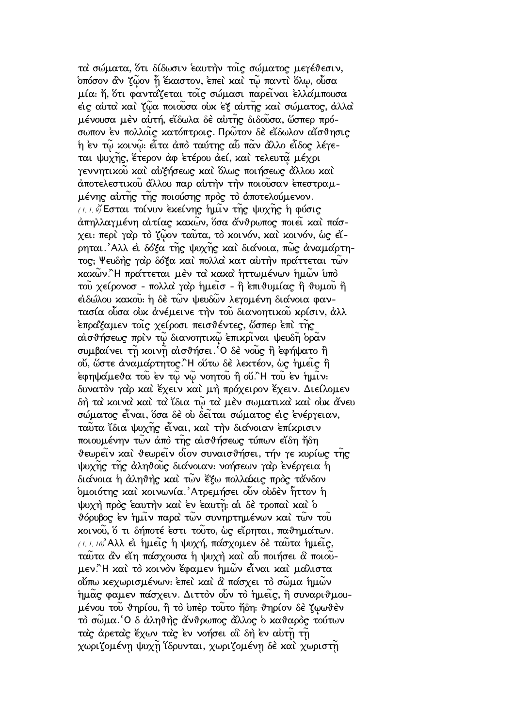τα σώματα, ότι δίδωσιν εαυτήν τοις σώματος μεγέθεσιν, δπόσον ἀν ζὧον ἦ ἕκαστον, ἐπεὶ καὶ τὧ παντὶ ὅλω, οὖσα μία: ή, ότι φαντάζεται τοις σώμασι παρειναι ελλάμπουσα είς αύτα και ζώα ποιούσα ουκ εε αυτης και σώματος, άλλα μένουσα μεν αύτή, είδωλα δε αυτης διδούσα, ώσπεο ποόσωπον ἐν πολλοῖς κατόπτοοις. Ποῶτον δὲ ἐἴδωλον αἴσθησις ከ ἐν τῶ κοινῶ: ἐἶτα ἀπὸ ταύτης αὖ πᾶν ἄλλο ἐἶδος λέγεται ψυχῆς, έτερον ἀφ ετέρου ἀεί, καὶ τελευτῷ μέχρι γεννητικοῦ καὶ αὐ ήσεως καὶ ὅλως ποιήσεως ἀλλου καὶ άποτελεστικοῦ ἄλλου παο αὐτὴν τὴν ποιοῦσαν ἐπεστοαμμένης αυτής της ποιούσης ποδς το άποτελούμενον. (1, 1, 3) Εσται τοίνυν 'εκείνης ημίν της ψυχης η φύσις άπηλλαγμένη αιτίας κακῶν, ὅσα ἄνθοωπος ποιεῖ καὶ πάσχει: περι γαρ το ζώον ταυτα, το κοινόν, και κοινόν, ως είρηται.'Αλλ ει δόξα τῆς ψυχῆς καὶ διανοια, πὦς ἀναμαρτητος: Ψευδής γαρ δό α και πολλα κατ αυτήν ποάττεται τῶν κακῶν.``Η ποάττεται μèν τα` κακα` ἡττωμένων ἡμῶν ὑπὸ τοῦ χείρονοσ - πολλα γαρ ἡμεῖσ - ἢ ἐπιθυμίας ἢ θυμοῦ ἢ ειδώλου κακοῦ: ἡ δὲ τῶν ψευδῶν λεγομένη διανοια φαντασία οὖσα οὐκ ἀνέμεινε τὴν τοῦ διανοητικοῦ κοίσιν, ἀλλ επράζαμεν τοις χείροσι πεισθέντες, ώσπερ επι της αισθήσεως πριν τω διανοητικώ επικριναι ψευδη δραν συμβαίνει τη κοινη αισθήσει. Ο δε νους ή εφήψατο ή οὔ, ὥστε ἀναμαστητος."Η οὕτω δὲ λεκτέον, ὡς ከμεῖς ἢ  $\hat{\epsilon}$ combάμε $\vartheta$ α τοῦ ἐν τῶ νῶ νοητοῦ ἢ οὔ."Η τοῦ ἐν ἡμῖν: δυνατὸν γαρ καὶ ἔχειν καὶ μὴ πρόχειρον ἔχειν. Διείλομεν δη τα κοινα και τα ίδια τω τα μέν σωματικα και ούκ άνευ σώματος είναι, όσα δε ου δείται σώματος εις ενέργειαν, ταύτα ίδια ψυχης είναι, και την διανοιαν επίκρισιν ποιουμένην των άπο της αισθήσεως τύπων είδη ήδη θεωρείν και θεωρείν οίον συναισθήσει, τήν γε κυρίως της ψυχῆς τῆς ἀληθοῦς διάνοιαν: νοήσεων γαρ ἐνέργεια ἡ διανοια ή αληθης και τῶν ἔτω πολλακις ποὸς τάνδον δμοιότης και κοινωνία. Ατρεμήσει ούν ουδεν ήττον η ψυχή πρός εαυτήν και εν εαυτή: αι δε τροπαι και δ θόρυβος εν ημίν παρα των συνηρτημένων και των του κοινου, δ τι δήποτέ έστι τουτο, ως είρηται, παθημάτων.  $(1,1,10)$  Αλλ ει ημείς η ψυχή, πασχομεν δε ταυτα ημείς, ταῦτα ἀν ἐίη πάσχουσα ἡ ψυχὴ καὶ αὖ ποιήσει ὰ ποιοῦμεν."Η καὶ τὸ κοινὸν ἔφαμεν ἡμὦν εἶναι καὶ μαλιστα ούπω κεχωρισμένων: επει και α πάσχει το σώμα ημών ημάς φαμεν πάσχειν. Διττόν οὖν τὸ ημείς, ή συναριθμουμένου του θηρίου, ή το υπερ τουτο ήδη: θηρίον δε ζωωθεν τὸ σῶμα. Ὁ δ ἀληθὴς ἄνθοωπος ἄλλος ὁ καθαοὸς τούτων τας άρετας έχων τας εν νοήσει αι δη εν αυτή τη χωρι ζομένη ψυχη ίδρυνται, χωρι ζομένη δε και χωριστη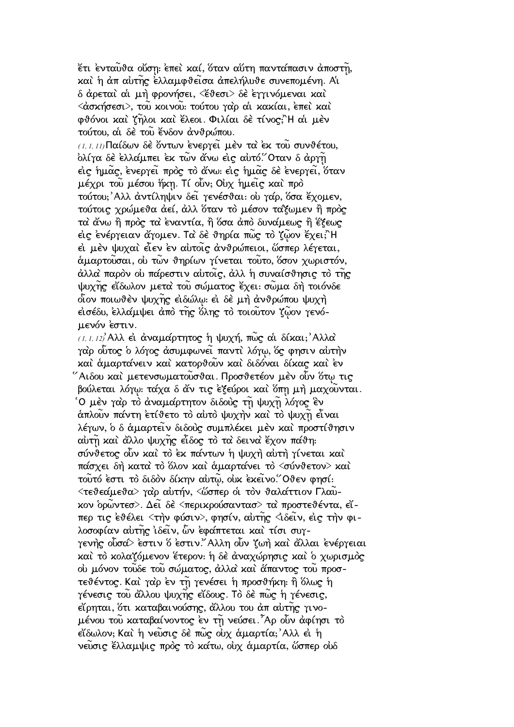έτι ενταυθα ούση: επει καί, όταν αύτη παντάπασιν άποστη, καὶ ἡ ἀπ αὐτῆς ἐλλαμφθεῖσα ἀπελήλυθε συνεπομένη. Αί δ άρεται αι μη φρονήσει, < έθεσι > δε εγγινόμεναι και <άσκήσεσι>, του κοινου: τούτου γαρ αι κακίαι, επει και φθόνοι καὶ Ύλλοι καὶ ἔλεοι. Φιλίαι δὲ τίνος:`Η αἱ μèν τούτου, αι δε του ένδον ανθρώπου.

 $(1, 1, 11)$ Παίδων δε όντων ενεργει μεν τα εκ του συνθέτου, ολίγα δὲ ἐλλαμπει ἐκ τῶν ἀνω εἰς αὐτό. <del>Ότ</del>αν δ ἀογῆ εις ημάς, ενεργεί πρός το άνω: εις ημάς δε ενεργεί, όταν μέχρι του μέσου ήκη. Τί ούν; Ουχ ημείς και προ τούτου; Αλλ αντίληψιν δεῖ γενέσθαι: οὐ γαρ, ὅσα ἔχομεν, τούτοις χρώμεθα ἀεί, ἀλλ ὅταν τὸ μέσον τα ξωμεν ἢ πρὸς τα άνω ή προς τα εναντία, ή δσα απο δυναμεως ή έξεως εις ενέργειαν άγομεν. Τα δε θηρία πῶς τὸ ζῷον ἔχει;`Η ει μεν ψυχαι εἶεν εν αὐτοῖς ἀνθρώπειοι, ὥσπερ λέγεται, άμαρτούσαι, ού των θηρίων γίνεται τούτο, όσον χωριστόν, άλλα` παρὸν οὐ πάρεστιν αὐτοῖς, ἀλλ ἡ συναίσθησις τὸ τῆς ψυχῆς ἐίδωλον μετα` τοῦ σώματος ἔχει: σῶμα δὴ τοιόνδε οἷον ποιωθὲν ψυχῆς ἐιδώλῳ: ἐι δὲ μὴ ἀνθρώπου ψυχὴ εισέδυ. ελλαμψει από της δλης το τοιοῦτον ζῶον γενόμενόν 'εστιν.

 $(1,1,12)$ λλλ ει αναμαρτητος η ψυχή, πώς αι δίκαι; Αλλα γαο οὗτος ὁ λόγος ἀσυμφωνεῖ παντὶ λόγω, <mark>ὅς φησιν αὐτὴν</mark> και άμαρτάνειν και κατορθούν και διδόναι δίκας και έν ΄Άιδου καὶ μετενσωματουσθαι. Προσθετέον μὲν οὖν ὅτω τις βούλεται λόγω: τάχα δ άν τις 'εξεύροι καὶ ὅπη μὴ μαχοῦνται. Ο μεν γαρ το αναμαρτητον διδούς τη ψυχη λόγος εν άπλοῦν παντη ἐτίθετο τὸ αὐτὸ ψυχὴν καὶ τὸ ψυχῇ ἐἶναι λέγων, ὁ δ ἁμαρτεῖν διδοὺς συμπλέκει μὲν καὶ προστίθησιν αὐτῆ καὶ ἄλλο ψυχῆς ἐἶδος τὸ τὰ δεινὰ ἔχον πάθη: σύνθετος οὖν και τὸ ἐκ παντων ἡ ψυχὴ αὐτὴ γίνεται και πάσχει δὴ κατα τὸ ὅλον καὶ ἁμαρτάνει τὸ <σύνθετον> καὶ τουτό έστι το διδον δίκην αυτώ, ούκ εκείνο. Όθεν φησί: <τεθεαμεθα> γαο αυτήν, <ὥσπεο οί τον θαλαττιον Γλαῦκον δρώντεσ>. Δεί δε <περικρούσαντασ> τα προστεθέντα, είπεο τις 'εθέλει <τὴν φύσιν>, φησίν, αὐτῆς <ἰδεῖν, ἐις τὴν φιλοσοφίαν αὐτης ιδεῖν, ὧν ἐφαπτεται καὶ τίσι συγγενὴς οὗσά> ἐστιν ὅ ἐστιν."Αλλη οὗν ἴωὴ καὶ ἄλλαι ἐνέογειαι καὶ τὸ κολαζόμενον ἕτερον: ἡ δὲ ἀναχώρησις καὶ ὁ χωρισμὸς οὐ μόνον τοῦδε τοῦ σώματος, ἀλλὰ καὶ ἄπαντος τοῦ ποοστεθέντος. Καὶ γαὸ ἐν τῆ γενέσει ἡ ποοσθήκη: ἢ ὅλως ἡ γένεσις τοῦ ἄλλου ψυχἦς ἐίδους. Τὸ δὲ πῶς ἡ γένεσις, εἴρηται, ὅτι καταβαινούσης, ἄλλου του ἀπ αὐτῆς γινομένου του καταβαίνοντος έν τη νεύσει. Άρ ούν άφίησι το εἴδωλον; Καὶ ἡ νεῦσις δὲ πῶς οὐχ ἁμαρτία;'Αλλ εἰ ἡ νεῦσις ἔλλαμψις πρὸς τὸ κατω, οὐχ ἁμαρτία, ὥσπερ οὐδ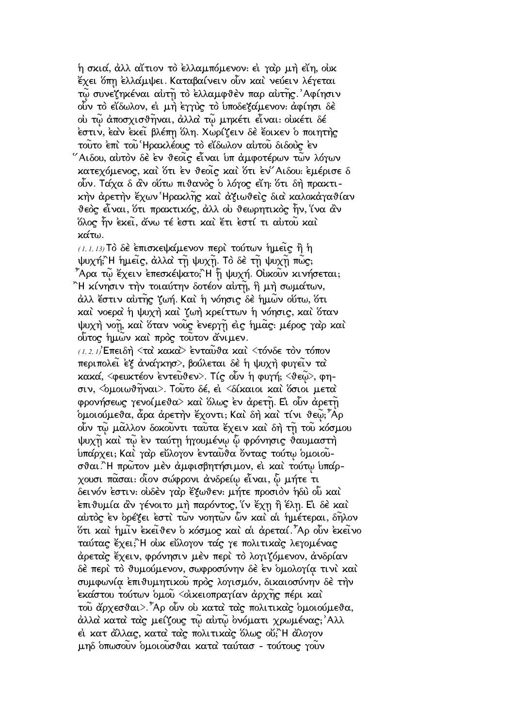ή σκιά, άλλ αΐτιον τὸ ἐλλαμπόμενον: ἐι γαρ μὴ ἐίη, οὐκ έχει όπη ελλαμψει. Καταβαίνειν οὖν καὶ νεύειν λέγεται τώ συνεζηκέναι αύτη το ελλαμφθεν παρ αύτης. Αφίησιν οὖν τὸ ἐίδωλον, ἐι μὴ ἐγγὺς τὸ ὑποδεξαμενον: ἀφίησι δὲ ού τω άποσχισθηναι, άλλα τω μηκέτι είναι: ούκέτι δέ εστιν, εαν εκεί βλέπη δλη. Χωρίζειν δε έοικεν ο ποιητής τούτο επι του Ηρακλέους το είδωλον αύτου διδούς εν «Αιδου, αυτον δε εν θεοις είναι υπ αμφοτέρων των λόγων κατεχόμενος, και ότι έν θεοίς και ότι εν Αιδου: εμέρισε δ οὖν. Τάχα δ ἀν ούτω πιθανός ο λόγος είη: ότι δη πρακτικην άρετην έχων Ηρακλης και άξιωθείς δια καλοκάγαθίαν θεός είναι, ότι πρακτικός, άλλ ου θεωρητικός ήν, ίνα άν δλος ην εκει, άνω τέ εστι και έτι εστί τι αυτου και κατω.

 $(1, 1, 13)$  Τὸ δὲ ἐπισκεψάμενον περὶ τούτων ημείς ή η ψυχή, Η ημείς, άλλα τη ψυχη. Το δε τη ψυχη πώς,  $\tilde{}$  Άρα τῷ «χειν 'επεσκέψατο; Η ή ψυχή. Οὐκοῦν κινήσεται; "Η κίνησιν την τοιαύτην δοτέον αὐτῇ, ἣ μὴ σωμάτων, άλλ έστιν αυτής ζωή. Και η νόησις δε ημών ούτω, ότι και νοερα η ψυχη και ζωη κρείττων η νόησις, και όταν ψυχή νοη, και όταν νους ενεργη εις ημάς: μέρος γαρ και ούτος ημών και πρός τουτον άνιμεν.

(1, 2, 1) Επειδή  $\langle \tau \alpha \rangle$  κακα $\rangle$  ενταύθα και  $\langle \tau \delta \nu \delta \epsilon \tau \delta \nu \tau \delta \pi \nu \nu \rangle$ περιπολει εξ αναγκησ>, βούλεται δε η ψυχη φυγείν τα κακά, <φευκτέον 'εντεύθεν>. Τίς ούν η φυγή; <θεώ>, φησιν, <δμοιωθηναι>. Τουτο δέ, ει <δίκαιοι και δσιοι μετα φρονήσεως γενοίμεθα> και όλως εν άρετη. Ει ούν άρετη δμοιούμεθα, ἆρα ἀρετὴν ἔχοντι; Καὶ δὴ καὶ τίνι θεῷ; Ἄρ ούν τω μάλλον δοκούντι ταυτα έχειν και δη τη του κόσμου ψυχη και τω έν ταύτη ηγουμένω ω φρόνησις θαυμαστη υπάρχει; Και γαρ εύλογον ενταύθα όντας τούτω ομοιουσθαι. Η πρώτον μεν άμφισβητήσιμον, ει και τούτω υπάρχουσι πασαι: δίον σώφρονι άνδρείω είναι, ω μήτε τι δεινόν εστιν: ουδεν γαρ έξωθεν: μήτε προσιον ηδυ ού και έπιθυμία άν γένοιτο μή παρόντος, ίν έχη ή έλη. Ει δέ και αύτος εν ορέξει εστι των νοητών ὧν και αι ημέτεραι, δηλον ότι και ημίν εκείθεν ο κόσμος και αι άρεταί. Άρ ούν εκείνο ταύτας έχει; Η ούκ εύλογον τάς γε πολιτικας λεγομένας άρετας έχειν, φρόνησιν μέν περί το λογιζόμενον, ανδρίαν δε περί το θυμούμενον, σωφροσύνην δε εν δμολογία τινί και συμφωνία επιθυμητικού πρός λογισμόν, δικαιοσύνην δε την εκάστου τούτων δμού <δικειοπραγίαν άρχης πέρι και του άρχεσθαι>. Αρ ούν ου κατα τας πολιτικας δμοιούμεθα, άλλα κατα τας μείζους τω αυτώ ονόματι χρωμένας; Αλλ εί κατ άλλας, κατα τας πολιτικας δλως ού, Η άλογον μηδ δπωσούν δμοιούσθαι κατα ταύτασ - τούτους γούν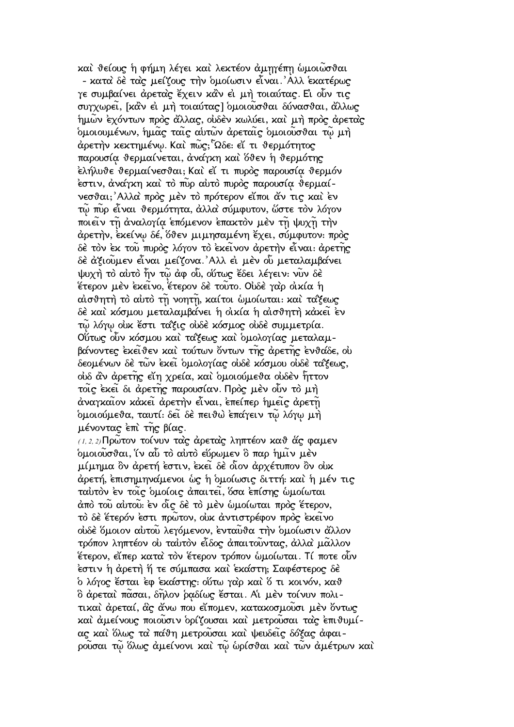καὶ θείους ἡ φήμη λέγει καὶ λεκτέον ἀμηγέπη ὡμοιῶσθαι - κατα δέ τας μεί τους την διιοίωσιν είναι. Άλλ εκατέοως γε συμβαίνει άρετας έχειν κάν εί μη τοιαύτας. Ει ούν τις συγχωρεῖ, [κἂν ἐι μὴ τοιαύτας] ὁμοιοῦσθαι δύνασθαι, ἄλλως ήμῶν ἐχόντων πρὸς ἄλλας, οὐδὲν κωλύει, καὶ μὴ πρὸς ἀρετας δμοιουμένων, ημάς ταις αυτών αρεταις δμοιουσθαι τω μη άρετην κεκτημένω. Και πώς; Ώδε: εί τι θερμότητος παρουσία θερμαίνεται, άναγκη και όθεν η θερμότης ελήλυθε θεομαίνεσθαι: Καὶ εἴ τι πυρὸς παρουσία θεομόν εστιν, άναγκη και το πυρ αυτο πυρος παρουσία θερμαίνεσθαι:'Αλλα` ποὸς μèν τὸ ποότεοον εἴποι ἄν τις και 'εν τῶ πῦο ἐἶναι θεομότητα, ἀλλα σύμφυτον, ὥστε τὸν λόγον ποιεῖν τῇ ἀναλογία Ἑπόμενον Ἐπακτὸν μὲν τῇ ψυχῇ τὴν άρετην, εκείνω δέ, όθεν μιμησαμένη έχει, σύμφυτον: πρός δέ τον εκ τοῦ πυρος λόγον το εκεῖνον ἀρετὴν εἶναι: ἀρετῆς δὲ ἀἕιοῦμεν ἐἶναι μείἴονα.'Αλλ ἐι μὲν οὗ μεταλαμβανει ψυχὴ τὸ αὐτὸ ἦν τῷ ἀφ οὗ, οὕτως ἔδει λέγειν: νῦν δὲ έτερον μεν εκείνο, έτερον δε τούτο. Ουδε γαρ οικία ή αισθητή το αυτό τη νοητη, καίτοι ωμοίωται: και τάξεως δὲ καὶ κόσμου μεταλαμβανει ἡ οἰκία ἡ αἰσθητὴ κάκεῖ ἐν τῶ λόγω οὐκ ἔστι τα (εις οὐδὲ κόσμος οὐδὲ συμμετοία. Οΰτως οὖν κόσμου καὶ τά εως καὶ δμολογίας μεταλαμβανοντες εκειθεν και τούτων όντων της άρετης ενθαδε, ου δεομένων δὲ τῶν ἐκεῖ ὁμολογίας οὐδὲ κόσμου οὐδὲ τα (εως. ούδ άν άρετης είη χρεία, και δμοιούμεθα ουδεν ηττον τοις έκει δι άρετης παρουσίαν. Πρός μεν ούν το μη άναγκαιον κάκει άρετην είναι, επείπερ ημείς άρετη διιοιούμεθα, ταυτί: δεῖ δὲ πειθω ἐπάγειν τῶ λόγω μὴ μένοντας επι της βίας.

(1, 2, 2) Πρώτον τοίνυν τας άρετας ληπτέον καθ άς φαμεν δμοιουσθαι, ίν αύ το αυτο εύρωμεν δ παρ ημίν μεν μίμημα ὂν ἀρετή 'εστιν, εκει δε οίον ἀρχέτυπον ὂν ούκ άρετή, επισημηναμενοι ως η ομοίωσις διττή: και η μέν τις ταύτον εν τοις δμοίοις άπαιτει, όσα επίσης ωμοίωται άπό του αύτου: έν οις δε το μεν ώμοίωται προς έτερον, το δε έτερόν έστι πρώτον, ούκ άντιστρέφον προς εκείνο ούδὲ ὅμοιον αὐτοῦ λεγόμενον, ἐνταῦθα τὴν ὁμοίωσιν ἀλλον τρόπον ληπτέον οὐ ταὐτὸν εἶδος ἀπαιτοῦντας, ἀλλα μᾶλλον έτερον, είπερ κατα τον έτερον τρόπον ωμοίωται. Τί ποτε οὖν ἐστιν ἡ ἀρετὴ ἥ τε σύμπασα καὶ ἑκαστη; Σαφέστερος δὲ δ λόγος ἔσται ἐφ ἑκάστης: οὕτω γαὸ καὶ ὅ τι κοινόν, καθ δ ἀρεταὶ πᾶσαι, δῆλον δαδίως ἔσται. Αἱ μèν τοίνυν πολιτικαι άρεταί, δς άνω που είπομεν, κατακοσμουσι μεν όντως και άμείνους ποιούσιν ορίζουσαι και μετρούσαι τας επιθυμίας καὶ ὅλως τὰ πάθη μετροῦσαι καὶ ψευδεῖς δότας ἀφαιοοῦσαι τῶ ὅλως ἀμείνονι καὶ τῶ ὡοίσθαι καὶ τῶν ἀμέτοων καὶ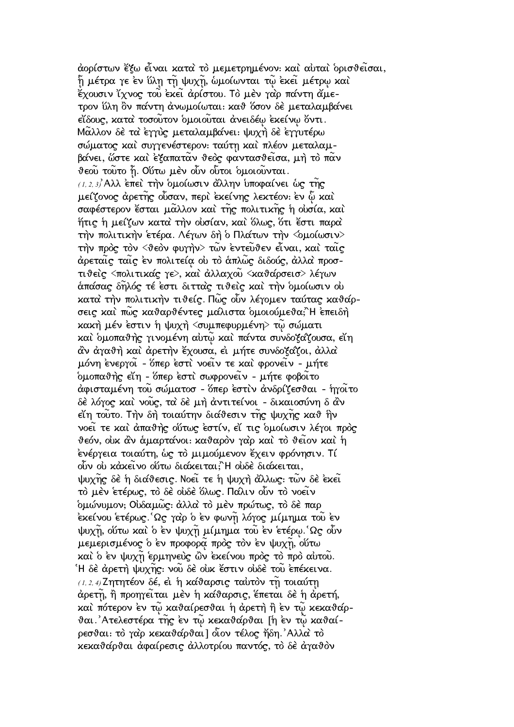άορίστων έξω είναι κατα το μεμετρημένον: και αυται δρισθεισαι, ἧ μέτρα γε ἐν ὕλη τῇ ψυχῇ, ὡμοίωνται τῷ ἐκεῖ μέτρῳ καὶ έχουσιν ἴχνος τοῦ ἐκεῖ ἀρίστου. Τὸ μὲν γαρ παντη ἀμετρον ὕλη ὂν παντη ἀνωμοίωται: καθ ὅσον δὲ μεταλαμβανει είδους, κατα τοσούτον δμοιούται άνειδέω εκείνω όντι. Μαλλον δε τα εγγύς μεταλαμβάνει: ψυχή δε εγγυτέρω σώματος και συγγενέστερον: ταύτη και πλέον μεταλαμβανει, ώστε και εξαπαταν θεός φαντασθείσα, μη το παν θεου τουτο ή. Ούτω μεν ούν ούτοι δμοιουνται.  $(1, 2, 3)$  Αλλ επεί την δμοίωσιν άλλην υποφαίνει ως της μείζονος άρετης ούσαν, περι εκείνης λεκτέον: εν ω και σαφέστερον έσται μαλλον και της πολιτικής η ουσία, και ήτις η μείζων κατα την ουσίαν, και όλως, ότι έστι παρα την πολιτικην ετέρα. Λέγων δη δ Πλατων την <δμοίωσιν> την προς τον <θεον φυγην> των εντεύθεν είναι, και ταις άρεταις ταις έν πολιτεία ου το άπλως διδούς, άλλα προστιθείς <πολιτικάς γε>, και άλλαχου <καθάρσεισ> λέγων άπάσας δηλός τέ έστι διττας τιθείς και την δμοίωσιν ου κατα την πολιτικήν τιθείς. Πώς ούν λέγομεν ταύτας καθάρσεις και πως καθαρθέντες μαλιστα δμοιούμεθα; Η επειδή κακή μέν 'εστιν η ψυχή < συμπεφυρμένη> τω σώματι και ομοπαθής γινομένη αυτώ και πάντα συνδοξάζουσα, είη άν άγαθη και άρετην έχουσα, ει μήτε συνδοξάζοι, άλλα μόνη ενεργοι - όπερ εστι νοείν τε και φρονείν - μήτε δμοπαθής είη - όπερ εστι σωφρονείν - μήτε φοβοίτο άφισταμένη του σώματοσ - όπερ 'εστι'ν ανδρίζεσθαι - ήγοιτο δέ λόγος και νους, τα δέ μη άντιτείνοι - δικαιοσύνη δ άν είη τουτο. Την δη τοιαύτην διαθεσιν της ψυχης καθ ην νοεί τε και άπαθης ούτως εστίν, εί τις δμοίωσιν λέγοι προς θεόν, ούκ άν άμαρτανοι: καθαρον γαρ και το θείον και ή ένέργεια τοιαύτη, ώς τὸ μιμούμενον ἔχειν φρόνησιν. Τί ούν ου κάκεινο ούτω διακειται; Η ουδέ διακειται, ψυχης δε η διαθεσις. Νοεί τε η ψυχη άλλως: των δε εκεί τὸ μèν ετέρως, τὸ δè οὐδè ὅλως. Παλιν οὖν τὸ νοεἶν δμώνυμον; Ουδαμώς: άλλα το μέν πρώτως, το δέ παρ εκείνου ετέρως. Ώς γαρ ο εν φωνῆ λόγος μίμημα τοῦ εν ψυχῆ, ούτω και ο εν ψυχῆ μίμημα του εν ετέρω. Ώς ούν μεμερισμένος ο έν προφορά πρός τον έν ψυχη, ούτω και ο εν ψυχη ερμηνεύς ών εκείνου πρός το προ αύτου. Ή δὲ ἀρετὴ ψυχῆς: νου δὲ οὐκ ἔστιν οὐδὲ του ἐπέκεινα. (1, 2, 4) Ζητητέον δέ, ει η καθαρσις ταυτον τη τοιαύτη άρετη, ή προηγείται μέν η καθαρσις, έπεται δε η άρετή, και πότερον εν τω καθαίρεσθαι η άρετη ή εν τω κεκαθάρθαι. Ατελεστέρα της εν τω κεκαθάρθαι [ή εν τω καθαίρεσθαι: τὸ γαρ κεκαθάρθαι | δίον τέλος ἤδη. Αλλα τὸ κεκαθάρθαι άφαίρεσις άλλοτρίου παντός, τὸ δε άγαθὸν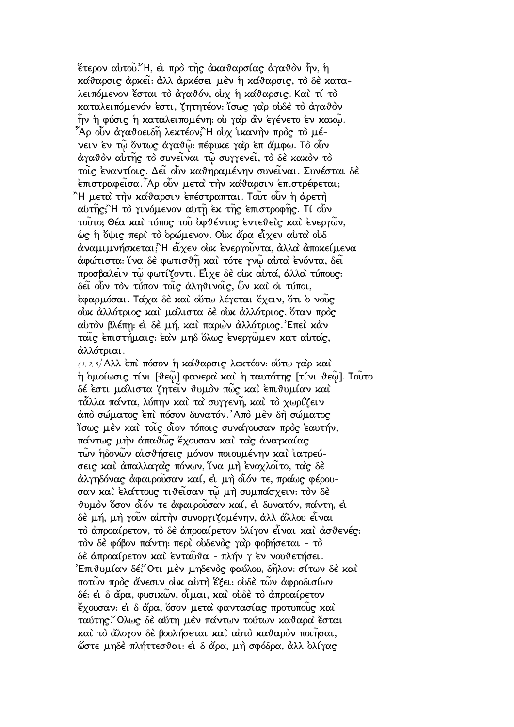έτερον αὐτοῦ."Η, εἰ πρὸ τῆς ἀκαθαρσίας ἀγαθὸν ἦν, ἡ κάθαρσις ἀρκεῖ: ἀλλ ἀρκέσει μὲν ἡ κάθαρσις, τὸ δὲ καταλειπόμενον ἔσται τὸ ἀγαθόν, οὐχ ἡ κα<mark>՜</mark>θαρσις. Καὶ τί τὸ καταλειπόμενόν 'εστι, '(ητητέον: ἴσως γαο οὐδὲ τὸ ἀγαθὸν  $\tilde{m}$ ν ή φύσις ή καταλειπομένη: οὐ γαὸ ἀν ἐγένετο ἐν κακῶ. Άρ οὖν ἀγαθοειδῆ λεκτέον;`Ή οὐχ ἱκανὴν πρὸς τὸ μένειν εν τώ όντως άγαθώ: πέφυκε γαρ επ άμφω. Το ούν άγαθον αυτής το συνείναι τω συγγενει, το δε κακον το τοις εναντίοις. Δεί ούν καθηραμένην συνείναι. Συνέσται δέ 'επιστραφείσα. Αρ οὖν μετα την καθαρσιν επιστρέφεται; Η μετα` την καναρσιν 'επέστραπται. Τοῦτ οὖν ἡ ἀρετη` αὐτῆς:`Ή τὸ γινόμενον αὐτῆ ἐκ τῆς ἐπιστοοφῆς. Τί οἶν τούτο; Θέα και τύπος του οφθέντος εντεθεις και ενεργών, ώς η όψις περί το δρώμενον. Ουκ άρα είχεν αυτα ουδ άναμιμνήσκεται;``Η εἶχεν οὐκ ἐνεργοῦντα, ἀλλα ἀποκείμενα άφώτιστα: Ύνα δέ φωτισθη και τότε γνω αυτα ενόντα, δεί προσβαλεῖν τῷ φωτίζοντι. Εἶχε δὲ οὐκ αὐτα, ἀλλα τύπους: δεῖ οὖν τὸν τύπον τοῖς ἀληθινοῖς. ὧν καὶ οἱ τύποι. ,<br>εφαρμόσαι. Τάχα δὲ καὶ οὕτω λέγεται ἔχειν, ὅτι ὁ νοῦς ούκ άλλότοιος καὶ μαλιστα δὲ οὐκ ἀλλότοιος, ὅταν ποὸς αὐτὸν βλέπη: εἰ δὲ μή, καὶ παρων ἀλλότριος. Ἐπεὶ κάν ταῖς ἐπιστήμαις: ἐαν μηδ ὅλως ἐνεογῶμεν κατ αὐτας. άλλότοιαι.

(1, 2, 5) Αλλ 'επι' πόσον ή καναρσις λεκτέον: ούτω γαρ και' η δμοίωσις τίνι [θεώ] φανερα και η ταυτότης [τίνι θεώ]. Τουτο δέ ἐστι μαλιστα ζητεῖν θυμὸν πῶς καὶ ἐπιθυμίαν καὶ τἆλλα πάντα, λύπην καὶ τὰ συγγενῆ, καὶ τὸ χωρίζειν άπό σώματος 'επι' πόσον δυνατόν. Από μεν δη σώματος Ίσως μὲν καὶ τοῖς οἷον τόποις συναγουσαν πρὸς ἑαυτήν, πάντως μην άπαθώς έχουσαν και τας άναγκαίας των ηδονών αισθήσεις μόνον ποιουμένην και ιατρεύσεις καὶ ἀπαλλαγας πόνων, ἵνα μὴ ἐνοχλοῖτο, τας δὲ άλγηδόνας ἀφαιροῦσαν καί, ἐι μὴ δἶόν τε, πράως φέρουσαν καὶ ἐλάττους τιθεἶσαν τῷ μὴ συμπάσχειν: τὸν δὲ θυμον όσον οίόν τε αφαιρούσαν καί, ει δυνατόν, πάντη, ει δὲ μή, μὴ γοῦν αὐτὴν συνοογιζομένην, ἀλλ ἄλλου εἶναι τὸ ἀποοαίοετον, τὸ δὲ ἀποοαίοετον ὀλίγον εἶναι καὶ ἀσθενές: τον δε φόβον πάντη: περι ουδενός γαρ φοβήσεται - το δὲ ἀποσαίρετον καὶ ἐνταῦθα - πλήν γ ἐν νουθετήσει. Επιθυμίαν δέ: Ότι μεν μηδενός φαύλου, δηλον: σίτων δε και ζ ποτών πρός άνεσιν ουκ αυτή έξει: ουδέ των αφροδισίων δέ: εί δ άρα, φυσικών, δίμαι, και ούδε το άπροαίρετον έχουσαν: ει δ άρα, όσον μετα φαντασίας προτυπους και ταύτης. Όλως δὲ αὕτη μὲν πάντων τούτων καθαρα ἔσται καὶ τὸ ἄλογον δὲ βουλήσεται καὶ αὐτὸ καθαρὸν ποιἦσαι. ὥστε μηδὲ πλήττεσθαι: εἰ δ ἄρα, μὴ σφόδρα, ἀλλ ὀλίγας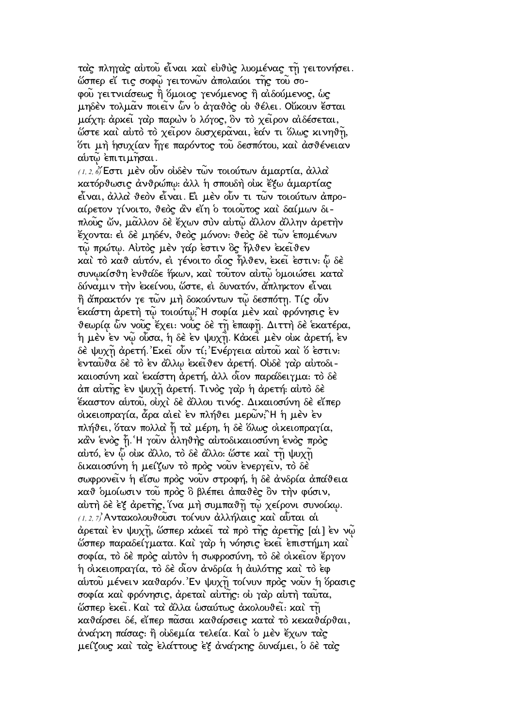τας πληγας αύτοῦ ἐἶναι και εὐθυς λυομένας τη γειτονήσει. ὥσπεο εἴ τις σοφῶ γειτονῶν ἀπολαύοι τῆς τοῦ σοφού γειτνιάσεως ή δμοιος γενόμενος ή αιδούμενος, ως μηδέν τολμαν ποιείν ὧν δ άγαθὸς οὐ θέλει. Οὔκουν ἔσται μάχη: ἀρκεῖ γαρ παρων ὁ λόγος, ὃν τὸ χεῖρον αἰδέσεται, ὥστε καὶ αὐτὸ τὸ χεῖρον δυσχερᾶναι, ἐαν τι ὅλως κινηθῆ, ότι μή ησυχίαν ήγε παρόντος του δεσπότου, και ασθένειαν αυτω επιτιμήσαι.

 $(1, 2, \check{\delta})$  Εστι μεν οὖν οὐδεν τῶν τοιούτων άμαρτία, άλλα κατόοθωσις ἀνθοώπω: ἀλλ ἡ σπουδὴ οὐκ ἔτω ἁμαρτίας εἶναι, άλλα θεὸν εἶναι. Ει μèν οὖν τι τῶν τοιούτων ἀποοαίρετον γίνοιτο, θεός άν είη ο τοιούτος και δαίμων διπλοῦς ὤν, μᾶλλον δὲ ἔχων σὺν αὐτῷ ἄλλον ἄλλην ἀρετὴν έχοντα: ει δε μηδέν, θεὸς μόνον: θεὸς δε τῶν επομένων τῶ ποώτω. Αὐτὸς μèν γαο ἐστιν ὃς ἦλθεν ἐκεῖθεν και το καθ αυτόν, ει γένοιτο οίος ἦλθεν, εκει εστιν: ὧ δε συνωκίσθη ενθαδε ήκων, και τουτον αυτω ομοιώσει κατα δύναμιν την 'εκείνου, ώστε, ει δυνατόν, άπληκτον εἶναι ή άπρακτόν γε των μη δοκούντων τω δεσπότη. Τίς ούν εκαστη αρετὴ τῶ τοιούτω:``Η σοφία μὲν καὶ φρόνησις ἐν  $\vartheta$  εωρία ὧν νους έχει: νους δε τη επαφη. Διττή δε εκατέρα, η μεν εν νῷ ούσα, η δε εν ψυχη Κάκει μεν ουκ άρετη, εν δε ψυχη άρετή. Εκει ούν τί, Ενέργεια αυτου και δ εστιν: ,<br>ενταῦθα δὲ τὸ ἐν ἀλλω ἐκεῖθεν ἀρετή. Οὐδὲ γαὸ αὐτοδικαιοσύνη καὶ ἑκάστη ἀρετή, ἀλλ οἷον παράδειγμα: τὸ δὲ άπ αυτής εν ψυχη άρετή. Τινός γαρ η άρετή: αυτό δε έκαστον αὑτοῦ, οὐχὶ δὲ ἄλλου τινός. Δικαιοσύνη δὲ ἐίπερ οικειοποαγία, ἆοα αιεὶ ἐν πλήθει μεοὦν:`Η ἡ μèν ἐν πλήθει, ὅταν πολλα` ἧ τα` μέοη, ἡ δὲ ὅλως οἰκειοποαγία. κάν ενὸς ἦ 'Η γοῦν ἀληθὴς αὐτοδικαιοσύνη ενὸς ποὸς αὐτό, ἐν ὧ οὐκ ἀλλο, τὸ δὲ ἀλλο: ὥστε καὶ τῇ ψυχῇ δικαιοσύνη η μείζων τὸ πρὸς νουν ενεργειν, τὸ δε σωφρονείν η είσω πρός νούν στροφή, η δε ανδρία απάθεια καθ διιοίωσιν τοῦ ποὸς ὃ βλέπει ἀπαθὲς ὂν τὴν φύσιν. αύτη δε εξ άρετης, ίνα μη συμπαθη τω χείρονι συνοίκω.  $(1, 2, 7)$  Αντακολουθούσι τοίνυν άλλήλαις και αύται αι άρεται έν ψυχη, ώσπερ κάκει τα προ της άρετης [αι ] εν νω ώσπερ παραδείγματα. Και γαρ η νόησις εκει επιστήμη και σοφία, τὸ δε πρὸς αυτον η σωφροσύνη, τὸ δε οικείον έργον ከ οικειοποαγία, τὸ δὲ οἷον ἀνδοία ἡ ἀυλότης καὶ τὸ ἐφ αυτού μένειν καθαρόν. Έν ψυχη τοίνυν πρός νουν η δρασις σοφία και φρόνησις, άρεται αυτής: ου γαρ αυτή ταυτα, ὥσπεο ἐκεῖ. Καὶ τὰ ἄλλα ὡσαύτως ἀκολουθεῖ: καὶ τῆ καθάρσει δέ, είπερ πασαι καθάρσεις κατα το κεκαθάρθαι, άνάγκη πάσας: ἢ οὐδεμία τελεία. Καὶ ὁ μὲν ἔχων τας μεί ζους και τας ελαττους εε αναγκης δυναμει, ο δε τας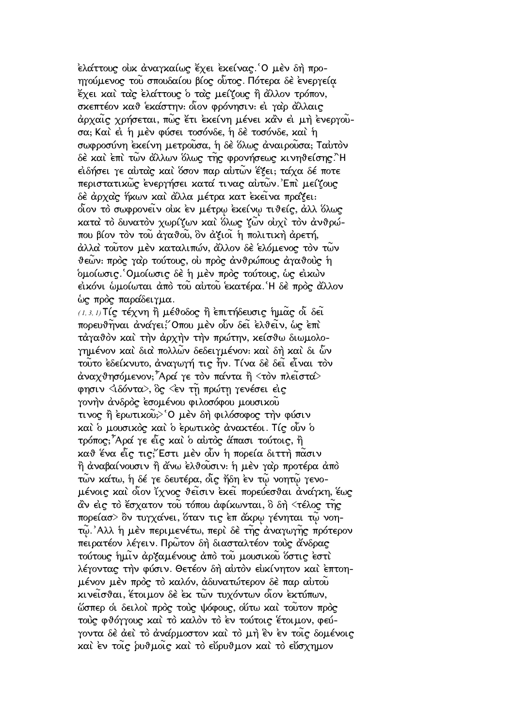'ελαττους ουκ αναγκαίως έχει 'εκείνας.'Ο μεν δη προηγούμενος του σπουδαίου βίος ούτος. Πότερα δε ενεργεία έχει και τας ελαττους ο τας μείζους ή άλλον τρόπον, σκεπτέον καθ εκαστην: δίον φρόνησιν: ει γαρ άλλαις άρχαις χρήσεται, πως έτι εκείνη μένει κάν ει μη ενεργουσα; Και εί η μέν φύσει τοσόνδε, η δε τοσόνδε, και η σωφροσύνη εκείνη μετρούσα, η δε όλως άναιρούσα; Ταυτον δέ και επι των άλλων όλως της φρονήσεως κινηθείσης. Η ειδήσει γε αύτας και όσον παρ αύτων έξει; τάχα δέ ποτε περιστατικώς ενεργήσει κατά τινας αύτων. Επι μείζους δε άρχας ήκων και άλλα μέτρα κατ εκείνα πράξει: δίον το σωφρονείν ουκ εν μέτρω εκείνω τιθείς, άλλ όλως κατα το δυνατον χωρίζων και όλως ζών ουχι τον ανθρώπου βίον τον του άγαθου, δν άξιοι η πολιτική άρετή, άλλα τουτον μέν καταλιπών, άλλον δε ελόμενος τον των θεών: πρός γαρ τούτους, ου πρός άνθρώπους άγαθούς η <u>δμοίωσις. Ομοίωσις δε η μεν προς τούτους, ως εικων</u> εικόνι ώμοίωται άπό του αύτου εκατέρα. Η δε πρός άλλον ώς πρός παράδειγμα.

 $(1, 3, 1)$  Τίς τέχνη ή μέθοδος ή επιτήδευσις ημάς οι δεί πορευθηναι άναγει; Όπου μέν ούν δει ελθείν, ως επι τάγαθον και την άρχην την πρώτην, κείσθω διωμολογημένον και δια πολλών δεδειγμένον: και δη και δι ών τουτο εδείκνυτο, άναγωγή τις ήν. Τίνα δε δει είναι τον άναχθησόμενον; Αρά γε τον πάντα ή <τον πλείστα> φησιν <ιδόντα>, δς <εν τη πρώτη γενέσει είς γονην άνδρος εσομένου φιλοσόφου μουσικού τινος ή ερωτικού;> Ο μεν δη φιλόσοφος την φύσιν και ο μουσικός και ο ερωτικός άνακτέοι. Τίς ούν ο τρόπος; Άρα γε είς και ο αυτος άπασι τούτοις, ή καθ ένα είς τις; Έστι μεν ούν η πορεία διττη πασιν ή αναβαίνουσιν ή άνω ελθούσιν: η μεν γαρ προτέρα από τῶν κάτω, ἡ δέ γε δευτέρα, δίς ἤδη ἐν τῷ νοητῷ γενομένοις και οίον ίχνος θείσιν εκεί πορεύεσθαι άνάγκη, έως άν είς το έσχατον του τόπου άφίκωνται, δ δη <τέλος της πορείασ> όν τυγχανει, όταν τις επ άκρω γένηται τω νοητῷ. Αλλ η μεν περιμενέτω, περι δε της αναγωγής πρότερον πειρατέον λέγειν. Πρώτον δη διασταλτέον τούς άνδρας τούτους ημίν αρξαμένους από του μουσικού όστις εστι λέγοντας την φύσιν. Θετέον δη αυτον ευκίνητον και επτοημένον μέν πρός το καλόν, άδυνατώτερον δέ παρ αύτου κινείσθαι, έτοιμον δε εκ των τυχόντων οίον εκτύπων, ώσπερ οι δειλοί πρός τους ψόφους, ούτω και τουτον πρός τούς φθόγγους και το καλον το έν τούτοις έτοιμον, φεύγοντα δέ άει το αναρμοστον και το μή εν εν τοις δομένοις και έν τοις ρυθμοις και το εύρυθμον και το εύσχημον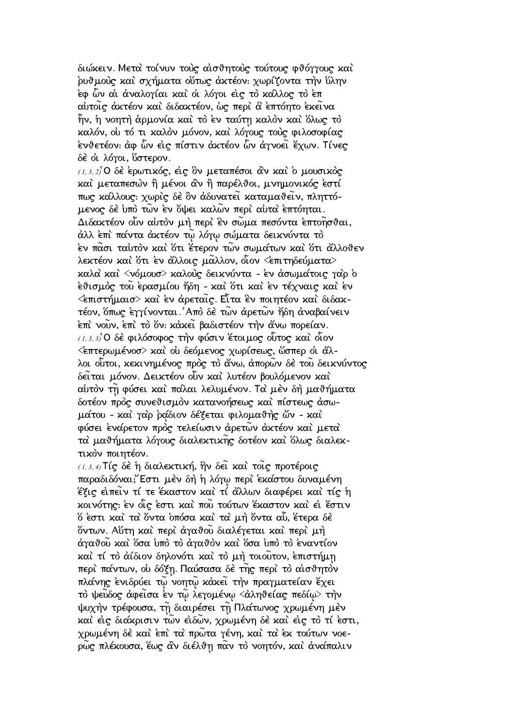διώκειν. Μετα τοίνυν τους αισθητους τούτους φθόγγους και ρυθμούς και σχήματα ούτως άκτέον: χωρίζοντα την ύλην έφ ὧν αι άναλογίαι και οι λόγοι εις το καλλος το επ αύτοις άκτέον και διδακτέον, ως περι α επτόητο εκεινα ήν, η νοητή άρμονία και το εν ταύτη καλον και δλως το καλόν, ου τό τι καλόν μόνον, και λόγους τους φιλοσοφίας ένθετέον: ἀφ ὧν εις πίστιν ἀκτέον ὧν ἀγνοεῖ ἔχων. Τίνες δε οι λόγοι, ύστερον.

 $(1,3,2)$  Ο δε ερωτικός, είς δν μεταπέσοι άν και δ μουσικός και μεταπεσων ή μένοι άν ή παρέλθοι, μνημονικός εστί πως καλλους: χωρίς δε όν αδυνατεί καταμαθείν, πληττόμενος δε υπό των εν όψει καλών περι αυτα επτόηται. Διδακτέον οὖν αυτον μη περι εν σώμα πεσόντα επτοησθαι, άλλ επι παντα ακτέον τω λόγω σώματα δεικνύντα το έν πασι ταύτον και ότι έτερον των σωματων και ότι άλλοθεν λεκτέον και ότι εν άλλοις μάλλον, δίον <επιτηδεύματα> καλα και <νόμουσ> καλούς δεικνύντα - εν ασωμάτοις γαρ δ έθισμὸς τοῦ ἐρασμίου ἤδη - καὶ ὅτι καὶ ἐν τέχναις καὶ ἐν <'επιστήμαισ> καὶ 'εν ἀρεταις. Εἶτα εν ποιητέον καὶ διδακτέον, όπως 'εγγίνονται.' Από δε των άρετων ήδη άναβαίνειν έπι νουν, επι το όν: κάκει βαδιστέον την άνω πορείαν.  $(1,3,3)$  Ο δέ φιλόσοφος την φύσιν έτοιμος ούτος και οίον <επτερωμένοσ> και ου δεόμενος χωρίσεως, ὥσπερ οι άλλοι ούτοι, κεκινημένος πρός το άνω, άπορων δε του δεικνύντος δείται μόνον. Δεικτέον οὖν και λυτέον βουλόμενον και αύτον τη φύσει και πάλαι λελυμένον. Τα μεν δη μαθήματα δοτέον πρός συνεθισμόν κατανοήσεως και πίστεως άσωμάτου - και γαρ ράδιον δέξεται φιλομαθής ὤν - και φύσει εναρετον προς τελείωσιν αρετών ακτέον και μετα τα μαθήματα λόγους διαλεκτικής δοτέον και όλως διαλεκτικόν ποιητέον.

 $(1, 3, 4)$  Τίς δέ η διαλεκτική, ην δεί και τοις προτέροις παραδιδόναι; Έστι μέν δη η λόγω περι εκαστου δυναμένη έξις ειπείν τί τε έκαστον και τί άλλων διαφέρει και τίς η κοινότης: έν οις έστι και που τούτων έκαστον και εί έστιν δ έστι και τα όντα δπόσα και τα μη όντα αὖ, έτερα δε όντων. Αύτη και περι άγαθου διαλέγεται και περι μη άγαθού και δσα υπό το άγαθον και δσα υπό το εναντίον και τί το αίδιον δηλονότι και το μη τοιούτον, επιστήμη περὶ πάντων, οὐ δόξη. Παύσασα δὲ της περὶ τὸ αισθητὸν πλανης ενιδρύει τω νοητώ κάκει την πραγματείαν έχει τὸ ψεύδος ἀφείσα εν τῷ λεγομένῳ <άληθείας πεδίῳ την ψυχήν τρέφουσα, τη διαιρέσει τη Πλατωνος χρωμένη μεν και είς διάκρισιν των ειδών, χρωμένη δε και είς το τί εστι, χρωμένη δέ και επι τα πρώτα γένη, και τα έκ τούτων νοερώς πλέκουσα, έως ἀν διέλθη παν τὸ νοητόν, καὶ ἀναπαλιν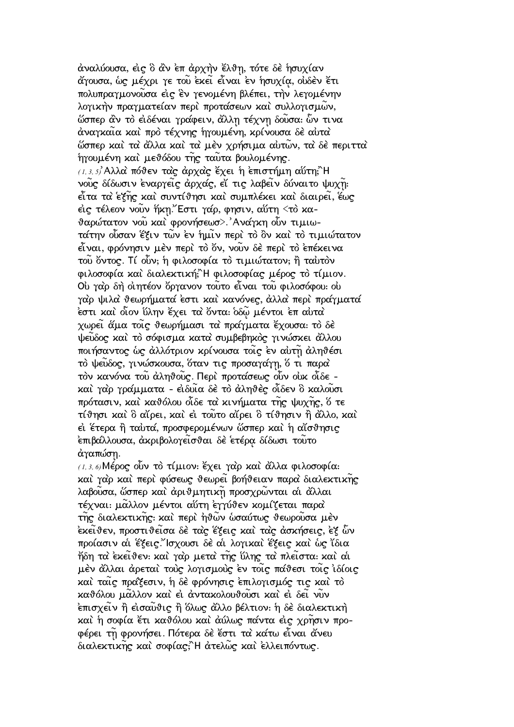άναλύουσα, εις δ άν επ άρχην έλθη, τότε δε ησυχίαν άγουσα, ως μέχρι γε του έκει είναι εν ησυχία, ουδεν έτι πολυπραγμονούσα είς εν γενομένη βλέπει, την λεγομένην λογικήν πραγματείαν περί προτάσεων και συλλογισμών, ώσπερ άν τὸ ἐιδέναι γράφειν, ἄλλη τέχνη δουσα: ὧν τινα άναγκαια και πρό τέχνης ηγουμένη, κρίνουσα δε αυτα ώσπερ και τα άλλα και τα μεν χρήσιμα αυτών, τα δε περιττα ηγουμένη και μεθόδου της ταυτα βουλομένης.  $(1, 3, 5)$  Αλλα πόθεν τας άρχας έχει η επιστήμη αύτη; Η νους δίδωσιν εναργείς άρχας, εί τις λαβείν δύναιτο ψυχη: είτα τα εξης και συντίθησι και συμπλέκει και διαιρεί, έως εις τέλεον νούν ήκη. Έστι γάρ, φησιν, αύτη <το καθαρώτατον νου και φρονήσεωσ>. Ανάγκη ούν τιμιωτάτην οὖσαν έξιν τῶν ἐν ἡμἶν περὶ τὸ ὂν καὶ τὸ τιμιώτατον εἶναι, φρόνησιν μεν περι το ὄν, νουν δε περι το επέκεινα του όντος. Τί ούν, η φιλοσοφία το τιμιώτατον, η ταυτον φιλοσοφία και διαλεκτική; Η φιλοσοφίας μέρος το τίμιον. Ου γαρ δη οιητέον όργανον τουτο είναι του φιλοσόφου: ου γαρ ψιλα θεωρήματά εστι και κανόνες, άλλα περι πράγματά εστι και δίον ύλην έχει τα όντα: δδῷ μέντοι επ αυτα χωρει άμα τοις θεωρήμασι τα πράγματα έχουσα: το δε ψεύδος και το σόφισμα κατα συμβεβηκός γινώσκει άλλου ποιήσαντος ως άλλότριον κρίνουσα τοις εν αυτη άληθέσι το ψεύδος, γινώσκουσα, όταν τις προσαγάγη, ό τι παρα τον κανόνα του άληθους. Περι προτάσεως ούν ουκ οίδε και γαρ γράμματα - είδυια δε το άληθες οιδεν δ καλουσι πρότασιν, και καθόλου οίδε τα κινήματα της ψυχης, δ τε τίθησι και δ αίρει, και εί τουτο αίρει δ τίθησιν ή άλλο, και ει έτερα ή ταυτά, προσφερομένων ώσπερ και η αίσθησις επιβαλλουσα, ακριβολογεισθαι δε ετέρα δίδωσι τουτο άγαπώση.

 $(1, 3, 6)$ Μέρος ούν τὸ τίμιον: ἔχει γαρ και ἀλλα φιλοσοφία: και γαρ και περι φύσεως θεωρεί βοήθειαν παρα διαλεκτικής λαβούσα, ώσπερ και άριθμητική προσχρώνται αι άλλαι τέχναι: μάλλον μέντοι αύτη εγγύθεν κομίζεται παρα της διαλεκτικης: και περι ηθών ωσαύτως θεωρούσα μεν έκειθεν, προστιθεισα δὲ τας έξεις και τας άσκήσεις, εξ ὧν προίασιν αι έξεις. Ισχουσι δε αι λογικαι έξεις και ως Ίδια ήδη τα έκειθεν: και γαρ μετα της ύλης τα πλειστα: και αι μέν άλλαι άρεται τους λογισμους έν τοις πάθεσι τοις ιδίοις και ταις πράξεσιν, η δε φρόνησις επιλογισμός τις και το καθόλου μάλλον και εί άντακολουθούσι και εί δει νύν επισχείν ή εισαύθις ή όλως άλλο βέλτιον: η δε διαλεκτική και η σοφία έτι καθόλου και αύλως παντα εις χρησιν προφέρει τη φρονήσει. Πότερα δε έστι τα κάτω είναι άνευ διαλεκτικής και σοφίας; Η άτελως και ελλειπόντως.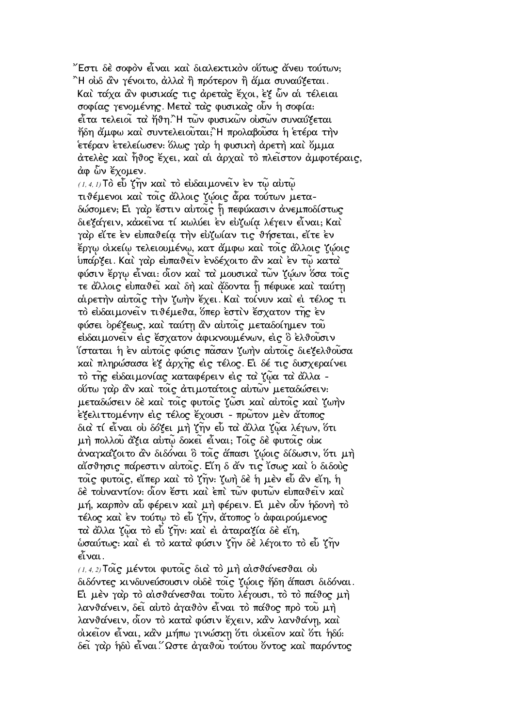Εστι δέ σοφον είναι και διαλεκτικον ούτως άνευ τούτων: Η ουδ άν γένοιτο, άλλα ή ποότερον ή άμα συναύξεται. Καὶ τάχα ἀν φυσικάς τις ἀρετας ἔχοι, ἐξ ὧν αἱ τέλειαι σοφίας γενομένης. Μετα τας φυσικας ούν η σοφία: εἶτα τελειοῖ τὰ ἤθη."Η τῶν φυσικῶν οὐσῶν συναύξεται ἤδη ἄμφω καὶ συντελειοῦται:`Η ποολαβοῦσα ἡ ἑτέοα τὴν έτέραν ἐτελείωσεν: ὅλως γαὸ ἡ φυσικὴ ἀρετὴ καὶ ὄμμα άτελὲς καὶ ἦθος ἔχει, καὶ αἱ ἀρχαὶ τὸ πλεῖστον ἀμφοτέραις, άφ ὧν ἔχομεν.

 $(1, 4, 1)$  Το εὖ ζῆν και το ευδαιμονείν εν τῷ αυτῷ τιθέμενοι και τοις άλλοις ζώοις ἆοα τούτων μεταδώσομεν; Ει γαρ έστιν αυτοις ή πεφύκασιν ανεμποδίστως διε άγειν, κάκεῖνα τί κωλύει ἐν εὐ (ωία λέγειν εἶναι: Καὶ γαρ είτε εν ευπαθεία την ευζωίαν τις θήσεται, είτε εν έογω οικείω τελειουμένω, κατ άμφω και τοις άλλοις ζώοις υπαρξει. Και γαρ ευπαθείν ενδέχοιτο άν και εν τώ κατα φύσιν έργω είναι: δίον και τα μουσικα των ζώων όσα τοις τε άλλοις ευπαθεῖ καὶ δὴ καὶ ἀδοντα ἧ πέφυκε καὶ ταύτη αίρετην αυτοις την ζωην ἔχει. Και τοίνυν και ει τέλος τι το ευδαιμονείν τιθέμεθα, όπερ εστιν έσχατον της εν φύσει ορέξεως, και ταύτη άν αυτοίς μεταδοίημεν του ebδαι μονεῖν εἰς ἔσχατον ἀφικνουμένων, εἰς δ ἐλθοῦσιν ίσταται ή ἐν αὐτοῖς φύσις πᾶσαν ζωὴν αὐτοῖς διεξελθοῦσα καὶ πληρώσασα 'εξ ἀρχῆς ἐις τέλος. Ει δέ τις δυσχεραίνει τὸ της εὐδαιμονίας καταφέρειν εἰς τα "ζῶα τα ἄλλα ούτω γαρ άν και τοις ατιμοτατοις αυτών μεταδώσειν: μεταδώσειν δε και τοις φυτοις ζωσι και αυτοις και ζωην εξελιττομένην εις τέλος ἔχουσι - πρῶτον μὲν ἄτοπος δια` τί εἶναι οὐ δόξει μὴ ζῆν εὖ τα` ἄλλα ζῶα λέγων, ὅτι μή πολλοῦ ά εια αυτώ δοκεῖ εἶναι: Τοῖς δε φυτοῖς ουκ άναγκαζοιτο άν διδόναι δ τοις άπασι ζώοις δίδωσιν, ότι μή αΐσθησις παρεστιν αυτοις. Είη δ άν τις Ίσως και ο διδους τοις φυτοις, είπερ και το ζην: ζωη δε η μεν εύ άν είη, η δέ τουναντίον: οίον έστι και επι των φυτων ευπαθείν και μή, καρπόν αὖ φέρειν και μή φέρειν. Ει μεν οὖν ηδονη το τέλος καὶ 'εν τούτω τὸ εὖ 'Υν άτοπος ὁ ἀφαιρούμενος τα` άλλα 'ζῶα τὸ εὗ 'ζῆν: καὶ ἐι ἀταρα εία δὲ είη. ώσαύτως: καὶ ἐι τὸ κατὰ φύσιν Υγν δὲ λέγοιτο τὸ εὖ Υγν  $\tilde{\text{e}}\tilde{\text{u}}$  val.

 $(1, 4, 2)$  Τοις μέντοι φυτοις δια το μή αισθανεσθαι ου διδόντες κινδυνεύσουσιν ουδε τοις ζώοις ήδη άπασι διδόναι. Ει μèν γα`ο τὸ αισθανεσθαι τοῦτο λέγουσι, τὸ τὸ παθος μὴ λανθάνειν, δεῖ αὐτὸ ἀγαθὸν εἶναι τὸ πάθος ποὸ τοῦ μὴ λανθάνειν, οἷον τὸ κατα` φύσιν ἔχειν, κἀν λανθάνῃ, καὶ σικείον είναι, κάν μήπω γινώσκη ότι σικείον και ότι ηδύ: δει γαρ ηδυ είναι. Ωστε άγαθου τούτου όντος και παρόντος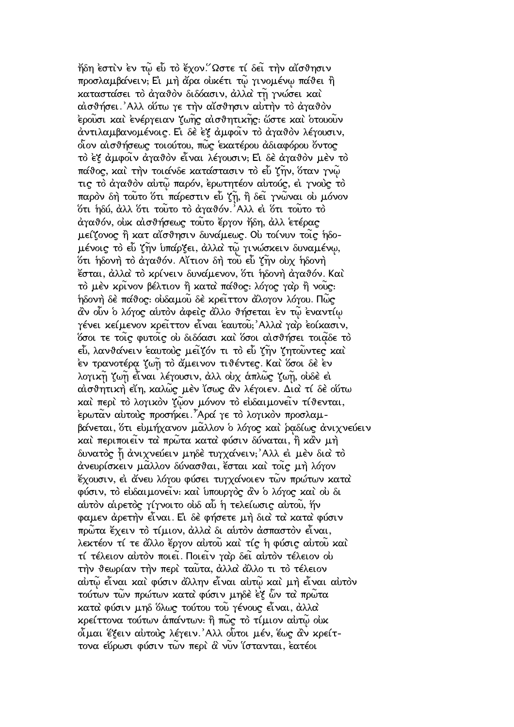ήδη εστιν εν τω εύ το έχον. Ωστε τί δει την αίσθησιν προσλαμβάνειν: Ει μη άρα οὐκέτι τὦ γινομένω πάθει ἢ καταστάσει τὸ ἀγαθὸν διδόασιν, ἀλλα τῆ γνώσει καὶ αισθήσει.'Αλλ ούτω γε την αίσθησιν αυτην το αγαθον έρουσι και ένέργειαν ζωης αισθητικης: ὥστε και στουουν άντιλαμβανομένοις. Ει δὲ ἐ άμφοῖν τὸ ἀγαθὸν λέγουσιν. οίον αισθήσεως τοιούτου, πως εκατέρου αδιαφόρου όντος τὸ ἐ άμφοῖν ἀγαθὸν ἐἶναι λέγουσιν: Ει δὲ ἀγαθὸν μὲν τὸ πάθος, και την τοιανδε κατάστασιν το εύ ζην, όταν γνώ τις το άγαθον αυτώ παρόν, ερωτητέον αυτούς, ει γνούς το παρὸν δη τουτο ότι παρεστιν εὖ ζη, ή δει γνωναι ου μόνον ότι ἡδύ, ἀλλ ότι τοῦτο τὸ ἀγαθόν. Ἀλλ ἐι ὅτι τοῦτο τὸ άγαθόν, οὐκ αἰσθήσεως τοῦτο ἔογον ἤδη, ἀλλ Ἑτέοας μείζονος ή κατ αίσθησιν δυνάμεως. Ου τοίνυν τοις ήδομένοις τὸ εὖ Υγν ὑπαρ ει, ἀλλα τὦ γινώσκειν δυναμένω. στι ηδονη το αγαθόν. Αίτιον δη του εύ ζην ουχ ηδονη έσται, άλλα` τὸ κοίνειν δυνάμενον, ὅτι ἡδονὴ ἀγαθόν, Καὶ τὸ μèν κοῖνον βέλτιον ἢ κατὰ πάθος: λόγος γαὸ ἢ νοῦς: τδονη δε πάθος: ουδαμοῦ δε κρεῖττον ἀλογον λόγου. Πῶς ἀν οἶν ὁ λόγος αὑτὸν ἀφεὶς ἄλλο θήσεται ἐν τῷ ἐναντίω γένει κείμενον κοεῖττον εἶναι 'εαυτοῦ:' Αλλα` γαὸ 'εοίκασιν. Όσοι τε τοις φυτοις ου διδόασι και όσοι αισθήσει τοιαδε το εὖ. λανθανειν εαυτούς μεῖζόν τι τὸ εὖ ζῆν ζητοῦντες καὶ έν τρανοτέρα ζωη τὸ ἄμεινον τιθέντες. Και ὅσοι δε έν λογικῆ ζωῆ ἐἶναι λέγουσιν, ἀλλ οὐχ ἁπλῶς ζωῆ, οὐδè ἐι αισθητική είη, καλῶς μèν ἴσως ἀν λέγοιεν. Δια τί δè οὕτω καὶ πεοὶ τὸ λογικὸν ἴὦον μόνον τὸ εὐδαιμονεῖν τίθενται. εοωτᾶν αὐτούς ποοσήκει. "Αοά γε τὸ λογικὸν ποοσλαμβανεται, ότι εὐμήχανον μᾶλλον ὁ λόγος καὶ ῥαδίως ἀνιχνεύειν και περιποιείν τα πρώτα κατα φύσιν δύναται, ή κάν μή δυνατὸς ἦ ἀνιχνεύειν μηδὲ τυγχανειν; Ἀλλ ἐι μὲν δια τὸ άνευρίσκειν μᾶλλον δύνασθαι. ἔσται καὶ τοῖς μὴ λόγον έχουσιν, ἐι ἄνευ λόγου φύσει τυγχανοιεν τῶν πρώτων κατα` φύσιν, τὸ εὐδαιμονεῖν: καὶ ὑπουογὸς ἀν ὁ λόγος καὶ οὐ δι αὑτὸν αἱρετὸς γίγνοιτο οὐδ αὖ ἡ τελείωσις αὐτοῦ, ἥν φαμεν άρετην είναι. Ει δε φήσετε μη δια τα κατα φύσιν πρῶτα ἔχειν τὸ τίμιον, ἀλλα` δι αὑτὸν ἀσπαστὸν εἶναι, λεκτέον τί τε άλλο ἔογον αὐτοῦ καὶ τίς ἡ φύσις αὐτοῦ καὶ τί τέλειον αὐτὸν ποιεῖ. Ποιεῖν γαὸ δεῖ αὐτὸν τέλειον οὐ τὴν θεωρίαν τὴν περὶ ταῦτα, ἀλλα ἄλλο τι τὸ τέλειον αὐτῶ ἐἶναι καὶ φύσιν ἀλλην ἐἶναι αὐτῶ καὶ μὴ ἐἶναι αὐτὸν τούτων των πρώτων κατα φύσιν μηδε εξ ὧν τα πρώτα κατα` φύσιν μηδ δλως τούτου τοῦ γένους ἐἶναι, ἀλλα` κρείττονα τούτων απάντων: ή πως το τίμιον αυτώ ουκ οἶ μαι ἕξειν αὐτοὺς λέγειν.'Αλλ οὗτοι μέν, ἕως ἀν κοείττονα εύρωσι φύσιν των περί α νυν ίστανται, εατέοι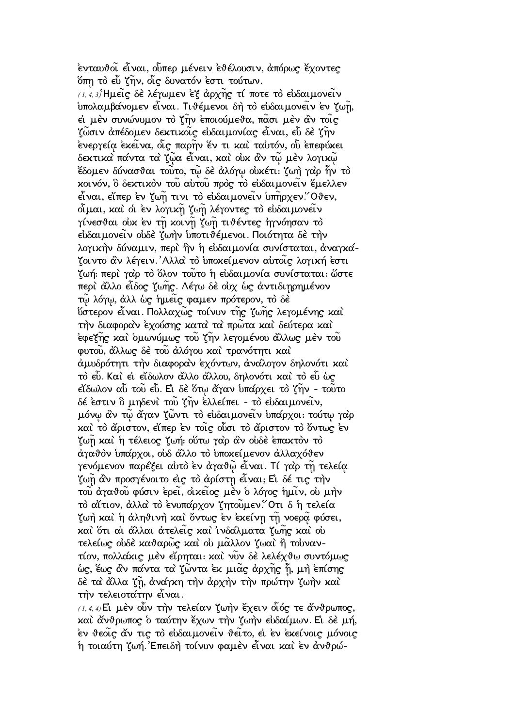,<br>ενταυθοῖ ἐἶναι, οὗπερ μένειν ἐθέλουσιν, ἀπόρως ἔχοντες όπη τὸ εὖ ζῆν, οἶς δυνατόν 'εστι τούτων.

(1, 4, 3) Ημείς δε λέγωμεν εξ άρχης τί ποτε το ευδαιμονείν ίπολαμβανομεν εἶναι. Τιθέμενοι δὴ τὸ εὐδαιμονεῖν ἐν ζωῆ. ει μεν συνώνυμον το ζην εποιούμεθα, πασι μεν άν τοις ζώσιν απέδομεν δεκτικοις ευδαιμονίας είναι, εύ δε ζην ενεργεία εκείνα, δίς παρήν έν τι και ταυτόν, ού επεφύκει δεκτικα πάντα τα ζῶα εἶναι, και σὐκ ἀν τῶ μὲν λογικῶ έδομεν δύνασθαι τοὖτο, τὦ δὲ ἀλόγω οὐκέτι: "(wn γα`ο ἦν τὸ κοινόν. δ δεκτικον τοῦ αὐτοῦ ποος τὸ εὐδαιμονεῖν ἔμελλεν εἶναι, είπερ εν ζωη τινι το ευδαιμονεϊν υπηρχεν. Οθεν, οἶ μαι, καὶ οἱ ἐν λογικῆ " (ωῆ λέγοντες τὸ εὐδαι μονεῖν γίνεσθαι ούκ έν τη κοινη ζωη τιθέντες ηγνόησαν το ευδαιμονείν ουδέ ζωην υποτιθέμενοι. Ποιότητα δε την λογικὴν δύναμιν, πεοὶ ἣν ἡ εὐδαιμονία συνίσταται, ἀναγκά-7οιντο άν λέγειν.'Αλλα` τὸ ὑποκείμενον αὐτοῖς λογική ἐστι ζωή: πεοὶ γαὸ τὸ ὅλον τοῦτο ἡ εὐδαι μονία συνίσταται: ὥστε περὶ ἄλλο ἐἶδος 'ζωῆς. Λέγω δὲ οὐχ ὡς ἀντιδιηρημένον τῶ λόγω, ἀλλ ὡς ἡμεῖς φαμεν πρότερον, τὸ δὲ ὕστερον εἶναι. Πολλαχῶς τοίνυν τῆς ζωῆς λεγομένης καὶ την διαφοραν εχούσης κατα τα πρώτα και δεύτερα και ,<br>εφετής καὶ διμωνύμως τοῦ την λεγομένου ἄλλως μὲν τοῦ φυτοῦ, ἄλλως δὲ τοῦ ἀλόγου καὶ τοανότητι καὶ άμυδρότητι την διαφοραν 'εχόντων, άναλογον δηλονότι και` τὸ εὖ. Καὶ ἐι ἐίδωλον ἄλλο ἄλλου, δηλονότι καὶ τὸ εὖ ὡς είδωλον αὗ τοῦ εὗ. Εἰ δὲ ὅτῳ ἄγαν ὑπάρχει τὸ ζῆν - τοῦτο δέ ἐστιν ὃ μηδενὶ τοῦ Ύν ἐλλείπει - τὸ εὐδαιμονεῖν. μόνω ἀν τῷ άγαν ζῶντι τὸ εὐδαιμονεῖν ὑπάρχοι: τούτω γαρ και το άριστον, είπερ εν τοις ούσι το άριστον το όντως εν ζωῆ καὶ ἡ τέλειος ζωή: οὕτω γαὸ ἀν οὐδὲ ἐπακτὸν τὸ άγαθὸν ὑπαρχοι, οὐδ άλλο τὸ ὑποκείμενον ἀλλαχόθεν γενόμενον παρέ<sup>γ</sup>ει αὐτὸ ἐν ἀγαθὧ ἐἶναι. Τί γαρ τη τελεία 'ζωή άν προσγένοιτο είς το άρίστη είναι; Ει δέ τις την τοῦ ἀγαθοῦ φύσιν ἐρεῖ, οἰχεῖος μὲν ὁ λόγος ἡμῖν, οὐ μὴν τὸ αἴτιον, ἀλλα` τὸ ἐνυπάρχον ζητοῦμεν. Ότι δ ἡ τελεία  $\displaystyle \mathcal{W}$  και ή άλη $\displaystyle \mathcal{W}$ ινή και ὄντως ἐν ἐκείνη τῆ νοεο $\widetilde{\alpha}$  φύσει. καὶ ὅτι αί ἄλλαι ἀτελεῖς καὶ Ἰνδαλματα "ζωῆς καὶ οὐ τελείως ουδέ καθαοὧς καὶ ου μᾶλλον ζωαὶ ἢ τουναντίον, πολλάκις μὲν ἐίρηται: καὶ νῦν δὲ λελέχθω συντόμως ώς, έως άν πάντα τα ζώντα εκ μιας άρχης ή, μη επίσης δὲ τα ἄλλα ζῆ, ἀναγκη την ἀρχην την πρώτην ζωην και Τ την τελειοτάτην εἶναι.

 $(1, 4, 4)$ Ει μέν οὖν την τελείαν ζωην έχειν οἷός τε άνθρωπος, και άνθρωπος ο ταύτην έχων την ζωην ευδαίμων. Ει δε μή, έν θεοῖς ἄν τις τὸ εὐδαιμονεῖν θεῖτο, εἰ ἐν ἐκείνοις μόνοις η τοιαύτη ζωή. Επειδη τοίνυν φαμεν εἶναι και εν άνθρώ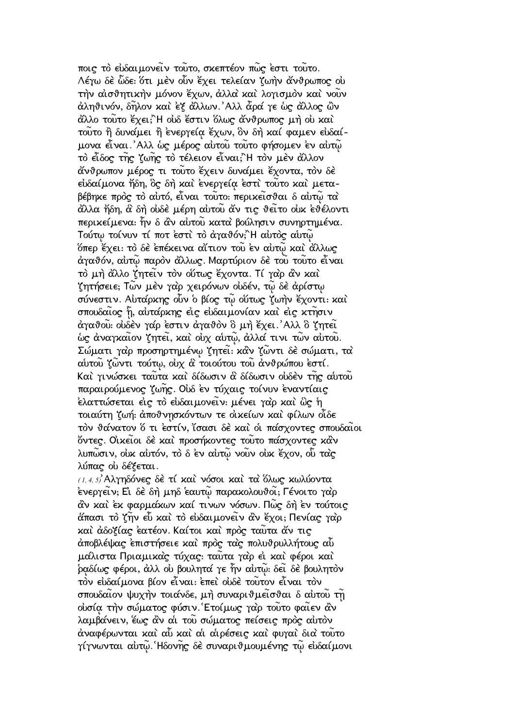ποις το ευδαιμονείν τούτο, σκεπτέον πως έστι τούτο. Λέγω δὲ ὧδε: ὅτι μὲν οὖν ἔχει τελείαν ζωὴν ἄνθρωπος οὐ τὴν αἰσθητικὴν μόνον ἔχων, ἀλλα καὶ λογισμὸν καὶ νοῦν άληθινόν, δηλον καὶ 'ε άάλων,' Αλλ ἆοά τε ὡς άλλος ὢν άλλο τοῦτο ἔχει;`Η οὐδ ἔστιν ὅλως ἀνθρωπος μὴ οὐ καὶ τούτο ή δυναμει ή ενεργεία έχων, δν δη καί φαμεν ευδαίμονα εἶναι.'Αλλ ώς μέρος αυτοῦ τοῦτο φήσομεν εν αυτῶ τὸ ểἶδος τῆς ἴωῆς τὸ τέλειον ểἶναι: Ἡ τὸν μèν ἄλλον άνθρωπον μέρος τι τουτο έχειν δυναμει έχοντα, τον δέ εύδαίμονα ἤδη, δς δη και ενεργεία εστι τουτο και μεταβέβηκε πρὸς τὸ αυτό, εἶναι τουτο: περικεισθαι δ αυτώ τα άλλα ἤδη, & δὴ οὐδὲ μέρη αὐτοῦ ἄν τις θεῖτο οὐκ ἐθέλοντι πεοικεί μενα: ἦν δ ἀν αὐτοῦ κατα βούλησιν συνηοτημένα. Τούτω τοίνυν τί ποτ 'εστι` τὸ ἀγαθόν:``Η αὐτὸς αὑτῶ ὅπερ ἔχει: τὸ δὲ ἐπέκεινα αἴτιον τοῦ ἐν αὐτῷ καὶ ἄλλως άγαθόν, αὐτὧ παρὸν ἄλλως. Μαρτύριον δὲ τοῦ τοῦτο ἐἶναι τὸ μὴ ἄλλο ζητεῖν τὸν οὕτως ἔχοντα. Τί γαρ ἀν καὶ 'ζητήσειε; Των μέν γαρ χειρόνων ουδέν, τω δε αρίστω σύνεστιν. Αυτάρκης ούν ο βίος τω ούτως ζωην έχοντι: και σπουδαΐος η αυτάρκης είς ευδαιμονίαν και είς κτησιν άγαθοῦ: οὐδὲν γάρ ἐστιν ἀγαθὸν ὃ μὴ ἔχει. Ἀλλ ὃ ζητεῖ ώς άναγκαῖον ζητεῖ, καὶ οὐχ αὑτῷ, ἀλλα τινι τῶν αὐτοῦ. Σώματι γαρ προσηρτημένω ζητει: κάν ζώντι δε σώματι, τα αυτου ζώντι τούτω, ουχ α τοιούτου του ανθρώπου έστί. Και γινώσκει ταύτα και δίδωσιν α δίδωσιν ουδεν της αυτού παραιρούμενος ζωής. Ουδ εν τύχαις τοίνυν εναντίαις ,<br>ελαττώσεται είς τὸ εὐδαιμονεῖν: μένει γαὸ καὶ ὣς ἡ τοιαύτη ζωή: ἀποθνησκόντων τε οικείων καὶ φίλων οἶδε τον θανατον & τι έστίν, ίσασι δε και οι πασχοντες σπουδαίοι όντες. Οικείοι δε και προσήκοντες τούτο πασχοντες κάν λυπῶσιν, οὐκ αὐτόν, τὸ δ ἐν αὐτῷ νοῦν οὐκ ἔχον, οὗ τας λύπας ου δέ<sup>γ</sup>εται.

(1, 4, 5) Αλγηδόνες δε τί και νόσοι και τα δλως κωλύοντα ενεογεῖν: Ει δὲ δὴ μηδ ἑαυτῶ παρακολουθοῖ: Γένοιτο γαὸ άν και εκ φαρμάκων καί τινων νόσων. Πως δη εν τούτοις άπασι τὸ ζην εὖ και τὸ ευδαιμονεῖν ἀν ἔχοι; Πενίας γαρ και άδοξίας εατέον. Καίτοι και πρός ταυτα άν τις άποβλέψας 'επιστήσειε και ποδς τας πολυθουλλήτους αὖ μαλιστα Πριαμικας τύχας: ταῦτα γαρ ἐι καὶ φέροι καὶ δαδίως φέροι, άλλ οὐ βουλητα γε ἦν αὐτῶ: δεῖ δè βουλητὸν τον ευδαίμονα βίον εἶναι: επει ουδε τουτον εἶναι τον σπουδαίον ψυχήν τοιανδε, μή συναριθμείσθαι δ αύτου τη ούσία την σώματος φύσιν. Ετοίμως γαρ τούτο φαϊεν άν λαμβάνειν, έως ἀν αι τοῦ σώματος πείσεις ποὸς αὐτὸν άναφέρωνται και αὖ και αί αίρέσεις και φυγαι δια τουτο γίγνωνται αὐτὧ. Ήδονῆς δὲ συναριθμουμένης τὧ εὐδαίμονι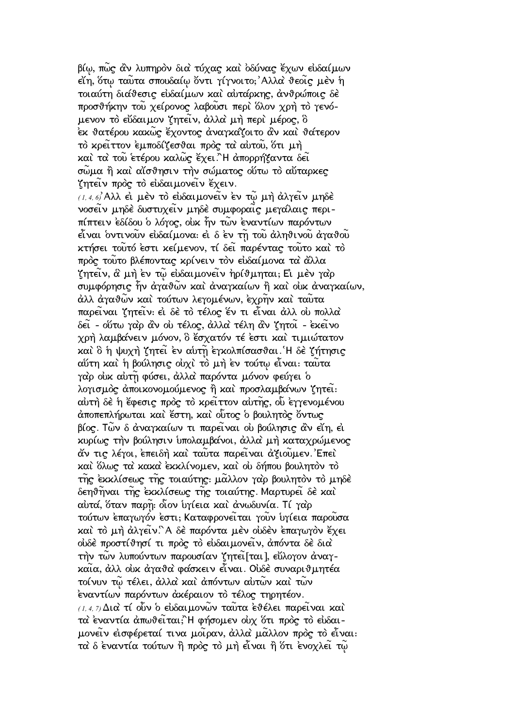βίω, πως άν λυπηρον δια τύχας και οδύνας έχων ευδαίμων είη, ότω ταυτα σπουδαίω όντι γίγνοιτο; Αλλα θεοις μεν η τοιαύτη διάθεσις ευδαίμων και αυτάρκης, ανθρώποις δε προσθήκην του χείρονος λαβούσι περι όλον χρή το γενόμενον τὸ εὔδαιμον ζητεῖν, ἀλλα μή περι μέρος, δ έκ θατέρου κακώς έχοντος άναγκαΐοιτο άν και θάτερον το κρείττον εμποδίζεσθαι πρός τα αύτου, ότι μή και τα του ετέρου καλώς έχει. Η απορρήξαντα δεί σώμα ή και αίσθησιν την σώματος ούτω το αύταρκες ζητείν πρός το ευδαιμονείν έχειν.

 $(1, 4, 6)$  Αλλ εί μεν το ευδαιμονείν εν τω μη άλγείν μηδε νοσείν μηδέ δυστυχείν μηδέ συμφοραίς μεγάλαις περιπίπτειν 'εδίδου ο λόγος, ούκ ήν των 'εναντίων παρόντων είναι οντινούν ευδαίμονα: εί δ έν τη του άληθινου άγαθου κτήσει τουτό έστι κείμενον, τί δει παρέντας τουτο και το πρὸς τουτο βλέποντας κρίνειν τον ευδαίμονα τα άλλα ζητείν, α μη εν τω ευδαιμονείν ηρίθμηται; Ει μεν γαρ συμφόρησις ήν άγαθών και άναγκαίων ή και ουκ άναγκαίων, άλλ άγαθών και τούτων λεγομένων, εχρην και ταυτα παρείναι ζητείν: εί δε το τέλος έν τι είναι άλλ ου πολλα δει - ούτω γαρ άν ου τέλος, άλλα τέλη άν ζητοι - εκεινο χρή λαμβάνειν μόνον, δ έσχατόν τέ έστι και τιμιώτατον και δή ψυχή ζητει εν αυτη εγκολπίσασθαι. Η δε ζήτησις αύτη και η βούλησις ουχι το μη έν τούτω είναι: ταυτα γαρ ουκ αυτή φύσει, άλλα παρόντα μόνον φεύγει δ λογισμός άποικονομούμενος ή και προσλαμβανων ζητει: αύτη δε η έφεσις πρός το κρείττον αύτης, ού εγγενομένου άποπεπλήρωται και έστη, και ούτος ο βουλητος όντως βίος. Των δ άναγκαίων τι παρείναι ού βούλησις άν είη, ει κυρίως την βούλησιν υπολαμβανοι, άλλα μη καταχρώμενος άν τις λέγοι, επειδή και ταυτα παρείναι άξιουμεν. Επει και δλως τα κακα εκκλίνομεν, και ου δήπου βουλητον το της εκκλίσεως της τοιαύτης: μάλλον γαρ βουλητον το μηδέ δεηθηναι της εκκλίσεως της τοιαύτης. Μαρτυρεί δε και αύτα, όταν παρη: οίον υγίεια και ανωδυνία. Τί γαρ τούτων επαγωγόν έστι; Καταφρονείται γουν υγίεια παρούσα καὶ τὸ μὴ ἀλγείν. Α δὲ παρόντα μὲν οὐδὲν ἐπαγωγὸν ἔχει ούδε προστίθησί τι πρός το ευδαιμονείν, άπόντα δε δια την των λυπούντων παρουσίαν ζητεϊ [ται ], εύλογον άναγκαια, άλλ ουκ άγαθα φασκειν είναι. Ουδε συναριθμητέα τοίνυν τῷ τέλει, ἀλλα και ἀπόντων αυτῶν και τῶν έναντίων παρόντων άκέραιον τὸ τέλος τηρητέον.  $(1, 4, 7)$  Δια τί ούν ο ευδαιμονών ταυτα εθέλει παρείναι και τα εναντία απωθείται, Η φήσομεν ουχ ότι προς το ευδαιμονείν εισφέρεταί τινα μοιραν, άλλα μαλλον προς το είναι: τα δεναντία τούτων ή προς το μη είναι ή ότι ενοχλεί τω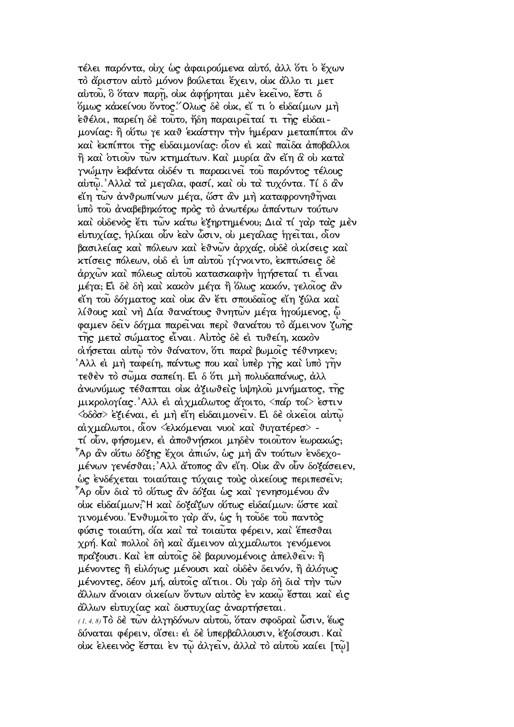τέλει παρόντα, ουχ ώς αφαιρούμενα αυτό, άλλ ότι ο έχων τὸ ἄριστον αυτὸ μόνον βούλεται ἔχειν, ουκ άλλο τι μετ αύτου, δ όταν παρή, ούκ αφήρηται μεν εκείνο, έστι δ δμως κάκείνου ὄντος. Όλως δε ούκ, εί τι ο ευδαίμων μη έθέλοι, παρείη δε τουτο, ήδη παραιρειταί τι της ευδαιμονίας: ή ούτω γε καθ εκαστην την ημέραν μεταπίπτοι άν και εκπίπτοι της ευδαιμονίας: δίον ει και παιδα αποβαλλοι ή και στιούν των κτημάτων. Και μυρία άν είη α ου κατα γνώμην εκβάντα ουδέν τι παρακινει του παρόντος τέλους αύτω. Αλλα τα μεγαλα, φασί, και ου τα τυχόντα. Τί δ άν είη των ανθρωπίνων μέγα, ώστ αν μη καταφρονηθηναι υπό του άναβεβηκότος πρός το άνωτέρω άπαντων τούτων και ουδενός έτι των κάτω εξηρτημένου; Δια τί γαρ τας μέν εύτυχίας, ηλίκαι ούν εαν ώσιν, ου μεγαλας ηγειται, οίον βασιλείας και πόλεων και εθνών άρχας, ουδε οικίσεις και κτίσεις πόλεων, ουδ ει υπ αυτού γίγνοιντο, εκπτώσεις δε άρχων και πόλεως αυτου κατασκαφην ηγήσεταί τι είναι μέγα; Ει δε δη και κακον μέγα ή δλως κακόν, γελοιος άν είη του δόγματος και ουκ άν έτι σπουδαιος είη ζύλα και λίθους και νη Δία θανάτους θνητών μέγα ηγούμενος, ώ φαμεν δείν δόγμα παρείναι περί θανατου το άμεινον ζωης της μετα σώματος είναι. Αυτός δε εί τυθείη, κακόν οιήσεται αυτώ τον θανατον, ότι παρα βωμοίς τέθνηκεν; 'Αλλ ει μη ταφείη, παντως που και υπερ γης και υπο γην τεθέν τὸ σὦμα σαπείη. Ει δ ὅτι μή πολυδαπάνως, ἀλλ άνωνύμως τέθαπται ούκ άξιωθείς υψηλού μνήματος, της μικρολογίας. Αλλ ει αιχμάλωτος άγοιτο, <πάρ τοί> εστιν < δδόσ> εξιέναι, ει μή είη ευδαιμονείν. Ει δε οικείοι αυτώ αιχμαλωτοι, οίον <ελκόμεναι νυοι και θυγατέρεσ> τί ούν, φήσομεν, ει άποθνήσκοι μηδεν τοιούτον εωρακώς; <sup>γ</sup>Άρ ἀν οὕτω δόξης ἔχοι ἀπιών, ὡς μὴ ἀν τούτων ἐνδεχομένων γενέσθαι; Αλλ άτοπος άν είη. Ουκ άν ούν δοξασειεν, ώς ενδέχεται τοιαύταις τύχαις τούς οικείους περιπεσείν; <sup>γ</sup>Άρ οὖν δια` τὸ οὕτως ἀν δόξαι ὡς καὶ γενησομένου ἀν ούκ ευδαίμων; Η και δοξάζων ούτως ευδαίμων: ώστε και γινομένου. Ενθυμοίτο γαρ άν, ως η τουδε του παντός φύσις τοιαύτη, οία και τα τοιαυτα φέρειν, και έπεσθαι γρή. Και πολλοι δη και άμεινον αιγμαλωτοι γενόμενοι πραξουσι. Και 'επ αυτοις δε βαρυνομένοις απελθειν: ή μένοντες ή ευλόγως μένουσι και ουδεν δεινόν, ή άλόγως μένοντες, δέον μή, αυτοίς αίτιοι. Ου γαρ δη δια την των άλλων άνοιαν οικείων όντων αυτος εν κακω έσται και εις άλλων ευτυχίας και δυστυχίας αναρτήσεται.

 $(1, 4, 8)$  Το δε των άλγηδόνων αύτου, όταν σφοδραι ώσιν, έως δύναται φέρειν, οΐσει: ει δε υπερβαλλουσιν, εξοίσουσι. Και ούκ ελεεινός έσται εν τῷ ἀλγεῖν, ἀλλα τὸ αὐτοῦ καίει [τῷ]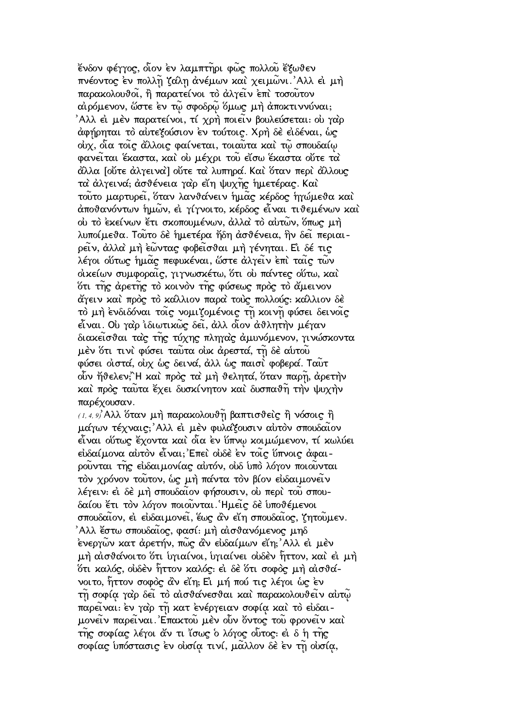ένδον φέγγος, οἷον ἐν λαμπτῆοι φῶς πολλοῦ ἔἕωθεν πνέοντος ἐν πολλῇ ζαλῃ ἀνέμων καὶ χειμῶνι. Ἀλλ ἐι μὴ παρακολουθοι. ἢ παρατείνοι τὸ ἀλγειν ἐπι τοσούτον αιρόμενον, ώστε εν τω σφοδρώ όμως μη αποκτιννύναι; Αλλ ει μεν παρατείνοι, τί χρή ποιείν βουλεύσεται: ου γαρ άφήρηται τὸ αυτεξούσιον εν τούτοις. Χρη δε ειδέναι, ως ούχ, οἷα τοῖς άλλοις φαίνεται, τοιαῦτα καὶ τῷ σπουδαίῳ φανείται έκαστα, και ου μέχρι του είσω έκαστα ούτε τα άλλα Ιούτε άλγεινα lούτε τα λυπηρα. Και δταν περι άλλους τα` άλγεινα, ασθένεια γαρ εἴη ψυχῆς ἡμετέρας. Και` τοῦτο μαρτυρεῖ. ὅταν λανθάνειν ἡμᾶς κέρδος ἡγώμεθα καὶ άποθανόντων ημών, ει γίγνοιτο, κέρδος είναι τιθεμένων και οὐ τὸ ἐκείνων ἔτι σκοπουμένων, ἀλλα τὸ αὐτῶν, ὅπως μὴ λυποί μεθα. Τοῦτο δὲ ἡμετέρα ἤδη ἀσθένεια, ἣν δεῖ περιαιοεῖν, ἀλλα μὴ ἐὦντας φοβεῖσθαι μὴ γένηται. Ει δέ τις λέγοι οὕτως ἡμᾶς πεφυκέναι, ὥστε ἀλγεῖν ἐπὶ ταῖς τῶν οικείων συμφοραις, γιγνωσκέτω, ότι ου παντες ούτω, και ότι της άρετης το κοινον της φύσεως προς το άμεινον άγειν καὶ ποὸς τὸ καλλιον παοα` τοὺς πολλούς: καλλιον δὲ το μη ενδιδόναι τοις νομιζομένοις τη κοινη φύσει δεινοις εἶναι. Οὐ γαὸ ἰδιωτικῶς δεῖ, ἀλλ οἶον ἀθλητὴν μέγαν διακεῖσθαι τας τῆς τύχης πληγας ἀμυνόμενον, γινώσκοντα μέν ότι τινι φύσει ταυτα ουκ άρεστά, τη δε αυτου φύσει οιστα, ουχ ως δεινα, αλλ ως παισι φοβερα. Ταῦτ οὖν ἤθελεν:`Η καὶ ποὸς τα` μὴ θελητά. ὅταν παοῆ, ἀοετὴν και πρός ταύτα έχει δυσκίνητον και δυσπαθή την ψυχην παρέχουσαν.

 $(1,4,9)$  Αλλ ὅταν μη παρακολουθη βαπτισθείς ή νόσοις ή μάγων τέχναις;'Αλλ ει μεν φυλάξουσιν αυτον σπουδαῖον εἶναι οὕτως ἔχοντα καὶ οἷα ἐν ὕπνῳ κοιμώμενον, τί κωλύει ευδαίμονα αυτον είναι; Επει ουδε εν τοις ύπνοις άφαιροῦνται της εὐδαιμονίας αὐτόν, οὐδ ὑπὸ λόγον ποιοῦνται τον χρόνον τούτον, ώς μη παντα τον βίον ευδαιμονείν λέγειν: εἰ δὲ μὴ σπουδαῖον φήσουσιν, οὐ πεοὶ τοῦ σπουδαίου ἔτι τὸν λόγον ποιοῦνται. Ἡμεῖς δὲ ὑποθέμενοι σπουδαίον, ει ευδαιμονει, έως άν είη σπουδαιος, ζητούμεν. Αλλ έστω σπουδαΐος, φασί: μη αισθανόμενος μηδ ,<br>ενεογῶν κατ ἀοετήν, πῶς ἀν εὐδαίμων εἴη: Ἀλλ εἰ μèν μη αισθανοιτο ότι υγιαίνοι, υγιαίνει ουδεν ηττον, και εί μη őτι καλός, οὐδὲν ἧττον καλός: ἐι δὲ ὅτι σοφὸς μὴ αἰσθας νοιτο, <del>ἧττ</del>ον σοφὸς ἀν ἐίη: Ει μή πού τις λέγοι ὡς ἐν τη σοφία γαρ δεῖ τὸ αισθανεσθαι καὶ παρακολουθεῖν αὐτῶ παρείναι: έν γαρ τη κατ ενέργειαν σοφία και το ευδαιμονείν παρείναι. Επακτού μέν ούν όντος του φρονείν και της σοφίας λέγοι άν τι ἴσως ὁ λόγος οὗτος: εἰ δ ἡ της σοφίας ὑπόστασις ἐν οὐσία τινί, μᾶλλον δὲ ἐν τῆ οὐσία.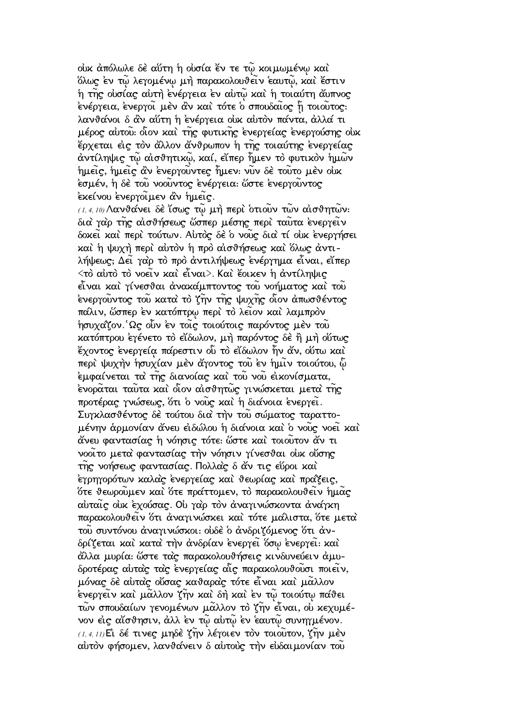οὐκ ἀπόλωλε δὲ αὕτη ἡ οὐσία ἔν τε τῶ κοι μωμένω καὶ δλως ἐν τῶ λεγομένω μὴ παρακολουθεῖν Ἑαυτῶ, καὶ ἔστιν η της ουσίας αύτη ενέργεια εν αυτώ και η τοιαύτη άυπνος ενέργεια, ενεργοι μεν άν και τότε ο σπουδαίος ή τοιούτος: λανθάνοι δ ἀν αὕτη ἡ ἐνέογεια οὐκ αὐτὸν πάντα, ἀλλα τι μέρος αύτου: οίον και της φυτικής ενεργείας ενεργούσης ούκ ἔρχεται εἰς τὸν ἄλλον ἄνθρωπον ἡ τῆς τοιαύτης ἐνεργείας άντίληψις τὧ αἰσθητικὧ, καί, ἐίπεο ἦμεν τὸ φυτικὸν ἡμῶν ημείς, ημείς άν ενεργούντες ήμεν: νύν δε τούτο μεν ούκ εσμέν, η δε του νοούντος ενέργεια: ώστε ενεργούντος εκείνου ενεργοιμεν άν ημείς.

 $(1, 4, 10)$  Λανθάνει δε Ίσως τ $\widetilde{\omega}$  μη περι οτιούν των αισθητών: δια γαρ της αισθήσεως ώσπερ μέσης περι ταυτα ενεργείν δοκεί και περι τούτων. Αυτός δε ο νους δια τί ουκ ενεργήσει καὶ ἡ ψυχὴ περὶ αὐτὸν ἡ πρὸ αισθήσεως καὶ ὅλως ἀντιλήψεως: Δεῖ γαὸ τὸ ποὸ ἀντιλήψεως ἐνέογημα εἶναι, εἴπεο  $<$ τὸ αὐτὸ τὸ νοεῖν καὶ εἶναι>. Καὶ ἔοικεν ἡ ἀντίληψις είναι και γίνεσθαι άνακαμπτοντος του νοήματος και του ένεργούντος του κατα το ζην της ψυχης οίον απωσθέντος παλιν, ὥσπεο ἐν κατόπτοω πεοὶ τὸ λεῖον καὶ λαμποὸν ησυχαζον. Ώς ούν εν τοις τοιούτοις παρόντος μεν του κατόπτοου 'εγένετο τὸ ἐἴδωλον, μὴ παρόντος δὲ ἢ μὴ οὕτως ἔχοντος ἐνεργεία πάρεστιν οὗ τὸ ἐίδωλον ἦν ἄν, οὕτω καὶ περι ψυχην ησυχίαν μεν άγοντος του εν ημίν τοιούτου, ώ έμφαίνεται τα της διανοίας και του νου εικονίσματα, ένοραται ταυτα και δίον αισθητως γινώσκεται μετα της προτέρας γνώσεως, ότι ο νους και η διανοια ενεργει. Συγκλασθέντος δὲ τούτου δια την τοῦ σώματος ταραττομένην άρμονίαν άνευ ειδώλου ή διανοια και ο νους νοει και ζ άνευ φαντασίας η νόησις τότε: ώστε και τοιούτον άν τι νοοίτο μετα φαντασίας την νόησιν γίνεσθαι ούκ ούσης της νοήσεως φαντασίας. Πολλας δ άν τις εύροι και σ ,<br>εγοηγορότων καλας ένεργείας και θεωρίας και πραΐεις. Ότε θεωροῦμεν καὶ ὅτε πράττομεν, τὸ παρακολουθεῖν ἡμᾶς αύταις ούκ εχούσας. Ου γαρ τον αναγινώσκοντα αναγκη παρακολουθεῖν ὅτι ἀναγινώσκει καὶ τότε μαλιστα, ὅτε μεταὶ του συντόνου άναγινώσκοι: ουδε ο άνδριζόμενος ότι άνδρίζεται και κατα την ανδρίαν ενεργει όσω ενεργει: και άλλα μυρία: ώστε τας παρακολουθήσεις κινδυνεύειν άμυδροτέρας αυτας τας ενεργείας αίς παρακολουθούσι ποιείν. μόνας δέ αυτας ούσας καθαρας τότε είναι και μαλλον ,<br>ενεογεῖν καὶ μᾶλλον Υ̃ην καὶ δὴ καὶ ἐν τὧ τοιούτω πάθει τῶν σπουδαίων γενομένων μᾶλλον τὸ ζῆν ἐἶναι, οὐ κεχυμένον εις αίσθησιν, άλλ εν τῶ αὐτῶ ἐν ἑαυτῶ συνηγμένον.  $(1, 4, 11)$ Ει δέ τινες μηδε ζην λέγοιεν τον τοιούτον, ζην μεν αὐτὸν φήσομεν, λανθανειν δ αὐτοὺς τὴν εὐδαιμονίαν τοῦ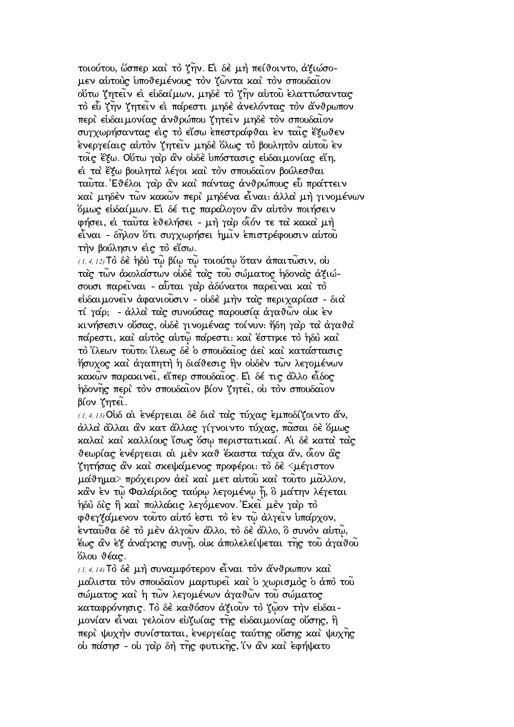τοιούτου, ώσπερ και το ζην. Ει δε μη πείθοιντο, άξιώσομεν αύτους υποθεμένους τον ζώντα και τον σπουδαίον ούτω ζητεῖν ἐι εὐδαίμων, μηδὲ τὸ ζῆν αὐτοῦ ἐλαττώσαντας τὸ ἐὖ Υ̃ην Υπτεῖν εἰ πάρεστι μηδὲ ἀνελόντας τὸν ἄνθρωπον περι ευδαιμονίας άνθρώπου ζητείν μηδε τον σπουδαίον συγχωρήσαντας είς το είσω επεστράφθαι εν ταις έξωθεν ενεογείαις αὐτὸν Υπτεἶν μηδὲ ὅλως τὸ βουλητὸν αὐτοῦ ἐν τοις έξω. Ούτω γαρ άν ουδε υπόστασις ευδαιμονίας είη, ει τα`ἔἕω βουλητα`λέγοι καὶ τὸν σπουδαῖον βούλεσθαι ταῦτα. Ἐθέλοι γαὸ ἀν καὶ πάντας ἀνθοώπους εὗ ποάττειν χαὶ μηδὲν τῶν χαχῶν πεοὶ μηδένα ἐἶναι: ἀλλα μὴ γινομένων διιως εὐδαίμων. Ει δέ τις παραλογον ἀν αὐτὸν ποιήσειν φήσει, ει ταῦτα ἐθελήσει - μὴ γαὸ οἶόν τε τὰ κακὰ μὴ εἶναι - δῆλον ὅτι συγχωρήσει ἡμῖν ἐπιστρέφουσιν αὐτοῦ τὴν βούλησιν ἐις τὸ ἐίσω.

(1, 4, 12) Το δε ήδυ τω βίω τω τοιούτω όταν απαιτώσιν, ου τας τῶν ακολαστών οὐδε τας τοῦ σώματος ἡδονας α ειώσουσι παρείναι - αύται γαρ άδύνατοι παρείναι και το εύδαι μονείν άφανιούσιν - ούδε μήν τας περιχαρίασ - δια τί γα΄ο: - άλλα τας συνούσας παρουσία άγαθὧν ουκ έν κινήσεσιν ούσας, ούδε γινομένας τοίνυν: ήδη γαρ τα άγαθα πάρεστι, και αυτός αυτώ πάρεστι: και έστηκε το ηδυ και τὸ ἵλεων τοῦτο: ἵλεως δὲ ὁ σπουδαῖος ἀεὶ καὶ καταστασις ἥσυχος καὶ ἀγαπητὴ ἡ διαθεσις ἣν οὐδὲν τῶν λεγομένων κακῶν παρακινεῖ, ἐίπερ σπουδαῖος. Ει δέ τις ἄλλο ἐἶδος ηδονης περί τον σπουδαΐον βίον ζητεϊ, ου τον σπουδαΐον βίον ζητει.

(1, 4, 13) Ουδ αι ενέργειαι δε δια τας τύχας εμποδίζοιντο άν, άλλα άλλαι άν κατ άλλας γίγνοιντο τύχας, πᾶσαι δὲ ὅμως καλαὶ καὶ καλλίους ἴσως ὅσω περιστατικαί. Αἱ δὲ κατὰ τας θεωρίας ενέργειαι αι μεν καθ έκαστα τάχα άν, οίον ας ζητήσας άν και σκεψάμενος προφέροι: το δε <μέγιστον μάθημα> πρόχειρον ἀεὶ καὶ μετ αὐτοῦ καὶ τοῦτο μᾶλλον, κάν ἐν τῷ Φαλαριδος ταύρω λεγομένω ἦ, ὃ ματην λέγεται ከδυ δις ἢ και πολλάκις λεγόμενον. Εκεῖ μεν γαο το τ φθεγξάμενον τοῦτο αὐτό ἐστι τὸ ἐν τῷ ἀλγεῖν ὑπάρχον, ' ενταῦθα δὲ τὸ μὲν ἀλγοῦν ἄλλο, τὸ δὲ ἄλλο, ὃ συνὸν αὐτῶ. έως ἀν ἐ άναγκης συνῆ, οὐκ ἀπολελείψεται τῆς τοῦ ἀγανοῦ δλου θέας.

(1, 4, 14) Το δε μή συναμφότερον είναι τον άνθρωπον και ζ μαλιστα τον σπουδαῖον μαρτυρεῖ καὶ ὁ χωρισμὸς ὁ ἀπὸ τοῦ σώματος καὶ ἡ τῶν λεγομένων ἀγαθῶν τοῦ σώματος καταφρόνησις. Τὸ δε καθόσον άξιουν τὸ ζώον την ευδαιμονίαν είναι γελοίον ευζωίας της ευδαιμονίας ούσης, η περί ψυχήν συνίσταται, ενεργείας ταύτης ούσης και ψυχης ού πασησ - ου γαρ δη της φυτικής, γν άν και εφήψατο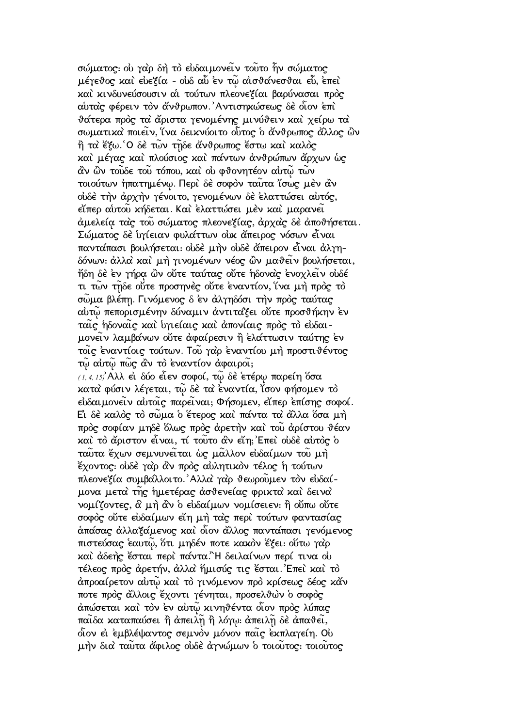σώματος: ου γαρ δη το ευδαιμονείν τουτο ήν σώματος μέγεθος και ευεξία - ουδ αύ εν τω αισθανεσθαι εύ, επει καὶ κινδυνεύσουσιν αί τούτων πλεονε ίαι βαούνασαι ποδς αυτας φέρειν τον άνθρωπον. Αντισηκώσεως δε οίον επι θάτερα πρός τα άριστα γενομένης μινύθειν και χείρω τα σωματικα` ποιεῖν. ἵνα δεικνύοιτο οὗτος ὁ ἄνθοωπος ἄλλος ὢν ή τα έτω. Ο δε τῶν τῆδε άνθοωπος ἔστω καὶ καλὸς καὶ μέγας καὶ πλούσιος καὶ πάντων ἀνθρώπων ἄρχων ὡς άν ών τουδε του τόπου, και ου φθονητέον αυτώ των τοιούτων ηπατημένω. Περι δε σοφον ταυτα ίσως μεν άν οὐδὲ τὴν ἀρχὴν γένοιτο, γενομένων δὲ ἐλαττώσει αὐτός, είπεο αυτοῦ κήδεται. Καὶ ἐλαττώσει μὲν καὶ μαρανεῖ άμελεία τας τοῦ σώματος πλεονεξίας, ἀρχας δὲ ἀποθήσεται. Σώματος δὲ ὑγίειαν φυλάττων οὐκ ἄπειρος νόσων εἶναι παντάπασι βουλήσεται: οὐδè μὴν οὐδè ἄπειρον εἶναι ἀλγηδόνων: ἀλλα καὶ μὴ γινομένων νέος ὢν μαθεῖν βουλήσεται. ἤδη δὲ ἐν γήρα ὢν οὔτε ταύτας οὔτε ἡδονας ἐνοχλεῖν οὐδέ τι των τηδε ούτε προσηνές ούτε εναντίον, ίνα μη πρός το σῶμα βλέπη. Γινόμενος δ ἐν ἀλγηδόσι τὴν ποὸς ταύτας αυτώ πεπορισμένην δύναμιν άντιταξει ούτε προσθήκην εν ταις ηδοναις και υγιείαις και άπονίαις προς το ευδαιμονεῖν λαμβάνων οὔτε ἀφαίρεσιν ἢ ἐλάττωσιν ταύτης ἐν τοις εναντίοις τούτων. Του γαρ εναντίου μη προστιθέντος τω αυτώ πώς άν το εναντίον αφαιροϊ;

 $(L, 4, 15)$  Αλλ ει δύο είεν σοφοί, τω δε ετέρω παρείη δσα κατα` φύσιν λέγεται, τὦ δὲ τα` ἐναντία, ἴσον φήσομεν τὸ εύδαι μονείν αύτοις παρείναι; Φήσομεν, είπερ επίσης σοφοί. Ει δὲ καλὸς τὸ σῶμα ὁ ἕτερος καὶ πάντα τὰ ἄλλα ὅσα μὴ ποὸς σοφίαν μηδὲ ὅλως ποὸς ἀρετὴν καὶ τοῦ ἀρίστου θέαν και το άριστον είναι, τί τουτο άν είη; Επει ουδε αυτός δ ταῦτα ἔχων σεμνυνεῖται ὡς μᾶλλον εὐδαίμων τοῦ μὴ έχοντος: οὐδὲ γαρ ἀν πρὸς αὐλητικὸν τέλος ἡ τούτων πλεονε ία συμβαλλοιτο.'Αλλα` γα`ο θεωροῦμεν τὸν εὐδαίμονα μετα της ημετέρας ασθενείας φρικτα και δεινα νομίζοντες, & μη άν ο ευδαίμων νομίσειεν: η ούπω ούτε σοφός ούτε ευδαίμων είη μη τας περι τούτων φαντασίας άπάσας άλλα τάμενος και δίον άλλος παντάπασι γενόμενος πιστεύσας εαυτώ, ότι μηδέν ποτε κακόν έξει: ούτω γαρ καὶ ἀδεὴς ἔσται περὶ πάντα."Η δειλαίνων περί τινα οὐ τέλεος ποὸς ἀοετήν, ἀλλα` ἥμισύς τις ἔσται.'Επεὶ καὶ τὸ άπροαίρετον αυτώ και το γινόμενον προ κρίσεως δέος κάν ποτε πρὸς ἄλλοις ἔχοντι γένηται, προσελθων ὁ σοφὸς άπώσεται καὶ τὸν ἐν αὐτῶ κινηθέντα οἷον ποὸς λύπας παῖδα καταπαύσει ἢ ἀπειλη ἢ λόγω: ἀπειλη δὲ ἀπαθεῖ. οίον ει εμβλέψαντος σεμνον μόνον παις εκπλαγείη. Ου μην δια ταῦτα ἀφιλος οὐδε ἀγνώμων ὁ τοιοῦτος: τοιοῦτος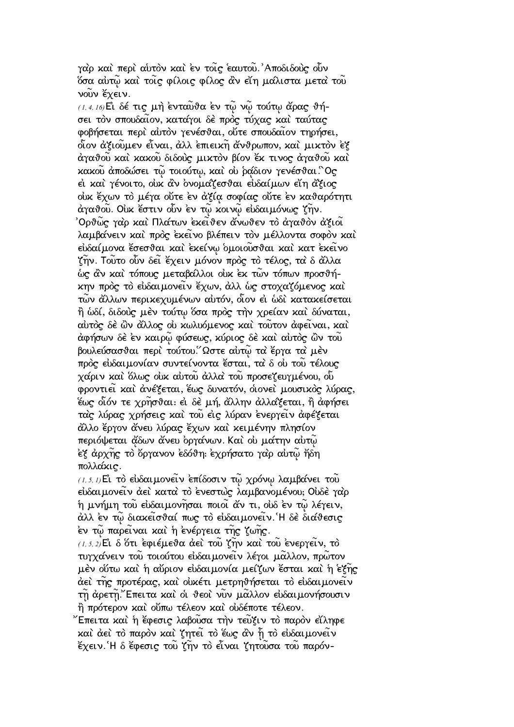γαρ και περι αυτον και εν τοις εαυτου. Αποδιδους ούν δσα αὐτῶ καὶ τοῖς φίλοις φίλος ἀν ἐίη μαλιστα μετα τοῦ νουν έχειν.

 $(1, 4, 16)$ Ει δέ τις μη ενταύθα εν τώ νώ τούτω άρας θήσει τον σπουδαίον, κατάγοι δε προς τύχας και ταύτας φοβήσεται περι αυτον γενέσθαι, ούτε σπουδαίον τηρήσει, οἷον α ειοῦμεν εἶναι, αλλ ἐπιειχῆ ανθοωπον, καὶ μικτον ἐ ε άγαθου και κακού διδούς μικτόν βίον έκ τινος άγαθου και κακού άποδώσει τω τοιούτω, και ου ραδιον γενέσθαι. Ος ει και γένοιτο, ούκ άν ονομαζεσθαι ευδαίμων είη άξιος ούκ έχων το μέγα ούτε εν άξία σοφίας ούτε εν καθαρότητι άγαθου. Ουκ έστιν ούν εν τω κοινω ευδαιμόνως ζην. Οοθώς γαο και Πλατων εκείθεν ανωθεν το αγαθον ατιοί λαμβάνειν καὶ ποὸς ἐκεῖνο βλέπειν τὸν μέλλοντα σοφὸν καὶ εύδαίμονα έσεσθαι και εκείνω δμοιουσθαι και κατ εκείνο ζῆν. Τοῦτο οἶν δεῖ ἔχειν μόνον πρὸς τὸ τέλος, τα δ ἄλλα ώς ἀν καὶ τόπους μεταβαλλοι οὐκ ἐκ τῶν τόπων ποοσθήκην πρὸς τὸ εὐδαιμονεῖν ἔχων, ἀλλ ὡς στοχαζόμενος καὶ τῶν ἄλλων περικεχυμένων αὐτόν, οἷον εἰ ὡδὶ κατακείσεται ή ωδί, διδούς μέν τούτω δσα πρός την χρείαν και δύναται, αύτὸς δὲ ὢν άλλος οὐ κωλυόμενος καὶ τοῦτον ἀφεῖναι, καὶ άφήσων δε εν καιρώ φύσεως, κύριος δε και αυτός ών του βουλεύσασθαι πεοὶ τούτου. Ώστε αὐτὦ τα ἔογα τα μèν ποὸς εὐδαιμονίαν συντείνοντα ἔσται. τα δ οὐ τοῦ τέλους χάριν καὶ ὅλως οὐκ αὐτοῦ ἀλλα τοῦ προσεζευγμένου, οὗ φοοντιεῖ καὶ ἀνέξεται, ἕως δυνατόν, οἱονεὶ μουσικὸς λύοας, έως οἷόν τε χρῆσθαι: ἐι δὲ μή, ἄλλην ἀλλα ξεται, ἢ ἀφήσει τας λύρας χρήσεις και τοῦ ἐις λύραν ἐνεργεῖν ἀφέξεται άλλο ἔργον άνευ λύρας ἔχων καὶ κειμένην πλησίον περιόψεται άδων άνευ οργανων. Και ου ματην αυτώ 'εξ άρχῆς τὸ ὄργανον 'εδόθη: 'εχρήσατο γαρ αυτῷ ἤδη πολλάκις.

 $(1, 5, 1)$ Ει το ευδαιμονείν επίδοσιν τῷ χρόνῳ λαμβανει του εύδαι μονεῖν ἀεὶ κατὰ τὸ ἐνεστως λαμβανομένου: Οὐδὲ γαὸ ከ μνήμη τοῦ εὐδαιμονῆσαι ποιοῖ ἄν τι. οὐδ ἐν τῶ λέγειν. άλλ ἐν τῶ διακεῖσθαί πως τὸ εὐδαιμονεῖν. Ἡ δὲ διάθεσις εν τω παρείναι και η ενέργεια της ζωής.

 $(1, 5, 2)$ Ει δ ότι 'εφιέμεθα άει' του ζην και' του ενεργείν, το τυγχανειν τοῦ τοιούτου εὐδαιμονεῖν λέγοι μᾶλλον, πρῶτον μὲν οὕτω καὶ ἡ αὔριον εὐδαιμονία μείζων ἔσται καὶ ἡ ἑξης άει της προτέρας, και ουκέτι μετρηθήσεται το ευδαιμονειν τη άρετη."Επειτα καὶ οἱ θεοὶ νῦν μᾶλλον εὐδαιμονήσουσιν ή`ποότερον καὶ οὔπω τέλεον καὶ οὐδέποτε τέλεον.

Επειτα και ή έφεσις λαβούσα την τεύξιν το παρον είληφε και άει το παρον και ζητεί το έως άν ή το ευδαιμονείν ἔχειν. Ἡ δ ἔφεσις τοῦ ζῆν τὸ ἐἶναι ζητοῦσα τοῦ παρόν-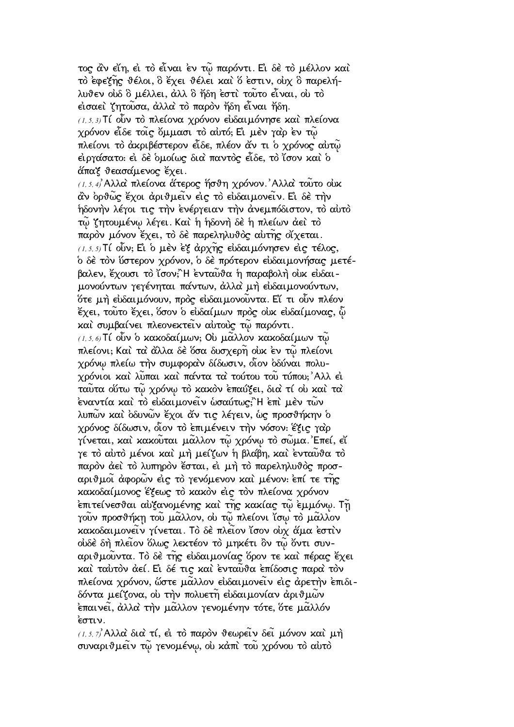τος άν είη, ει τὸ εἶναι ἐν τὦ παρόντι. Ει δὲ τὸ μέλλον καὶ τὸ ἐφεξῆς θέλοι, ὃ ἔχει θέλει καὶ ὅ ἐστιν, οὐχ ὃ παρελήλυθεν οὐδ ὃ μέλλει, ἀλλ ὃ ἤδη ἐστὶ τοῦτο ἐἶναι, οὐ τὸ εισαεὶ Υητοῦσα, ἀλλα τὸ παρὸν ἤδη εἶναι ἤδη.  $(1, 5, 3)$  Τί οὖν τὸ πλείονα χρόνον εὐδαιμόνησε καὶ πλείονα χρόνον είδε τοις όμμασι το αυτό; Ει μεν γαρ εν τω πλείονι τὸ ἀκριβέστερον ἐἶδε, πλέον ἄν τι ὁ χρόνος αὐτῷ ειργάσατο: εί δε δμοίως δια παντός είδε, το ίσον και δ άπαξ θεασάμενος έχει.

 $(1, 5, 4)$  Αλλα πλείονα άτερος ήσθη χρόνον. Αλλα τούτο ούκ αν ορθώς έχοι αριθμείν είς το ευδαιμονείν. Ει δε την .<br>ከδονην λέγοι τις την ενέογειαν την ανεμπόδιστον, τὸ αὐτὸ τῶ Υητουμένω λέγει. Καὶ ἡ ἡδονὴ δὲ ἡ πλείων ἀεὶ τὸ παρὸν μόνον ἔχει, τὸ δὲ παρεληλυθὸς αὐτῆς οἴχεται.  $(1, 5, 5)$  Τί οὖν; Ει ο μεν εξ άρχης ευδαιμόνησεν εις τέλος, δ δε τον ύστερον χρόνον, ο δε πρότερον ευδαιμονήσας μετέβαλεν, ἔχουσι τὸ ἴσον;`Η ἐνταῦθα ἡ παραβολὴ οὐκ εὐδαιμονούντων γεγένηται πάντων, άλλα μή ευδαιμονούντων. δτε μὴ εὐδαιμόνουν, ποὸς εὐδαιμονοῦντα. Εἴ τι οὖν πλέον έχει, τουτο έχει, όσον ο ευδαίμων προς ουκ ευδαίμονας, ω καὶ συμβαίνει πλεονεκτεῖν αὐτοὺς τῶ παρόντι.

 $(1, 5, 6)$  Τί ούν δ κακοδαίμων; Ου μάλλον κακοδαίμων τώ πλείονι; Καὶ τὰ ἄλλα δὲ ὅσα δυσχερῆ οὐκ ἐν τῷ πλείονι χρόνω πλείω τὴν συμφοραν δίδωσιν, δἷον ὀδύναι πολυχρόνιοι καὶ λῦπαι καὶ πάντα τα` τούτου τοῦ τύπου;'Αλλ ἐι ταυτα ούτω τω χρόνω τὸ κακὸν ἐπαύξει, δια τί ου και τα ,<br>εναντία καὶ τὸ εὐδαιμονεῖν ὡσαύτως:`Η 'επὶ μèν τῶν λυπῶν καὶ ὀδυνῶν ἔχοι ἄν τις λέγειν, ὡς προσθήκην ὁ χρόνος δίδωσιν, οίον το επιμένειν την νόσον: έξις γαρ γίνεται, καὶ κακοῦται μᾶλλον τῷ χρόνῳ τὸ σῶμα. Ἐπεί, ἐί γε τὸ αὐτὸ μένοι καὶ μὴ μεί (ων ἡ βλαβη, καὶ ἐνταῦθα τὸ παρὸν ἀεὶ τὸ λυπηρὸν ἔσται, εἰ μὴ τὸ παρεληλυθὸς προσαριθμοί άφορων είς το γενόμενον και μένον: επί τε της κακοδαίμονος ἕξεως τὸ κακὸν ἐις τὸν πλείονα χρόνον ' επιτείνεσθαι αυξανομένης και της κακίας τω εμμόνω. Τη γοῦν προσθήκη τοῦ μᾶλλον, οὐ τῶ πλείονι ἴσω τὸ μᾶλλον κακοδαιμονεῖν γίνεται. Τὸ δὲ πλεῖον ἴσον οὐχ ἄμα ἐστιν οὐδὲ δὴ πλεῖον ὅλως λεκτέον τὸ μηκέτι ὂν τὦ ὄντι συναριθμούντα. Το δε της ευδαιμονίας δρον τε και πέρας έχει και ταύτον άεί. Ει δέ τις και ενταύθα επίδοσις παρα τον πλείονα χρόνον, ὥστε μᾶλλον εὐδαιμονεῖν ἐις ἀρετὴν ἐπιδιδόντα μεί (ονα, οὐ την πολυετη εὐδαι μονίαν ἀοιθμῶν 'επαινεῖ, ἀλλα` τὴν μᾶλλον γενομένην τότε. ὅτε μᾶλλόν  $\epsilon$ στιν.

 $(1, 5, 7)$  Αλλα δια τί, ει το παρον θεωρείν δει μόνον και μή συναριθμείν τω γενομένω, ού κάπι του χρόνου το αύτο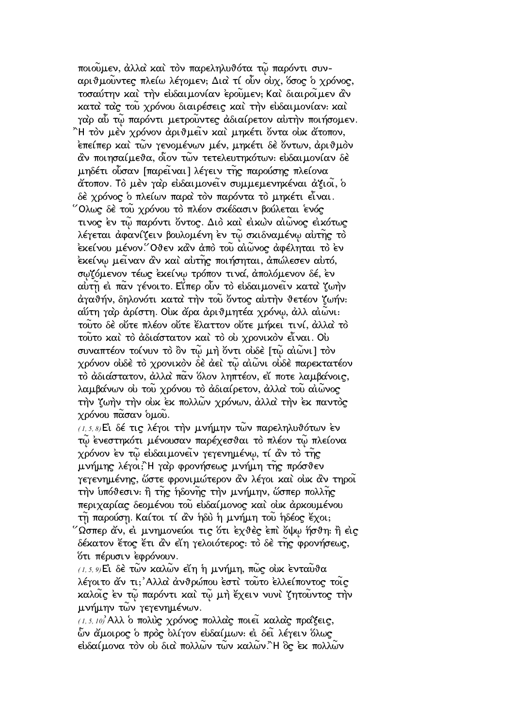ποιούμεν, άλλα και τον παρεληλυθότα τω παρόντι συναριθμούντες πλείω λέγομεν; Δια τί ούν ούχ, όσος ο χρόνος, τοσαύτην και την ευδαιμονίαν ερούμεν; Και διαιροίμεν άν κατα τας του χρόνου διαιρέσεις και την ευδαιμονίαν: και γαρ αὖ τῷ παρόντι μετρούντες άδιαίρετον αυτήν ποιήσομεν. "Η τὸν μὲν χρόνον ἀριθμεῖν καὶ μηκέτι ὄντα οὐκ ἄτοπον, έπείπερ και των γενομένων μέν, μηκέτι δε όντων, άριθμον άν ποιησαίμεθα, δίον των τετελευτηκότων: ευδαιμονίαν δέ μηδέτι ούσαν [παρείναι] λέγειν της παρούσης πλείονα άτοπον. Τὸ μèν γαρ ευδαιμονεῖν συμμεμενηκέναι ἀξιοῖ, ὁ δέ χρόνος ο πλείων παρα τον παρόντα το μηκέτι εἶναι. Όλως δε του χρόνου το πλέον σκέδασιν βούλεται ενός τινος έν τω παρόντι όντος. Διὸ και εικων αιώνος εικότως

λέγεται άφανίζειν βουλομένη εν τω σκιδναμένω αυτής το εκείνου μένον. Όθεν κάν άπο του αιώνος αφέληται το εν έκείνω μείναν άν και αυτής ποιήσηται, απώλεσεν αυτό, σωζόμενον τέως εκείνω τρόπον τινα, απολόμενον δέ, εν αύτη ει παν γένοιτο. Είπερ ούν το ευδαιμονείν κατα ζωήν άγαθήν, δηλονότι κατα την του όντος αυτην θετέον ζωήν: αύτη γαρ αρίστη. Ουκ άρα αριθμητέα χρόνω, άλλ αιώνι: τούτο δε ούτε πλέον ούτε έλαττον ούτε μήκει τινί, άλλα το τούτο και το άδιαστατον και το ου χρονικον είναι. Ου συναπτέον τοίνυν τὸ ὂν τῷ μὴ ὄντι οὐδε [τῷ αἰῶνι] τὸν χρόνον ουδέ το χρονικον δε άει τω αιώνι ουδε παρεκτατέον τὸ ἀδιαστατον, ἀλλα παν ὅλον ληπτέον, εί ποτε λαμβανοις, λαμβάνων ου του χρόνου το άδιαίρετον, άλλα του αιώνος την ζωην την ούκ έκ πολλών χρόνων, άλλα την έκ παντός χρόνου πάσαν δμού.

 $(1, 5, 8)$ Ει δέ τις λέγοι την μνήμην των παρεληλυθότων εν τώ ενεστηκότι μένουσαν παρέχεσθαι το πλέον τω πλείονα χρόνον έν τω ευδαιμονείν γεγενημένω, τί άν το της μνήμης λέγοι; Η γαρ φρονήσεως μνήμη της πρόσθεν γεγενημένης, ώστε φρονιμώτερον άν λέγοι και ούκ άν τηροϊ την υπόθεσιν: η της ηδονης την μνήμην, ώσπερ πολλης περιχαρίας δεομένου του ευδαίμονος και ουκ άρκουμένου τη παρούση. Καίτοι τί άν ηδυ η μνήμη του ηδέος έχοι; Όσπερ άν, ει μνημονεύοι τις ότι εχθες επι όψω ήσθη: ἢ εις δέκατον έτος έτι άν είη γελοιότερος: τὸ δε της φρονήσεως, ότι πέρυσιν *ε*φρόνουν.

 $(1, 5, 9)$ Ει δέ των καλών είη η μνήμη, πως ούκ ενταυθα λέγοιτο άν τι; Αλλα άνθρώπου έστι τουτο ελλείποντος τοις καλοίς έν τω παρόντι και τω μη έχειν νυνι ζητουντος την μνήμην των γεγενημένων.

 $(1, 5, 10)$  Αλλ ο πολύς χρόνος πολλας ποιεί καλας πράξεις, ὧν άμοιρος ο προς ολίγον ευδαίμων: ει δει λέγειν όλως εύδαίμονα τον ου δια πολλών τών καλών. Η δς εκ πολλών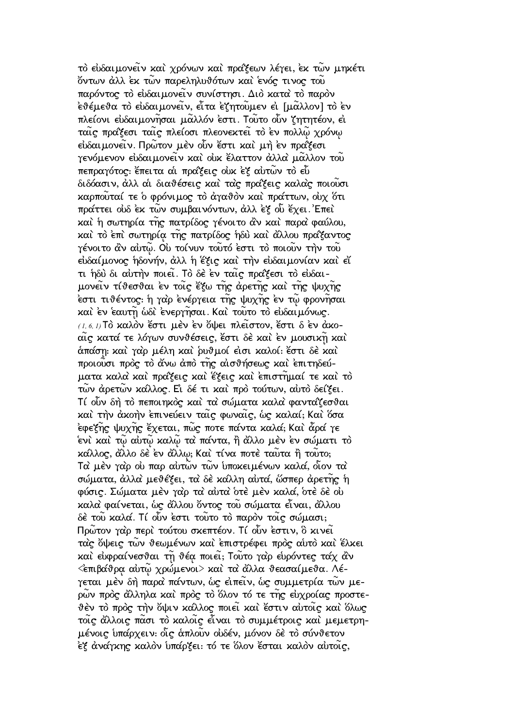τὸ ευδαιμονείν και χρόνων και πράξεων λέγει, εκ τῶν μηκέτι όντων άλλ έκ των παρεληλυθότων και ενός τινος του παρόντος τὸ εὐδαιμονεἶν συνίστησι. Διὸ κατα τὸ παρὸν 'εθέμεθα τὸ εὐδαιμονεῖν, εἶτα 'εζητοῦμεν εἰ [μᾶλλον] τὸ 'εν πλείονι ευδαιμονησαι μαλλόν έστι. Τούτο ούν ζητητέον, ει ταις πραξεσι ταις πλείοσι πλεονεκτει το εν πολλω χρόνω ευδαιμονείν. Πρώτον μέν ούν έστι και μή εν πράξεσι γενόμενον ευδαιμονείν και ούκ έλαττον άλλα μαλλον του πεπραγότος: έπειτα αι πράξεις ούκ εξ αυτών το εύ διδόασιν, άλλ αι διαθέσεις και τας πράξεις καλας ποιουσι καρπούταί τε ο φρόνιμος το άγαθον και πράττων, ούχ ότι πράττει ουδ εκ των συμβαινόντων, άλλ εξ ού έχει. Επει και η σωτηρία της πατρίδος γένοιτο άν και παρα φαύλου, και το επι σωτηρία της πατρίδος ηδυ και άλλου πραξαντος γένοιτο άν αύτω. Ου τοίνυν τουτό έστι το ποιούν την του ευδαίμονος ηδονήν, άλλ η έξις και την ευδαιμονίαν και εί τι ηδύ δι αύτην ποιεί. Το δε εν ταις πραξεσι το εύδαιμονείν τίθεσθαι έν τοις έξω της άρετης και της ψυχης έστι τιθέντος: ή γαρ ένέργεια της ψυχης έν τῷ φρονησαι και εν εαυτη ώδι ενεργήσαι. Και τουτο το ευδαιμόνως.  $(1, 6, 1)$  Το καλον έστι μεν εν όψει πλείστον, έστι δ εν άκοαις κατά τε λόγων συνθέσεις, έστι δε και εν μουσική και άπάση: καὶ γαρ μέλη καὶ ρυθμοί είσι καλοί: έστι δε καὶ προιούσι πρός το άνω άπο της αισθήσεως και επιτηδεύματα καλα και πράξεις και έξεις και επιστημαί τε και το των άρετων καλλος. Ει δέ τι και προ τούτων, αυτό δείξει. Τί οὖν δη τὸ πεποιηκὸς και τα σώματα καλα φαντάζεσθαι και την άκοην επινεύειν ταις φωναις, ως καλαί, Και δσα έφεζης ψυχης έχεται, πώς ποτε πάντα καλά; Και ἆρά γε ενι και τω αυτώ καλώ τα πάντα, ή άλλο μεν εν σώματι το καλλος, άλλο δε εν άλλω; Και τίνα ποτε ταυτα ή τουτο; Τα μέν γαρ ου παρ αυτών των υποκειμένων καλα, οίον τα σώματα, άλλα μεθέξει, τα δε καλλη αυτά, ώσπερ άρετης η φύσις. Σώματα μέν γαρ τα αύτα ότε μέν καλα, ότε δέ ου καλα φαίνεται, ώς άλλου όντος του σώματα είναι, άλλου δέ του καλά. Τί ούν έστι τουτο το παρόν τοις σώμασι; Πρώτον γαρ περί τούτου σκεπτέον. Τί ούν εστιν, δ κινεί τας όψεις των θεωμένων και επιστρέφει προς αυτό και έλκει και ευφραίνεσθαι τη θέα ποιεί; Τουτο γαρ ευρόντες ταχ άν <επιβαθρα αυτῷ χρώμενοι> και τα άλλα θεασαίμεθα. Λέγεται μέν δη παρα πάντων, ώς ειπείν, ώς συμμετρία των μερών πρός άλληλα και πρός το όλον τό τε της ευχροίας προστεθέν το προς την όψιν καλλος ποιεί και έστιν αυτοίς και όλως τοις άλλοις πασι το καλοις είναι το συμμέτροις και μεμετρημένοις υπάρχειν: οις απλούν ουδέν, μόνον δε το σύνθετον έξ άναγκης καλον υπαρξει: τό τε όλον έσται καλον αυτοίς,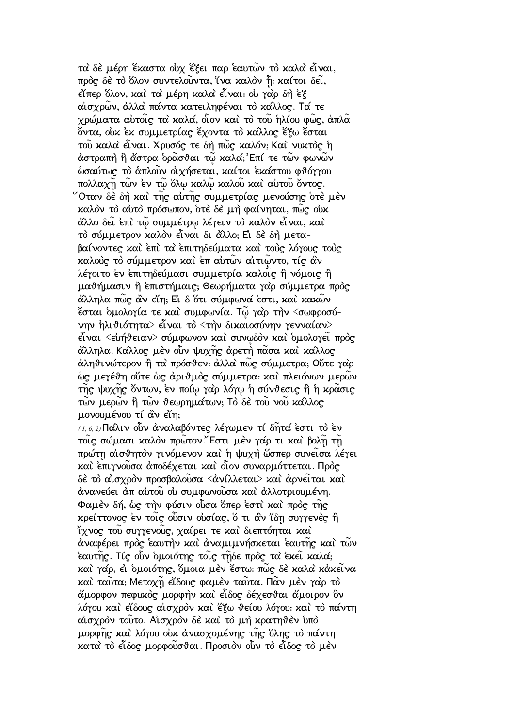τα δε μέρη έκαστα ουχ έξει παρ εαυτων το καλα είναι, πρὸς δε τὸ ὅλον συντελοῦντα, Υνα καλὸν ἦ: καίτοι δει, είπερ δλον, και τα μέρη καλα είναι: ου γαρ δη έξ αισχρών, άλλα πάντα κατειληφέναι το καλλος. Τα τε γρώματα αυτοίς τα καλά, δίον και το του ηλίου φως, άπλα όντα, ούκ εκ συμμετρίας έχοντα το καλλος έξω έσται του καλα είναι. Χρυσός τε δη πώς καλόν; Και νυκτός ή άστραπή ή άστρα δρασθαι τω καλά; Επί τε των φωνων ώσαύτως το άπλουν οιχήσεται, καίτοι εκαστου φθόγγου πολλαχη των εν τω δλω καλώ καλού και αυτού όντος. Όταν δε δη και της αυτης συμμετρίας μενούσης οτε μεν καλόν το αύτο πρόσωπον, ότε δε μη φαίνηται, πως ούκ άλλο δει 'επι τῷ συμμέτρῳ λέγειν τὸ καλὸν εἶναι, και τὸ σύμμετρον καλὸν εἶναι δι άλλο; Ει δὲ δὴ μεταβαίνοντες και επι τα επιτηδεύματα και τους λόγους τους καλούς το σύμμετρον και επ αυτών αιτιώντο, τίς άν λέγοιτο εν επιτηδεύμασι συμμετρία καλοίς ή νόμοις ή μαθήμασιν ή επιστήμαις; Θεωρήματα γαρ σύμμετρα πρός άλληλα πώς άν είη; Ει δ ότι σύμφωνα 'εστι, και κακών έσται δμολογία τε και συμφωνία. Τω γαρ την <σωφροσύνην ηλιθιότητα> είναι το <την δικαιοσύνην γενναίαν> εἶναι <ευήθειαν> σύμφωνον και συνωδον και δμολογεϊ προς άλληλα. Καλλος μεν ούν ψυχης άρετη πασα και καλλος άληθινώτερον ή τα πρόσθεν: άλλα πως σύμμετρα; Ούτε γαρ ώς μεγέθη ούτε ως αριθμός σύμμετρα: και πλειόνων μερών της ψυχης όντων, εν ποίω γαρ λόγω η σύνθεσις ή η κρασις τῶν μερῶν ἢ τῶν θεωρημάτων; Τὸ δὲ τοῦ νοῦ καλλος μονουμένου τί άν είη;

(1, 6, 2) Παλιν ούν αναλαβόντες λέγωμεν τι δήτα έστι το έν τοις σώμασι καλόν πρώτον. Έστι μέν γαρ τι και βολη τη πρώτη αισθητον γινόμενον και η ψυχη ώσπερ συνείσα λέγει και επιγνούσα άποδέχεται και οίον συναρμόττεται. Προς δέ το αισχρον προσβαλούσα <άνίλλεται> και άρνειται και άνανεύει άπ αύτου ου συμφωνούσα και άλλοτριουμένη. Φαμέν δή, ώς την φύσιν ούσα όπερ έστι και πρός της κρείττονος έν τοις ούσιν ουσίας, δ τι άν ίδη συγγενές ή ἴχνος του συγγενους, χαίρει τε καὶ διεπτόηται καὶ άναφέρει πρός εαυτήν και άναμιμνήσκεται εαυτής και των έαυτης. Τίς ούν ομοιότης τοις τηδε πρός τα έκει καλα; και γάρ, ει δμοιότης, δμοια μεν έστω: πως δε καλα κάκεινα και ταυτα; Μετοχη είδους φαμεν ταυτα. Παν μεν γαρ το άμορφον πεφυκός μορφήν και είδος δέχεσθαι άμοιρον όν λόγου καὶ ἐίδους αισχρὸν καὶ ἔξω θείου λόγου: καὶ τὸ πάντη αισχρόν τουτο. Αισχρόν δε και το μή κρατηθεν υπό μορφής και λόγου ουκ άνασχομένης της ύλης το πάντη κατα το είδος μορφούσθαι. Προσιον ούν το είδος το μεν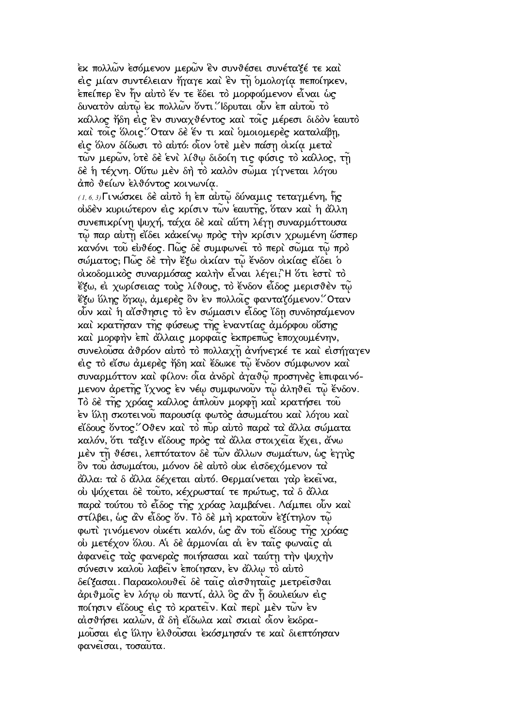εκ πολλων εσόμενον μερων εν συνθέσει συνέταζέ τε και εις μίαν συντέλειαν ήγαγε και εν τη ομολογία πεποίηκεν, 'επείπερ εν ήν αυτό έν τε έδει το μορφούμενον είναι ώς δυνατον αυτώ εκ πολλών όντι. Ίδρυται ούν επ αυτου το καλλος ήδη είς εν συναχθέντος και τοις μέρεσι διδον εαυτό και τοις όλοις. Όταν δε έν τι και δμοιομερες καταλάβη, εις δλον δίδωσι το αυτό: δίον ότε μεν παση οικία μετα των μερών, ότε δε ενι λίθω διδοίη τις φύσις το καλλος, τη δε η τέχνη. Ούτω μεν δη το καλον σώμα γίγνεται λόγου άπό θείων ελθόντος κοινωνία.

(1, 6, 3) Γινώσκει δέ αύτο ή επ αύτω δύναμις τεταγμένη, ής ούδεν κυριώτερον είς κρίσιν των εαυτής, όταν και η άλλη συνεπικρίνη ψυχή, τάχα δε και αύτη λέγη συναρμόττουσα τω παρ αυτή είδει κάκείνω πρός την κρίσιν χρωμένη ώσπερ κανόνι του εύθέος. Πως δε συμφωνει το περί σωμα τω πρό σώματος; Πώς δε την έξω οικίαν τω ένδον οικίας είδει δ dικοδομικὸς συναρμόσας καλὴν εἶναι λέγει;`Η ὅτι 'εστι` τὸ έξω, ει χωρίσειας τους λίθους, το ένδον είδος μερισθεν τω έξω ύλης όγκω, άμερες όν εν πολλοις φανταζόμενον. Όταν οὖν και η αίσθησις το έν σώμασιν εἶδος Ίδη συνδησάμενον και κρατήσαν της φύσεως της εναντίας άμόρφου ούσης και μορφήν επι άλλαις μορφαίς εκπρεπώς εποχουμένην, συνελούσα άθρόον αύτὸ τὸ πολλαχὴ ἀνήνεγκέ τε καὶ ἐισήγαγεν εις το είσω άμερες ήδη και έδωκε τω ένδον σύμφωνον και συναρμόττον και φίλον: οΐα άνδρι άγαθω προσηνες επιφαινόμενον άρετης ίχνος εν νέω συμφωνούν τω άληθει τω ένδον. Τὸ δε της χρόας καλλος απλούν μορφη και κρατήσει του έν ύλη σκοτεινου παρουσία φωτος ασωματου και λόγου και είδους όντος. Όθεν και το πυρ αυτο παρα τα άλλα σώματα καλόν, ότι ταξιν είδους πρὸς τα ἀλλα στοιχεια ἔχει, ἀνω μεν τη θέσει, λεπτότατον δε των άλλων σωμάτων, ως εγγύς δν του ασωματου, μόνον δε αυτό ουκ εισδεχόμενον τα άλλα: τα δ άλλα δέχεται αυτό. Θερμαίνεται γαρ εκείνα, ου ψύχεται δέ τουτο, κέχρωσταί τε πρώτως, τα δ άλλα παρα τούτου το είδος της χρόας λαμβανει. Λαμπει ούν και στίλβει, ώς άν εἶδος ὄν. Τὸ δε μή κρατοῦν εξίτηλον τῷ φωτι` γινόμενον ουκέτι καλόν, ως άν του είδους της χρόας ού μετέχον όλου. Αι δε άρμονίαι αι εν ταις φωναις αι άφανείς τας φανερας ποιήσασαι και ταύτη την ψυχην σύνεσιν καλου λαβείν εποίησαν, εν άλλω το αυτο δεί ζασαι. Παρακολουθεί δε ταις αισθηταις μετρεισθαι άριθμοις εν λόγω ου παντί, άλλ δς άν ή δουλεύων εις ποίησιν είδους εις τὸ κρατειν. Καὶ περὶ μὲν τῶν ἐν αισθήσει καλών, α δη είδωλα και σκιαι οιον εκδραμούσαι εις ύλην ελθούσαι εκόσμησαν τε και διεπτόησαν φανείσαι, τοσαύτα.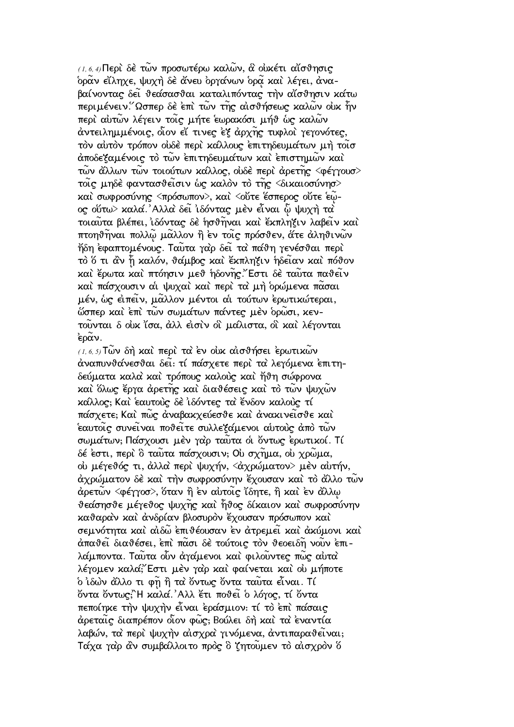$(1, 6, 4)$ Περί δέ των προσωτέρω καλών, δι ουκέτι αίσθησις δραν είληχε, ψυχή δε άνευ δργανων δρα και λέγει, άναβαίνοντας δει θεάσασθαι καταλιπόντας την αίσθησιν κάτω περιμένειν. Ώσπερ δε επι των της αισθήσεως καλών ουκ ήν περι αυτών λέγειν τοις μήτε εωρακόσι μήθ ως καλών άντειλημμένοις, δίον εί τινες εξ άρχης τυφλοι γεγονότες, τον αυτον τρόπον ουδε περι καλλους επιτηδευματων μη τοισ άποδεξαμένοις το των επιτηδευμάτων και επιστημών και τῶν ἄλλων τῶν τοιούτων καλλος, οὐδε περὶ ἀρετῆς <φέγγουσ> τοις μηδέ φαντασθείσιν ώς καλόν το της <δικαιοσύνησ> και σωφροσύνης <πρόσωπον>, και <ούτε έσπερος ούτε εωος ούτω> καλα. Αλλα δει ιδόντας μεν είναι ὧ ψυχή τα τοιαύτα βλέπει, ιδόντας δε ησθήναι και έκπλη τιν λαβείν και πτοηθηναι πολλώ μάλλον ή έν τοις πρόσθεν, άτε άληθινών ήδη εφαπτομένους. Ταυτα γαρ δει τα πάθη γενέσθαι περι τὸ ὅ τι ἀν ἦ καλόν, θάμβος και «κπληξιν ηδείαν και πόθον και έρωτα και πτόησιν μεθ ηδονης. Έστι δε ταυτα παθείν και πάσχουσιν αι ψυχαι και περι τα μη δρώμενα πασαι μέν, ώς ειπείν, μαλλον μέντοι αι τούτων ερωτικώτεραι, ώσπερ και έπι των σωμάτων πάντες μεν δρώσι, κεντούνται δ ούκ Ίσα, άλλ εισιν οι μαλιστα, οι και λέγονται έραν.

 $(1, 6, 5)$  Των δη και περι τα έν ουκ αισθήσει ερωτικών άναπυνθάνεσθαι δει: τί πάσχετε περι τα λεγόμενα επιτηδεύματα καλα και τρόπους καλούς και ήθη σώφρονα και δλως έργα άρετης και διαθέσεις και το των ψυχων καλλος; Και εαυτούς δε ιδόντες τα ένδον καλούς τί πάσχετε; Και πώς άναβακχεύεσθε και άνακινείσθε και εαυτοίς συνείναι ποθείτε συλλεζάμενοι αυτούς άπό των σωμάτων; Πάσχουσι μέν γαρ ταυτα οι όντως ερωτικοί. Τί δέ έστι, περί δ ταύτα πάσχουσιν; Ου σχήμα, ου χρώμα, ου μέγεθός τι, άλλα περι ψυχήν, <άχρώματον> μεν αυτήν, άχρώματον δέ και την σωφροσύνην έχουσαν και το άλλο των άρετων <φέγγοσ>, όταν ή έν αυτοις Ίδητε, ή και έν άλλω θεάσησθε μέγεθος ψυχῆς και ἦθος δίκαιον και σωφροσύνην καθαραν και ανδρίαν βλοσυρον έχουσαν πρόσωπον και σεμνότητα και αιδώ επιθέουσαν εν ατρεμει και ακύμονι και άπαθει διαθέσει, επι πάσι δε τούτοις τον θεοειδή νουν επιλάμποντα. Ταύτα ούν άγάμενοι και φιλούντες πώς αυτα λέγομεν καλά; Έστι μεν γαρ και φαίνεται και ού μήποτε δ ιδων άλλο τι φη ή τα όντως όντα ταυτα είναι. Τί όντα όντως; Η καλά. Αλλ έτι ποθεί ο λόγος, τί όντα πεποίηκε την ψυχην είναι ερασμιον: τί το επι πασαις άρεταις διαπρέπον οίον φως; Βούλει δη και τα εναντία λαβών, τα περί ψυχήν αισχρα γινόμενα, άντιπαραθείναι; Τάχα γαρ άν συμβάλλοιτο προς δ ζητούμεν το αισχρον δ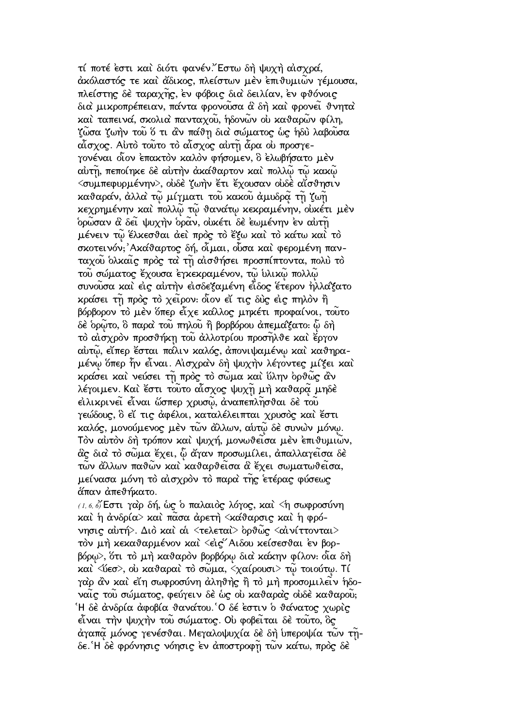τί ποτέ έστι και διότι φανέν. Έστω δη ψυχη αισχρά, άκόλαστός τε καὶ ἄδικος, πλείστων μὲν ἐπιθυμιῶν γέμουσα. πλείστης δὲ ταραχῆς, ἐν φόβοις δια δειλίαν, ἐν φθόνοις δια μικροπρέπειαν, πάντα φρονουσα α δη και φρονει θνητα καὶ ταπεινά, σκολια πανταχοῦ, ἡδονῶν οὐ καθαρῶν φίλη, 7ῶσα 7ωὴν τοῦ ὅ τι ἀν πάθη δια` σώματος ὡς ἡδὺ λαβοῦσα αίσχος. Αύτο τούτο το αίσχος αύτη άρα ου προσγεγονέναι οἷον ἐπακτὸν καλὸν φήσομεν, ὃ ἐλωβήσατο μὲν αὐτῆ, πεποίηκε δὲ αὐτὴν ἀκαθαοτον καὶ πολλῶ τῶ κακῶ <συμπεφυρμένην>, ουδε ζωήν έτι έχουσαν ουδε αίσθησιν καθαραν, άλλα τῶ μίγματι τοῦ κακοῦ ἀμυδρᾶ τῆ "ζωῆ" κεχρημένην και πολλῷ τῷ θανατῳ κεκραμένην, οὐκέτι μεν δρώσαν & δει ψυχην δραν, ουκέτι δε εωμένην εν αύτη μένειν τῶ ἕλκεσθαι ἀεὶ ποὸς τὸ ἔἕω καὶ τὸ κατω καὶ τὸ σκοτεινόν; Ακαθαρτος δή, οίμαι, ούσα και φερομένη πανταχοῦ ὁλκαῖς πρὸς τα τῇ αἰσθήσει προσπίπτοντα, πολὺ τὸ τοῦ σώματος ἔχουσα ἐγκεκραμένον, τῷ ὑλικῷ πολλῷ συνοῦσα καὶ ἐις αὐτὴν ἐισδε ταμένη ἐἶδος ἕτεοον ἠλλα το κράσει τῆ πρὸς τὸ χεῖρον: οἶον εἴ τις δὺς εἰς πηλὸν ἢ βόρβορον τὸ μὲν ὅπερ ἐἶχε καλλος μηκέτι προφαίνοι, τοῦτο δὲ δοῶτο, δ παρα` τοῦ πηλοῦ ἢ βορβόρου ἀπεμα το: ὧ δη` τὸ αισχρὸν προσθήκη τοῦ ἀλλοτρίου προσῆλθε καὶ ἔργον αὐτῶ. ἐίπεο ἔσται παλιν καλός, ἀπονιψαμένω καὶ καθηοαμένω δπερ ἦν εἶναι. Αισχραν δη ψυχην λέγοντες μίξει και ζ κοάσει και νεύσει τῆ ποὸς τὸ σῶμα και ὕλην ὀοθῶς ἀν λέγοιμεν. Καὶ ἔστι τοῦτο αἶσχος ψυχῆ μὴ καθαρᾶ μηδὲ ειλικρινεῖ εἶναι ὥσπερ χρυσῷ, ἀναπεπλῆσθαι δὲ τοῦ γεώδους, δ εἴ τις ἀφέλοι, καταλέλειπται χρυσὸς καὶ ἔστι καλός, μονούμενος μὲν τῶν ἄλλων, αἱπῶ δὲ συνὼν μόνω. Τον αυτον δη τρόπον και ψυχή, μονωθείσα μεν επιθυμιών, άς δια το σῶμα ἔχει, ῷ ἄγαν προσωμίλει, ἀπαλλαγεῖσα δὲ τῶν ἄλλων παθῶν καὶ καθαρθεῖσα ἁ ἔχει σωματωθεῖσα, μείνασα μόνη τὸ αισχρὸν τὸ παρα της ετέρας φύσεως άπαν ἀπεθήκατο.

(1, 6, δ) Εστι γαρ δή, ως ο παλαιός λόγος, και <η σωφροσύνη και η ανδρία> και πασα αρετη <καθαρσις και η φρόνησις αὐτή>. Διὸ καὶ αἱ <τελεταὶ> ὀοθὦς <αἰνίττονται> τον μη κεκαθαρμένον και <εις Αιδου κείσεσθαι εν βορβόοω>, ότι τὸ μὴ καθαοὸν βοοβόοω δια` κάκην φίλον: οἷα δὴ και <ύεσ>, ου καθαραι το σώμα, <χαίρουσι> τω τοιούτω. Τί γαο άν και είη σωφροσύνη άληθης ή το μη προσομιλείν ήδοναίς του σώματος, φεύγειν δε ως ου καθαρας ουδε καθαρού; Η δε ανδρία αφοβία θανατου. Ο δε εστιν ο θανατος χωρις είναι την ψυχην του σώματος. Ου φοβείται δε τούτο, δς άγαπᾶ μόνος γενέσθαι. Μεγαλοψυχία δὲ δὴ ὑπεροψία τῶν τῇδε. Ή δὲ φοόνησις νόησις ἐν ἀποστοοφῆ τῶν κατω, ποὸς δὲ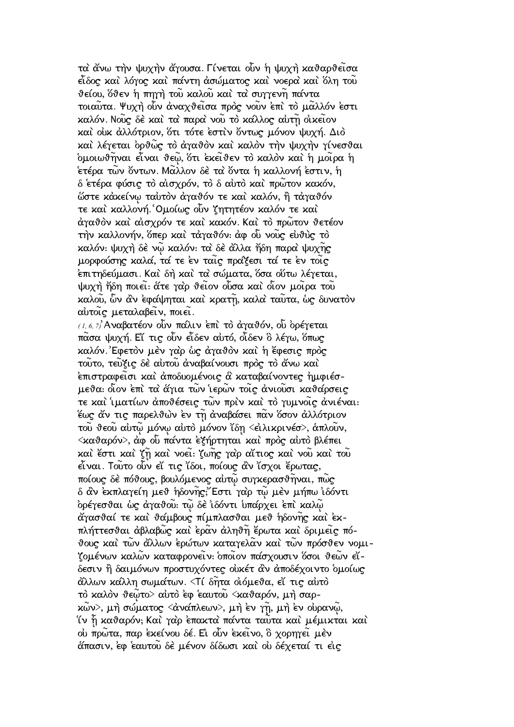τα άνω την ψυχην άγουσα. Γίνεται ούν η ψυχη καθαρθείσα εἶδος καὶ λόγος καὶ πάντη ἀσώματος καὶ νοεοὰ καὶ ὅλη τοῦ θείου, όθεν 'n πηγὴ τοῦ καλοῦ καὶ τὰ συγγενῆ πάντα τοιαῦτα. Ψυχὴ οἶν ἀναχθεῖσα πρὸς νοῦν ἐπὶ τὸ μᾶλλόν ἐστι χαλόν. Νοῦς δὲ καὶ τὰ παρὰ νοῦ τὸ καλλος αὐτῆ ὀικεῖον καὶ οὐκ ἀλλότριον, ὅτι τότε ἐστὶν ὄντως μόνον ψυχή. Διὸ καὶ λέγεται ὀρθὧς τὸ ἀγαθὸν καὶ καλὸν τὴν ψυχὴν γίνεσθαι δμοιωθῆναι ἐἶναι θεῷ. ὅτι ἐκεῖθεν τὸ καλὸν καὶ ἡ μοῖρα ἡ Έτέρα τὦν ὄντων. Μᾶλλον δὲ τα`ὄντα ἡ καλλονή ἐστιν, ἡ δ ετέρα φύσις το αισχρόν, το δ αυτο και πρώτον κακόν, ὥστε κάκείνω ταὐτὸν ἀγαθόν τε καὶ καλόν, ἢ τἀγαθόν τε καὶ καλλονή. Όμοίως οὖν ζητητέον καλόν τε καὶ άγαθὸν και αισχρόν τε και κακόν. Και το πρώτον θετέον την καλλονήν, όπεο και τάγαθόν: άφ οὗ νοὖς εὐθύς το καλόν: ψυχὴ δὲ νῷ καλόν: τὰ δὲ ἄλλα ἤδη παρὰ ψυχῆς μορφούσης καλά, τά τε έν ταις πράτεσι τά τε έν τοις ,<br>επιτηδεύμασι. Καὶ δὴ καὶ τὰ σώματα, ὅσα οὕτω λέγεται, ψυχη ήδη ποιει: άτε γαρ θείον ούσα και οίον μοιρα του χαλοῦ, ὧν ἀν ἐφαίψηται καὶ κοατῆ, καλα ταῦτα, ὡς δυνατὸν αὐτοῖς μεταλαβεῖν, ποιεῖ.

 $(1, 6, 7)$  Αναβατέον οὖν πάλιν 'επι' τὸ ἀγαθόν, οὗ 'ορέγεται πᾶσα ψυχή. Εἴ τις οὖν ἐἶδεν αὐτό, οἶδεν ὃ λέγω, ὅπως καλόν.'Εφετὸν μèν γα`ο ὡς ἀγαθὸν καὶ ἡ ἔφεσις ποὸς τούτο, τευξις δε αύτου άναβαίνουσι πρός το άνω και επιστραφείσι καὶ ἀποδυομένοις ἁ καταβαίνοντες ἠμφιέσμεθα: οίον 'επι' τα άγια των ίερων τοις ανιούσι καθάρσεις τε και ιματίων αποθέσεις των πριν και το γυμνοις ανιέναι: έως άν τις παρελθων εν τη αναβάσει παν δσον αλλότριον τοῦ θεοῦ αὐτῶ μόνω αὐτὸ μόνον ἴδη <ἐιλικοινέσ>, ἁπλοῦν, <καθαρόν>, ἀφ οὗ πάντα 'ε τήρτηται και προς αυτο βλέπει και έστι και ζη και νοει: ζωης γαρ αίτιος και νου και του είναι. Τουτο ούν εί τις ίδοι, ποίους άν ίσχοι έρωτας, ποίους δὲ πόθους, βουλόμενος αὐτῶ συγκερασθῆναι, πῶς δ ἀν ἐκπλαγείη μεθ ἡδονῆς: Έστι γαο τῶ μèν μήπω ἰδόντι ,<br>δρέγεσθαι ώς άγαθοῦ: τῷ δὲ ἰδόντι ὑπάρχει ἐπὶ καλῷ άγασθαί τε καὶ θάμβους πίμπλασθαι μεθ ἡδονῆς καὶ ἐκπλήττεσθαι άβλαβῶς καὶ ἐοᾶν ἀληθῆ ἔοωτα καὶ δοιμεῖς πόθους καὶ τῶν ἄλλων ἐοώτων καταγελᾶν καὶ τῶν ποόσθεν νοιμζομένων καλῶν καταφρονεῖν: ὁποῖον πάσχουσιν ὅσοι θεῶν εἴδεσιν ή δαιμόνων προστυχόντες ουκέτ άν άποδέχοιντο δμοίως άλλων καλλη σωματων. <Τί δῆτα οἰόμεθα, εἴ τις αὐτὸ τὸ καλὸν θεὦτο> αὐτὸ ἐφ ἑαυτοῦ <καθαρόν, μὴ σαρκῶν>, μὴ σώματος <ἀναπλεων>, μὴ ἐν γῆ, μὴ ἐν οὐοανῶ, ἵν ἦ καθαρόν; Καὶ γαρ ἐπακτὰ παντα ταυτα καὶ μέμικται καὶ ού πρώτα, παρ εκείνου δέ. Ει οὖν εκείνο, δ χορηγει μεν άπασιν, έφ εαυτου δε μένον δίδωσι και ου δέχεταί τι εις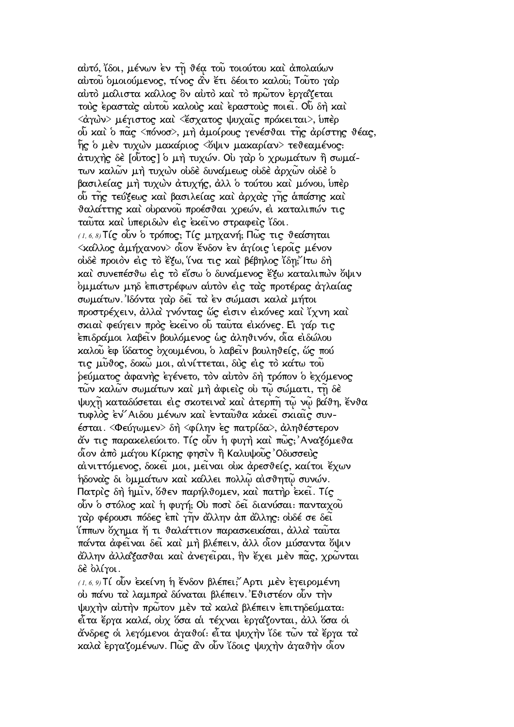αὐτό, ἴδοι, μένων ἐν τῆ θέα τοῦ τοιούτου καὶ ἀπολαύων αύτοῦ διιοιούμενος, τίνος ἀν ἔτι δέοιτο καλοῦ: Τοῦτο γαὸ αὐτὸ μαλιστα καλλος ὂν αὐτὸ καὶ τὸ ποῶτον ἐογα (εται τούς 'εραστας αύτοῦ καλούς καὶ 'εραστούς ποιεῖ. Οὗ δὴ καὶ <άγων> μέγιστος και <έσχατος ψυχαις πρόκειται>, υπέρ ού και ο πας <πόνοσ>, μη άμοίρους γενέσθαι της αρίστης θέας, ης ο μεν τυχων μακαριος < ύψιν μακαρίαν> τεθεαμένος: άτυχης δε [ούτος] ο μη τυχών. Ου γαρ ο χρωμάτων ή σωμάτων καλῶν μὴ τυχων οὐδὲ δυναμεως οὐδὲ ἀρχῶν οὐδὲ ὁ βασιλείας μη τυχων άτυχής, άλλ ὁ τούτου καὶ μόνου, ὑπèρ οὗ τῆς τεύξεως καὶ βασιλείας καὶ ἀρχας γῆς ἁπάσης καὶ θαλάττης καὶ οὐρανοῦ προέσθαι χρεών, ἐι καταλιπών τις ταύτα και υπεριδων εις εκείνο στραφεις ίδοι.  $(1, 6, 8)$  Τίς οὖν δ τρόπος; Τίς μηχανή; Πὦς τις θεάσηται <καλλος ἀμήχανον> οἷον ἔνδον ἐν ἁγίοις ἱεροῖς μένον οὐδè ποοιὸν εἰς τὸ ἔἕω. ἵνα τις καὶ βέβηλος ἴδη:"Ιτω δὴ καὶ συνεπέσθω εἰς τὸ εἴσω ὁ δυναμενος ἔτω καταλιπων ὄψιν ,<br>ομμάτων μηδ επιστοέφων αύτον εις τας προτέρας άγλαίας σωματων. Ίδόντα γαο δεῖ τα ἐν σώμασι καλα μήτοι προστρέχειν, άλλα` γνόντας ὥς εἰσιν εἰκόνες καὶ ἴχνη καὶ σκιαι φεύγειν προς εκείνο ού ταυτα εικόνες. Ει γαρ τις επιδοαμοι λαβεῖν βουλόμενος ὡς ἀληθινόν, οἷα εἰδώλου καλοῦ ἐφ ὕδατος ὀχουμένου, ὁ λαβεῖν βουληθείς, ὥς πού τις μύθος, δοκώ μοι, αινίττεται, δύς εις το κατω του ρεύματος άφανης εγένετο, τον αυτον δη τρόπον ο εχόμενος τῶν καλῶν σωμάτων καὶ μὴ ἀφιεὶς οὐ τῶ σώματι, τῆ δὲ ψυχη καταδύσεται είς σκοτεινα και άτερπη τω νω βαθη, ένθα τυφλός 'εν' Αιδου μένων και 'ενταῦθα κάκεῖ σκιαῖς συνέσται. <Φεύγωμεν> δὴ <φίλην 'ες πατρίδα>, ἀληθέστερον άν τις παρακελεύοιτο. Τίς οὖν ἡ φυγὴ καὶ πὦς:'Ανα<sup>γ</sup>όμεθα οἷον ἀπὸ μαΎου Κίοκης φησὶν ἢ Καλυψοῦς Όδυσσεὺς αίνιττόμενος, δοκεί μοι, μείναι ούκ άρεσθείς, καίτοι έχων .<br>hδονας δι ομμάτων και καλλει πολλῶ αισθητῶ συνών. Πατοὶς δὴ ἡμἶν, ὅθεν παρήλθομεν, καὶ πατὴο ἐκεῖ. Τίς οὖν ὁ στόλος καὶ ἡ φυγή; Οὐ ποσὶ δεῖ διανύσαι: πανταχοῦ γα`ο φέοουσι πόδες 'επι` γ̃ην άλλην ἀπ άλλης: οὐδέ σε δεῖ ίππων ὄχημα ἤ τι θαλάττιον παρασκευάσαι, ἀλλα ταῦτα πάντα ἀφεῖναι δεῖ καὶ μὴ βλέπειν, ἀλλ οἷον μύσαντα ὄψιν άλλην αλλα ξασθαι καὶ ἀνεγεῖραι, ἣν ἔχει μὲν πᾶς, χρῶνται δὲ ὀλίγοι.

 $(1, 6, 9)$  Τί οὖν 'εκείνη η 'ένδον βλέπει;' Αρτι μεν 'εγειρομένη οὐ πανυ τα` λαμποα` δύναται βλέπειν.'Εθιστέον οὖν τὴν ψυχὴν αὐτὴν πρῶτον μὲν τα καλα βλέπειν ἐπιτηδεύματα: εἶτα ἔργα καλά, οὐχ ὅσα αἱ τέχναι ἐργα<mark>ῖ</mark>ζονται, ἀλλ ὅσα οἱ άνδρες οι λεγόμενοι αγαθοί: εἶτα ψυχὴν ἴδε τῶν τα ἔργα τα` καλα`ἐργαζομένων. Πὦς ἀν οὖν ἴδοις ψυχὴν ἀγαθὴν οἷον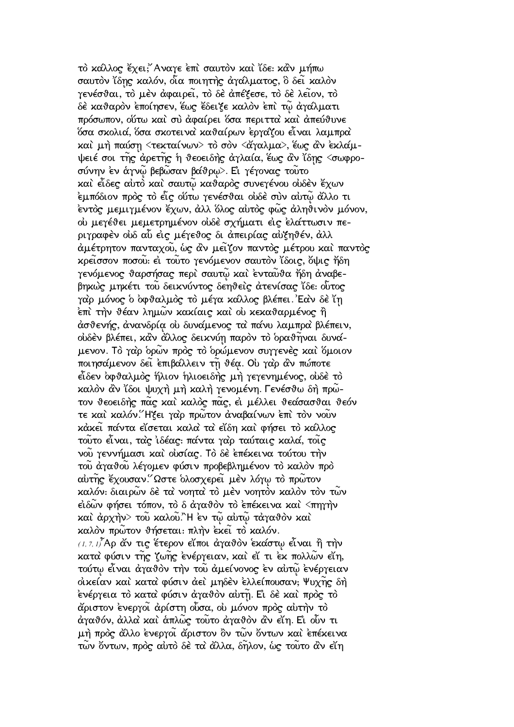τὸ καλλος ἔχει; Αναγε ἐπὶ σαυτὸν καὶ ἴδε: κἀν μήπω σαυτὸν ἴδης καλόν, οἷα ποιητής ἀγαλματος, ὃ δεἶ καλὸν γενέσθαι, τὸ μèν ἀφαιρεῖ, τὸ δè ἀπέξεσε, τὸ δè λεῖον, τὸ δὲ καθαρὸν ἐποίησεν, ἕως ἔδει ἕε καλὸν ἐπὶ τὧ ἀγαλματι πρόσωπον, ούτω και συ άφαίρει δσα περιττα και άπεύθυνε δσα σκολιά. δσα σκοτεινα` καθαίοων 'εογά'(ου εἶναι λαμποα` καὶ μὴ παύση <τεκταίνων> τὸ σὸν <ἄγαλμα>. ἕως ἀν ἐκλαμψειέ σοι της άρετης η θεοειδης άγλαία. Έως άν ίδης <σωφροσύνην έν άγνω βεβωσαν βαθρω>. Ει γέγονας τουτο και είδες αυτό και σαυτώ καθαρός συνεγένου ουδεν έχων euπόδιον ποὸς τὸ εἶς οὕτω γενέσθαι οὐδè σὺν αὐτῶ ἄλλο τι ,<br>εντὸς μεμιγμένον ἔχων, ἀλλ ὅλος αὐτὸς φῶς ἀληνινὸν μόνον, οὐ μεγέθει μεμετρημένον οὐδὲ σχήματι εἰς ἐλάττωσιν περιγραφέν οὐδ αὖ ἐις μέγεθος δι ἀπειρίας αὐἕηθέν, ἀλλ άμέτρητον πανταχού, ως άν μείζον παντός μέτρου και παντός κρείσσον ποσού: εί τούτο γενόμενον σαυτον ίδοις, όψις ήδη γενόμενος θαρσήσας περι σαυτώ και ενταυθα ήδη άναβεβηκως μηκέτι του δεικνύντος δεηθείς άτενίσας Ίδε: ούτος ταρ μόνος δ οφθαλμος το μέτα καλλος βλέπει. Εαν δε ζη επι την θέαν λημῶν κακίαις και ου κεκαθαρμένος ή άσθενής, άνανδοία οὐ δυνάμενος τα` πάνυ λαμποα` βλέπειν. οὐδὲν βλέπει, κἀν ἄλλος δεικνύη παρὸν τὸ ὁραθῆναι δυναμενον. Τὸ γαρ ὁρῶν πρὸς τὸ ὁρώμενον συγγενες και ὅμοιον ποιησαμενον δεῖ ἐπιβαλλειν τῆ θέα. Οὐ γαὸ ἀν πώποτε εἶδεν ο Φταλμος πλιον τηλιοειδής μή γεγενημένος, ουδε το καλὸν ἀν ἴδοι ψυχὴ μὴ καλὴ γενομένη. Γενέσθω δὴ πρῶτον θεοειδής πᾶς καὶ καλὸς πᾶς, ἐι μέλλει θεάσασθαι θεόν τε καὶ καλόν. Ή ει ταρ ποὧτον ἀναβαίνων ἐπὶ τὸν νοῦν κάκεῖ πάντα εἴσεται καλὰ τὰ εἴδη καὶ φήσει τὸ καλλος τοῦτο ἐἶναι, τας Ἰδέας: πάντα γαρ ταύταις καλά, τοῖς νου γεννήμασι και ουσίας. Το δε επέκεινα τούτου την τοῦ ἀγαθοῦ λέγομεν φύσιν ποοβεβλημένον τὸ καλὸν ποὸ αὐτῆς ἔχουσαν. Ώστε ὁλοσχερεῖ μὲν λόγῳ τὸ πρῶτον καλόν: διαιοῶν δὲ τα` νοητα` τὸ μèν νοητὸν καλὸν τὸν τῶν ειδών φήσει τόπον, το δ άγαθον το επέκεινα και <πηγήν καὶ ἀρχὴν> τοῦ καλοῦ."Η 'εν τῷ αὐτῷ τἀγαθὸν καὶ καλὸν ποῶτον θήσεται: πλην ἐκεῖ το καλόν. (1, 7, 1) Αρ άν τις έτερον είποι άγαθον εκάστω είναι ή την κατα` φύσιν τῆς 'ζωῆς 'ενέογειαν, καὶ ἐἴ τι 'ἐκ πολλῶν ἐίη, τούτω είναι άγαθον την του άμείνονος εν αυτώ ενέργειαν οικείαν και κατα φύσιν αει μηδεν ελλείπουσαν, Ψυχῆς δη ένέργεια το κατα φύσιν άγαθον αυτη. Ει δε και προς το άριστον ενεργοι αρίστη ούσα, ου μόνον προς αυτην το άγαθόν, άλλα` καὶ ἁπλὧς τοῦτο ἀγαθὸν ἀν εἴη. Ει οὖν τι μή ποὸς ἄλλο ἐνεογοῖ ἄοιστον ὂν τῶν ὄντων καὶ 'επέκεινα τῶν ὄντων, ποὸς αὐτὸ δὲ τὰ ἄλλα, δῆλον, ὡς τοῦτο ἀν ἐίη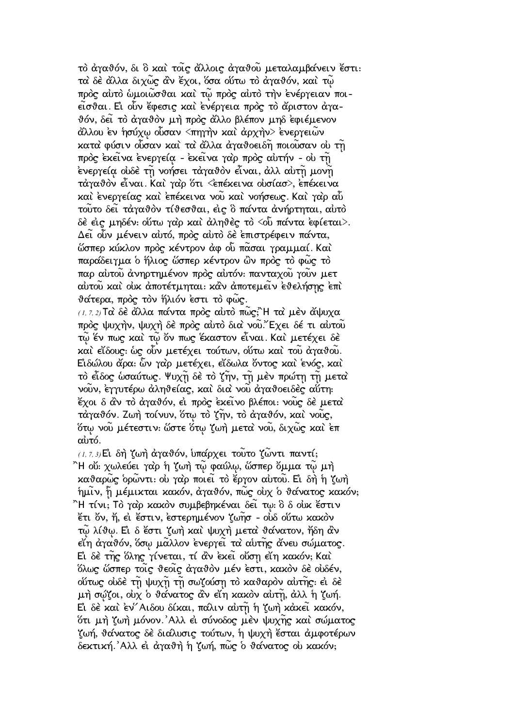τὸ ἀγαθόν, δι ὃ καὶ τοῖς ἄλλοις ἀγαθοῦ μεταλαμβάνειν ἔστι: τα δὲ ἄλλα διχὦς ἀν ἔχοι, ὅσα ούτω τὸ ἀγαθόν, καὶ τῷ πρός αύτο ώμοι ώσθαι και τώ πρός αύτο την ενέργειαν ποιεισθαι. Ει ούν έφεσις και ενέργεια προς το άριστον άγαθόν, δεῖ τὸ ἀγαθὸν μὴ ποὸς ἄλλο βλέπον μηδ ἐφιέμενον άλλου ἐν ἡσύχῳ οὗσαν <πηγὴν καὶ ἀρχὴν> ἐνεργειῶν κατα` φύσιν οὗσαν και` τα` ἄλλα ἀγαθοειδñ ποιοῦσαν οὐ τñ πρός 'εκείνα 'ενεργεία - 'εκείνα γαρ πρός αυτήν - ου της ενεογεία ουδέ τη νοήσει ταγαθον εἶναι, άλλ αυτη μονη τάγαθον είναι. Και γαρ ότι <επέκεινα ουσίασ>, επέκεινα και ενεργείας και επέκεινα νου και νοήσεως. Και γαρ αύ τουτο δει τάγαθον τίθεσθαι, εις δ πάντα ανήρτηται, αυτο δὲ ἐις μηδέν: οὕτω γαὸ καὶ ἀληθὲς τὸ <οὗ πάντα ἐφίεται>. Δεί ούν μένειν αυτό, πρός αυτό δε επιστρέφειν πάντα, ὥσπεο κύκλον ποὸς κέντοον ἀφ οὗ πᾶσαι γραμμαί. Καὶ παραδειγμα δ ήλιος ὥσπερ κέντρον ὢν πρὸς τὸ φῶς τὸ παρ αύτου άνηρτημένον πρός αυτόν: πανταχού γουν μετ αὐτοῦ καὶ οὐκ ἀποτέτμηται: κἀν ἀποτεμεῖν ἐθελήσης ἐπὶ θατερα, πρὸς τὸν ἥλιόν ἐστι τὸ φὦς.

(1, 7, 2) Τα δε άλλα πάντα προς αυτο πως; Η τα μεν άψυχα πρός ψυχήν, ψυχή δε πρός αυτό δια νου. Έχει δέ τι αυτου τῷ ἕν πως καὶ τῷ ὄν πως ἕκαστον εἶναι. Καὶ μετέχει δὲ και είδους: ως ούν μετέχει τούτων, ούτω και του άγαθου. Ειδώλου άρα: ὧν γαρ μετέχει, εἴδωλα ὄντος καὶ Ἑνός, καὶ το είδος ωσαύτως. Ψυχη δε το ζην, τη μεν πρώτη τη μετα νοῦν, ἐγγυτέοω ἀληθείας, καὶ δια νοῦ ἀγαθοειδὲς αὕτη: ້εχοι δ ἀν τὸ ἀγαθόν, ἐι πρὸς ἐκεῖνο βλέποι: νοῦς δὲ μετα` τάγαθόν. Ζωή τοίνυν, ότω το ζην, το άγαθόν, και νους, Ότω νου μέτεστιν: ὥστε ὅτω ζωή μετα νου, διχως και 'επ αυτό.

 $(1, 7, 3)$ Ει δη ζωη άγαθόν, υπάρχει τουτο ζώντι παντί; Η οὔ: χωλεύει γαρ ἡ ζωὴ τῷ φαύλῳ, ὥσπερ ὄμμα τῷ μὴ καθαρώς δρώντι: ου γαρ ποιεί το έργον αυτού. Ει δη η ζωη ημίν, η μέμικται κακόν, άγαθόν, πως ουχ ο θανατος κακόν; Η τίνι: Τὸ γαὸ κακὸν συμβεβηκέναι δεῖ τω: ὃ δ οὐκ ἔστιν έτι ὄν, ἤ, ει έστιν, εστερημένον ζωησ - ουδ ούτω κακον τῷ λίθῳ. Ει δ ἔστι ζωὴ καὶ ψυχὴ μετα θανατον, ἤδη ἀν είη αναθόν, όσω μάλλον ενεονει τα αυτής άνευ σώματος. Ει δè της Όλης γίνεται, τί ἀν ἐκεῖ οὔση είη κακόν: Καὶ Όλως ὥσπερ τοῖς θεοῖς ἀγαθὸν μέν ἐστι, κακὸν δὲ οὐδέν. oύτως oυδέ τη ψυχη τη σωζούση το καθαρον αυτής: ει δέ μη σώζοι, ούχ ο θανατος ἀν εἴη κακὸν αὐτῆ, ἀλλ ἡ ζωή. Ει δὲ και 'εν' Αιδου δίκαι, παλιν αυτη ή ζωη κάκει κακόν. őτι μὴ ζωὴ μόνον.'Αλλ ἐι σύνοδος μὲν ψυχῆς καὶ σώματος ζωή, θανατος δὲ διαλυσις τούτων, ἡ ψυχὴ ἔσται ἀμφοτέρων δεκτική.'Αλλ ει άγαθη` ή 'ζωή, πὦς δ θάνατος οὐ κακόν: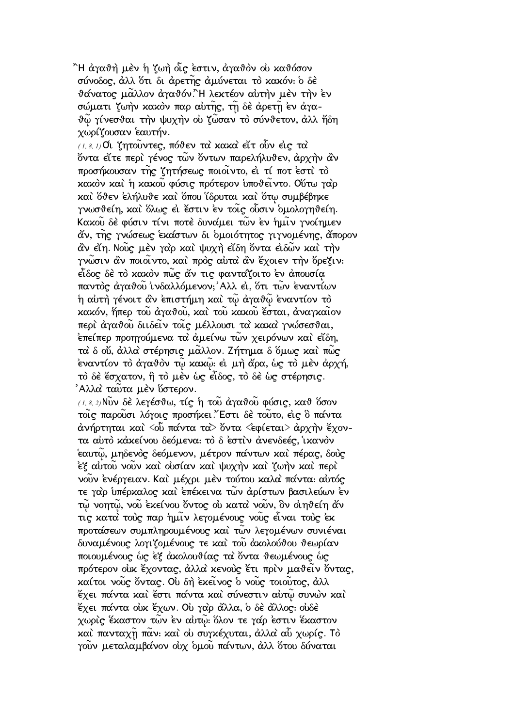Η άγαθὴ μèν ἡ (ωὴ οἶς 'εστιν, άγαθὸν οὐ καθόσον σύνοδος, άλλ ότι δι ἀρετῆς ἀμύνεται τὸ κακόν: ὁ δὲ θάνατος μᾶλλον ἀγαθόν."Η λεκτέον αὐτὴν μὲν τὴν ἐν σώματι ζωήν κακόν παρ αύτης, τη δε άρετη εν άγαθῷ γίνεσθαι τὴν ψυχὴν οὐ ζὧσαν τὸ σύνθετον, ἀλλ ἤδη χωρίζουσαν εαυτήν.

 $(1, 8, 1)$  Οι ζητούντες, πόθεν τα κακα είτ ούν εις τα ὄντα εἴτε περὶ γένος τῶν ὄντων παρελήλυθεν, ἀρχὴν ἀν προσήκουσαν της ζητήσεως ποιοίντο, εί τί ποτ έστι το κακόν και η κακού φύσις πρότερον υποθείντο. Ούτω γαρ καὶ ὅθεν ἐλήλυθε καὶ ὅπου ἵδουται καὶ ὅτω συμβέβηκε γνωσθείη, καὶ ὅλως ἐι ἔστιν ἐν τοῖς οὖσιν ὁμολογηθείη. Κακού δε φύσιν τίνι ποτε δυναμει των εν ημίν γνοίημεν άν, της γνώσεως εκαστων δι δμοιότητος γιγνομένης, άπορον άν είη. Νους μεν γαρ και ψυχη είδη όντα ειδών και την γνώσιν άν ποιοίντο, και πρός αυτα άν έχοιεν την όρεξιν: εἶδος δε το κακον πώς άν τις φαντάζοιτο εν απουσία παντὸς ἀγαθοῦ Ἰνδαλλόμενον: Ἀλλ ἐι. ὅτι τῶν ἐναντίων η αύτη γένοιτ άν επιστήμη και τω άγαθω εναντίον το κακόν, ήπερ του άγαθου, και του κακού έσται, άναγκαιον πεοὶ ἀγαθοῦ διιδεῖν τοῖς μέλλουσι τὰ κακὰ γνώσεσθαι. επείπερ προηγούμενα τα άμείνω των χειρόνων και είδη, τα`δ οὔ, άλλα` στέοησις μᾶλλον. Ζήτημα δ ὅμως καὶ πῶς εναντίον τὸ ἀγαθὸν τῷ κακῷ: εἰ μὴ ἄρα, ὡς τὸ μὲν ἀρχή, τὸ δὲ ἔσχατον, ἢ τὸ μèν ὡς εἶδος, τὸ δὲ ὡς στέρησις. Αλλα ταύτα μέν ύστερον.

 $(1, 8, 2)$  Νΰν δέ λεγέσθω, τίς ή του άγαθου φύσις, καθ όσον τοῖς παροῦσι λόγοις προσήκει."Εστι δὲ τοῦτο, ἐις ὃ πάντα άνήρτηται καὶ <οὗ πάντα τα> ὄντα < εφίεται> ἀρχὴν ἔχοντα αύτο κάκείνου δεόμενα: το δ εστιν άνενδεές, ικανον εαυτω, μηδενός δεόμενον, μέτρον παντων και πέρας, δους εξ αύτου νουν και ουσίαν και ψυχην και ζωην και περι νοὖν ἐνέργειαν. Καὶ μέχρι μὲν τούτου καλα πάντα: αὐτός τε γα`ο ὑπέοκαλος καὶ ἐπέκεινα τὧν ἀοίστων βασιλεύων ἐν τώ νοητώ, νου εκείνου όντος ού κατα νουν, δν οιηθείη άν τις κατα τούς παρ ημῖν λεγομένους νοῦς εἶναι τούς ἐκ προτάσεων συμπληρουμένους καὶ τῶν λεγομένων συνιέναι δυναμένους λογιζομένους τε καὶ τοῦ ἀκολούθου θεωρίαν ποιουμένους ὧς ἐξ ἀκολουθίας τα ὄντα θεωμένους ὧς πρότερον οὐκ ἔχοντας, ἀλλα` κενοὺς ἔτι πρὶν μαθεῖν ὄντας, καίτοι νοῦς ὄντας. Οὺ δὴ ἐκεἶνος ὁ νοῦς τοιοῦτος, ἀλλ έχει πάντα και έστι πάντα και σύνεστιν αυτώ συνων και <sup>2</sup>έχει παντα οὐκ ἔχων. Οὐ γαρ ἄλλα, ὁ δὲ ἄλλος: οὐδὲ χωρὶς ἕκαστον τῶν ἐν αὐτῷ: ὅλον τε γάρ ἐστιν ἕκαστον καὶ πανταχῆ πᾶν: καὶ οὐ συγκέχυται, ἀλλὰ αὖ χωρίς. Τὸ γοῦν μεταλαμβανον οὐχ ὁμοῦ παντων, ἀλλ ὅτου δύναται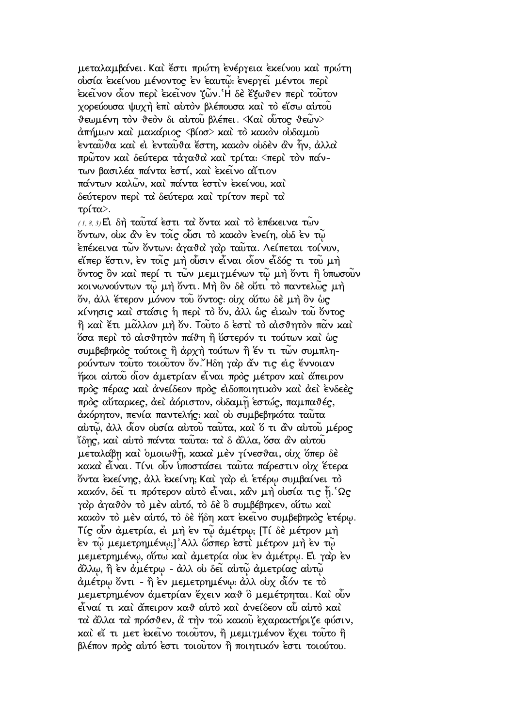μεταλαμβάνει. Καὶ ἔστι ποώτη ἐνέογεια ἐκείνου καὶ ποώτη ουσία εκείνου μένοντος εν εαυτώ: ενεργει μέντοι περι  $\hat{\mathcal{C}}$ εκεῖνον δἶον περὶ ἐκεῖνον ζὧν. Ἡ δὲ ἔἕωθεν περὶ τοῦτον χορεύουσα ψυχὴ ἐπὶ αὐτὸν βλέπουσα καὶ τὸ ἐίσω αὐτοῦ θεωμένη τὸν θεὸν δι αὐτοῦ βλέπει. <Καὶ οὗτος θεῶν> άπήμων και μακάριος <βίοσ> και το κακον ουδαμού ,<br>ενταῦθα καὶ ἐι ἐνταῦθα ἔστη, κακὸν οὐδὲν ἀν ἦν, ἀλλα` πρώτον και δεύτερα τάγαθα και τρίτα: <περι τον πάντων βασιλέα πάντα ἐστί, καὶ ἐκεἶνο αἴτιον πάντων καλὧν, καὶ πάντα ἐστὶν ἐκείνου, καὶ δεύτερον περι τα δεύτερα και τρίτον περι τα τοίτα>.

 $(1, 8, 3)$  Ει δη ταυτά 'εστι τα 'όντα και' το 'επέκεινα των  $\delta$ ντων, ουκ άν έν τοις ουσι το κακον ενείη, ουδ εν τω επέκεινα των όντων: άγαθα γαρ ταυτα. Λείπεται τοίνυν, είπερ έστιν, εν τοις μη ούσιν είναι οίον ειδός τι του μη όντος ὂν καὶ περί τι τῶν μεμιγμένων τῷ μὴ ὄντι ἢ ὁπωσουν κοινωνούντων τῶ μὴ ὄντι. Μὴ ὂν δὲ οὔτι τὸ παντελῶς μὴ ὄν, ἀλλ ἕτερον μόνον τοῦ ὄντος: οὐχ οὕτω δὲ μὴ ὂν ὡς κίνησις καὶ στάσις ἡ περὶ τὸ ὄν. ἀλλ ὡς ἐικων τοῦ ὄντος ἢ καὶ ἔτι μᾶλλον μὴ ὄν. Τοῦτο δ ἐστὶ τὸ αἰσθητὸν πᾶν καὶ όσα περί το αισθητον παθη ή ύστερόν τι τούτων και ώς συμβεβηκὸς τούτοις ἢ ἀρχὴ τούτων ἢ ἕν τι τῶν συμπληοούντων τοῦτο τοιοῦτον ὄν."Ηδη γαὸ ἀν τις ἐις ἔννοιαν ήκοι αυτού οίον άμετρίαν είναι πρός μέτρον και άπειρον πρός πέρας και άνείδεον πρός ειδοποιητικόν και άει ενδεές πρός αύταρκες, άει άόριστον, ουδαμη εστώς, παμπαθές, άκόοητον, πενία παντελής: καὶ οὐ συμβεβηκότα ταῦτα αὐτὧ, ἀλλ οἷον οὐσία αὐτοῦ ταῦτα, καὶ ὅ τι ἀν αὐτοῦ μέοος ίδης, και` αυτό πάντα ταῦτα: τα` δ ἄλλα, ὅσα ἀν αυτοῦ μεταλάβη καὶ ὁμοιωθῆ, κακὰ μὲν γίνεσθαι, οὐχ ὅπερ δὲ κακα είναι. Τίνι ούν υποστάσει ταυτα πάρεστιν ουχ έτερα ὄντα ἐκείνης, ἀλλ ἐκείνη: Καὶ γαὸ εἰ ἑτέοω συμβαίνει τὸ κακόν, δεί τι πρότερον αύτο είναι, κάν μη ουσία τις ή 'Ως γαρ άγαθον το μέν αυτό, το δε δ συμβέβηκεν, ούτω και κακόν το μεν αυτό, το δε ήδη κατ εκείνο συμβεβηκός ετέρω. Tίς οὖν ἀμετρία, ει μή εν τῷ ἀμέτρω; [Τί δε μέτρον μή  $\hat{\epsilon}$ ν τῶ μεμετοημένω:]'Αλλ ὥσπεο ἐστὶ μέτοον μὴ ἐν τῶ μεμετρημένω, ούτω και άμετρία ουκ εν άμέτρω. Ει γαρ εν άλλω, ἢ ἐν ἀμέτοω - ἀλλ οὐ δεῖ αὐτῶ ἀμετοίας αὐτῶ άμέτρω ὄντι - ἢ ἐν μεμετρημένω: ἀλλ οὐχ οἷόν τε τὸ μεμετρημένον άμετρίαν έχειν καθ δ μεμέτρηται. Και ούν εἶναί τι και άπειρον καθ αυτο και άνείδεον αὖ αυτο και τα άλλα τα πρόσθεν, α την τοῦ κακοῦ ἐχαρακτήριζε φύσιν, και εί τι μετ εκείνο τοιούτον, ή μεμιγμένον έχει τούτο ή βλέπον ποὸς αὐτό ἐστι τοιοῦτον ἢ ποιητικόν ἐστι τοιούτου.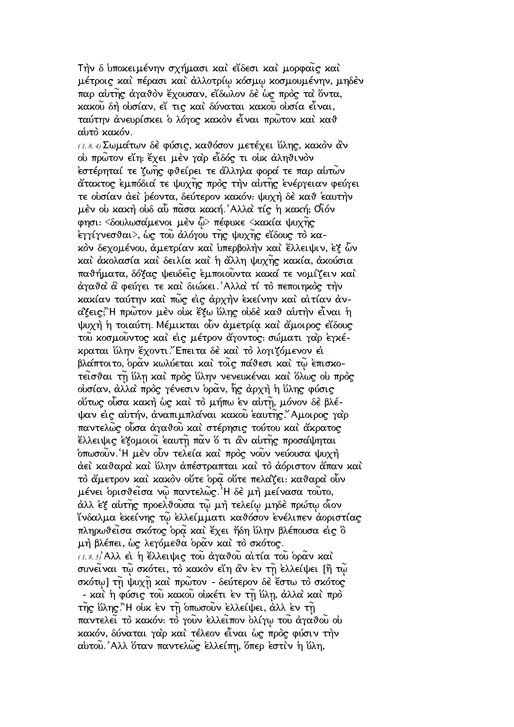Την δ υποκειμένην σχήμασι και είδεσι και μορφαίς και μέτροις και πέρασι και άλλοτρίω κόσμω κοσμουμένην, μηδεν παρ αυτής άγαθον έχουσαν, είδωλον δε ως προς τα όντα, κακού δη ουσίαν, εί τις και δύναται κακού ουσία είναι, ταύτην άνευρίσκει ο λόγος κακόν είναι πρώτον και καθ αύτὸ κακόν.

(1, 8, 4) Σωμάτων δέ φύσις, καθόσον μετέχει ύλης, κακόν άν ού πρώτον είη: έχει μεν γαρ είδός τι ούκ άληθινον εστέρηταί τε ζωής φθείρει τε άλληλα φορά τε παρ αυτών άτακτος εμπόδια τε ψυχης προς την αυτης ενέργειαν φεύγει τε ουσίαν άει ρέοντα, δεύτερον κακόν: ψυχη δε καθ εαυτην μεν ου κακή ουδ αύ πασα κακή. Αλλα τίς η κακή; Οιόν φησι: <δουλωσάμενοι μεν ώ> πέφυχε <κακία ψυχης 'εγγίγνεσθαι>, ώς τοῦ ἀλόγου τῆς ψυχῆς εἴδους τὸ κακον δεχομένου, άμετρίαν και υπερβολήν και έλλειψιν, εξ ών και άκολασία και δειλία και η άλλη ψυχης κακία, άκούσια παθήματα, δόξας ψευδεις εμποιούντα κακά τε νομίζειν και άγαθα δ φεύγει τε και διώκει. Αλλα τί το πεποιηκός την κακίαν ταύτην και πώς είς άρχην εκείνην και αιτίαν άναξεις; Η πρώτον μεν ουκ έξω ύλης ουδε καθ αυτην είναι η ψυχή η τοιαύτη. Μέμικται ούν άμετρία και άμοιρος είδους του κοσμούντος και είς μέτρον άγοντος: σώματι γαρ εγκέκραται ύλην έχοντι. Επειτα δε και το λογιζόμενον ει βλάπτοιτο, δράν κωλύεται και τοις πάθεσι και τω επισκοτείσθαι τη ύλη και πρός ύλην νενευκέναι και όλως ου πρός ουσίαν, άλλα πρός γένεσιν δράν, ής άρχη η ύλης φύσις ούτως ούσα κακή ως και το μήπω εν αυτή, μόνον δε βλέψαν εις αυτήν, άναπιμπλαναι κακού εαυτής. Αμοιρος γαρ παντελώς ούσα άγαθού και στέρησις τούτου και άκρατος έλλειψις εξομοιοι εαυτη παν δ τι άν αυτης προσάψηται **δπωσούν.** Η μεν ούν τελεία και προς νουν νεύουσα ψυχη άει καθαρα και ύλην απέστραπται και το αόριστον άπαν και το άμετρον και κακον ούτε ορα ούτε πελαζει: καθαρα ούν μένει δρισθείσα νώ παντελώς. Η δε μή μείνασα τούτο, άλλ εξ αυτής προελθούσα τω μή τελείω μηδε πρώτω οίον ἴνδαλμα ἐκείνης τῷ ἐλλείμματι καθόσον ἐνέλιπεν ἀοριστίας πληρωθείσα σκότος δρα και έχει ήδη ύλην βλέπουσα είς δ μή βλέπει, ως λεγόμεθα δράν και το σκότος.  $(1, 8, 5)$  Αλλ εί η έλλειψις του άγαθου αιτία του δράν και συνείναι τω σκότει, το κακόν είη άν εν τη ελλείψει [ή τω σκότω] τη ψυχη και πρώτον - δεύτερον δε έστω το σκότος - και η φύσις του κακου ουκέτι εν τη ύλη, άλλα και προ της ύλης. Η ουκ εν τη οπωσουν ελλείψει, άλλ εν τη παντελεί το κακόν: το γουν ελλείπον ολίγω του άγαθου ου κακόν, δύναται γαρ και τέλεον είναι ως προς φύσιν την αυτου. Αλλ όταν παντελως ελλείπη, όπερ εστιν η ύλη,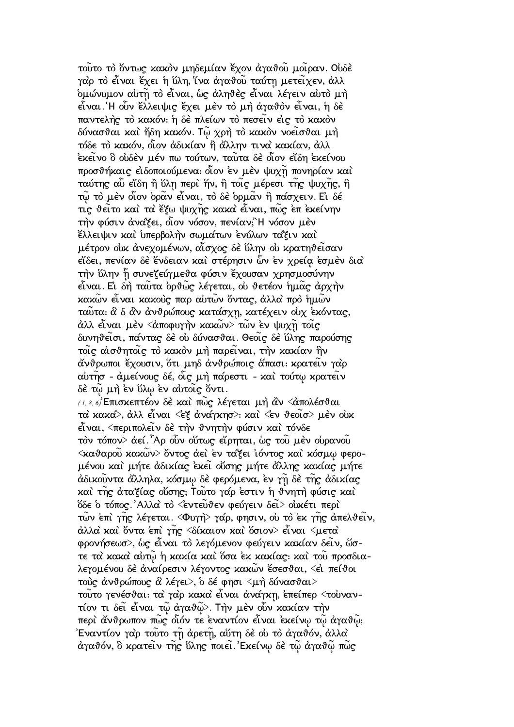τούτο το όντως κακόν μηδεμίαν έχον άγαθου μοιραν. Ουδέ γαρ τὸ ἐἶναι ἔχει ἡ ὕλη, ἵνα ἀγαθοῦ ταύτῃ μετεῖχεν, ἀλλ διιώνυμον αὐτῆ τὸ ἐἶναι, ὡς ἀληθὲς ἐἶναι λέγειν αὐτὸ μὴ "
/-:R &
 R'
2?"
)H2 παντελὴς τὸ κακόν: ἡ δὲ πλείων τὸ πεσεῖν ἐις τὸ κακὸν δύνασθαι και ήδη κακόν. Τω χρη το κακον νοεισθαι μη τόδε τὸ κακόν, οἷον ἀδικίαν ἢ ἄλλην τινα κακίαν, ἀλλ έκεινο δ ουδέν μέν πω τούτων, ταυτα δε οίον είδη εκείνου προσθήκαις ειδοποιούμενα: οίον εν μεν ψυχη πονηρίαν και ταύτης αὗ ἐίδη ἢ ὕλη περὶ ἥν, ἢ τοις μέρεσι τῆς ψυχῆς, ἢ τώ το μεν οίον οράν είναι, το δε ορμάν ή πασχειν. Ει δέ τις θείτο και τα έξω ψυχης κακα είναι, πως επ εκείνην τὴν φύσιν ἀνα ει. δἶον νόσον, πενίαν: Η νόσον μὲν έλλειψιν καὶ ὑπεοβολὴν σωμάτων ἐνύλων τά ίν καὶ μέτρον οὐκ ἀνεχομένων, αἶσχος δὲ ὕλην οὐ κρατηθεῖσαν είδει, πενίαν δε ένδειαν και στέρησιν ὧν εν χρεία εσμεν δια τὴν ὕλην ῇ συνεζεύγμεθα φύσιν ἔχουσαν χρησμοσύνην εἶναι. Ει δὴ ταῦτα ὀρθῶς λέγεται, οὐ θετέον ἡμᾶς ἀρχὴν κακῶν ἐἶναι κακούς παο αὐτῶν ὄντας, ἀλλα ποὸ ἡμῶν ταυτα: α δ άν ανθρώπους κατάσχη, κατέχειν ουχ εκόντας, άλλ εἶναι μὲν <ἀποφυγὴν κακῶν> τῶν ἐν ψυχῆ τοῖς δυνηθεῖσι, πάντας δὲ οὐ δύνασθαι. Θεοῖς δὲ ὕλης παρούσης τοις αισθητοις τὸ κακὸν μὴ παρειναι, τὴν κακίαν ἡν άνθρωποι έχουσιν, ότι μηδ άνθρώποις άπασι: κρατείν γαρ αύτησ - άμείνους δέ, δίς μη πάρεστι - και τούτω κρατείν δὲ τῶ un ἐν ὕλω ἐν αὐτοῖς ὄντι.

(1, 8, 6) Επισκεπτέον δε και πώς λέγεται μη άν <άπολέσθαι τα` κακά>. ἀλλ ἐἶναι < έ ἀνάηκησ>: και` < εν θεοἶσ> μεν οὐκ εἶναι. <περιπολεῖν δὲ τὴν θνητὴν φύσιν καὶ τόνδε τον τόπον> αεί. Αρ οὖν οὕτως εἴρηται, ως τοῦ μεν οὐρανοῦ < καθαρού κακών> όντος άει εν ταξει ιόντος και κόσμω φερομένου και μήτε αδικίας εκει ούσης μήτε άλλης κακίας μήτε άδικοῦντα ἄλληλα, κόσμω δὲ φεοόμενα, ἐν γῆ δὲ τῆς ἀδικίας και της άταξίας ούσης; Τουτο γαρ έστιν η θνητη φύσις και δδε δ τόπος.'Αλλα` τὸ <εντεῦνθεν φεύγειν δεῖ> οὐκέτι περὶ τῶν ἐπὶ γῆς λέγεται. <Φυγή> γάο, φησιν, οὐ τὸ ἐκ γῆς ἀπελθεῖν. άλλα` και` ὄντα 'επι` γῆς <δίκαιον και` ὅσιον> εἶναι <μετα` φρονήσεωσ>, ώς εἶναι τὸ λεγόμενον φεύγειν κακίαν δεῖν, ὥστε τα κακα αυτώ η κακία και δσα εκ κακίας: και του προσδιαλεγομένου δὲ ἀναίρεσιν λέγοντος κακῶν ἔσεσθαι. <ἐι πείθοι τούς άνθοώπους δ λέγει>, δ δέ φησι <μή δύνασθαι> τούτο γενέσθαι: τα γαρ κακα είναι άνάγκη, επείπερ <τούναντίον τι δει είναι τω άγαθω>. Την μεν ούν κακίαν την περι άνθρωπον πως οιόν τε εναντίον είναι εκείνω τω άγαθω; Εναντίον γαρ τούτο τη άρετη, αύτη δέ ου το αγαθόν, άλλα άγαθόν, δ κοατεῖν τῆς ὕλης ποιεῖ. Ἐκείνω δὲ τῶ ἀγαθῶ πῶς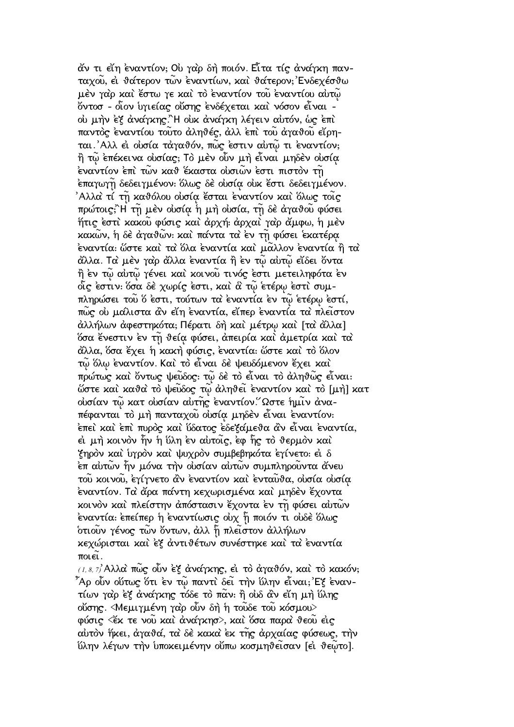άν τι είη εναντίον; Ου γαρ δη ποιόν. Είτα τίς αναγκη πανταχου, ει θατερον των εναντίων, και θατερον; Ενδεχέσθω μέν γαρ και έστω γε και το εναντίον του εναντίου αυτώ όντοσ - οίον υγιείας ούσης ενδέχεται και νόσον είναι ού μην 'ε άνανκης'. Η ουκ άνανκη λέγειν αυτόν, ώς 'επι' παντὸς ἐναντίου τοῦτο ἀληθές, ἀλλ ἐπὶ τοῦ ἀγαθοῦ εἴοηται.'Αλλ ει ουσία τάγαθόν, πὧς 'εστιν αυτὧ τι 'εναντίον: ή τῷ ἐπέκεινα οὐσίας; Τὸ μèν οὖν μὴ εἶναι μηδèν οὐσία έναντίον επι των καθ έκαστα ούσιων εστι πιστον τη ,<br>επαγωγη δεδειγμένον: δλως δὲ οὐσία οὐκ ἔστι δεδειγμένον. Αλλα τι τη καθόλου ουσία έσται εναντίον και όλως τοις ποώτοις:``Η τη μèν οὐσία ἡ μὴ οὐσία, τη δè ἀγαθοῦ φύσει ήτις εστι κακού φύσις και άρχή: άρχαι γαρ άμφω, η μεν κακών, η δε άγαθών: και πάντα τα εν τη φύσει εκατέρα ,<br>εναντία: ὥστε καὶ τὰ ὅλα ἐναντία καὶ μἆλλον ἐναντία ἢ τὰ άλλα. Τα μèν γα`ο άλλα ἐναντία ἢ ἐν τὧ αὐτὧ ἐίδει ὄντα ή εν τῶ αὐτῶ γένει καὶ κοινοῦ τινός ἐστι μετειληφότα εν οις έστιν: όσα δε χωρίς έστι, και α τω ετέρω εστι συμπληοώσει τοῦ ὅ ἐστι, τούτων τα ἐναντἶα ἐν τῶ ἑτέοω ἐστί. πῶς οὐ μαλιστα ἀν ἐίη ἐναντία, ἐίπεο ἐναντία τα πλεῖστον άλλήλων ἀφεστηκότα: Πέρατι δὴ καὶ μέτρω καὶ [τὰ ἄλλα] δσα ένεστιν εν τη θεία φύσει, απειρία και αμετρία και τα άλλα, δσα ἔχει ἡ κακὴ φύσις, ἐναντία: ὥστε καὶ τὸ ὅλον τῷ ὅλῳ ἐναντίον. Καὶ τὸ ἐἶναι δὲ ψευδόμενον ἔχει καὶ ποώτως και ὄντως ψεῦδος: τῶ δὲ τὸ ἐἶναι τὸ ἀληθῶς ἐἶναι: ὥστε καὶ καθὰ τὸ ψεῦδος τὧ ἀληθεῖ ἐναντίον καὶ τὸ [uὴ] κατ ούσίαν τω κατ ούσίαν αύτης εναντίον. Ωστε ημίν άναπέφανται τὸ μή πανταχου ουσία μηδεν εἶναι εναντίον: έπει και επι πυρος και ύδατος εδεζάμεθα άν είναι εναντία, ει μη κοινον ἦν ἡ ὕλη ἐν αὐτοῖς, ἐω ἧς το θεομον καὶ ' ζηρον και υγρον και ψυχρον συμβεβηκότα εγίνετο: εί δ  $\hat{\epsilon}$ π αὐτὧν ἦν μόνα τὴν οὐσίαν αὐτὧν συμπληοοῦντα ἄνευ του κοινου, εγίγνετο άν εναντίον και ενταυθα, ουσία ουσία 'εναντίον. Τα άρα πάντη κεχωρισμένα και μηδεν 'έχοντα κοινὸν καὶ πλείστην ἀπόστασιν ἔχοντα ἐν τῇ φύσει αὐτῶν ,<br>εναντία: επείπερ ἡ ἐναντίωσις οὐχ ῇ ποιόν τι οὐδὲ ὅλως δτιοὖν γένος τῶν ὄντων, ἀλλ ἧ πλεῖστον ἀλλήλων κεχώρισται και εξ αντιθέτων συνέστηκε και τα εναντία  $\pi$ olel.

 $(1, 8, 7)$  Αλλα πώς ούν εξ αναγκης, ει το αγαθόν, και το κακόν; Άο οὖν οὕτως ὅτι ἐν τὦ παντὶ δεῖ τὴν ὕλην εἶναι: Ἐ <sup>γ</sup> ἐναντίων γαο εε αναγκης τόδε το παν: ή ουδ αν είη μη ύλης ούσης. <Μεμιγμένη γαρ ούν δη η τουδε του κόσμου> φύσις <έκ τε νου και άναγκησ>, και όσα παρα θεου είς αύτον ήκει, άγαθα, τα δε κακα εκ της αρχαίας φύσεως, την Όλην λέγων τὴν ὑποκειμένην οὔπω κοσμηθεῖσαν [εἰ θεῶτο].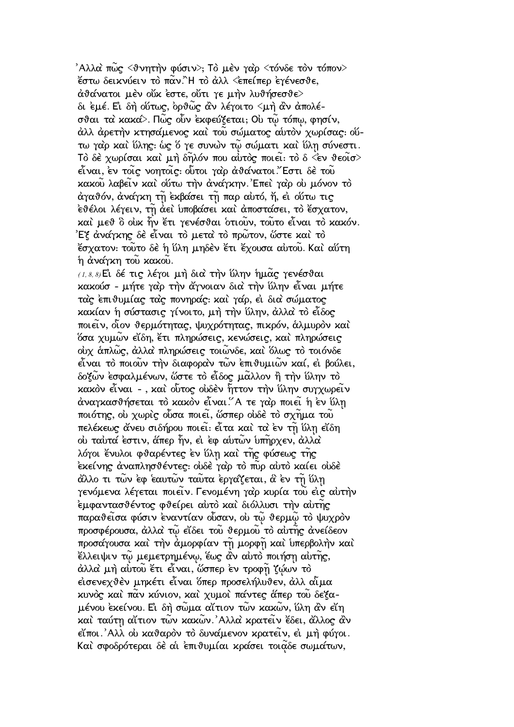Αλλα πώς <θνητήν φύσιν>: Το μέν γαο <τόνδε τον τόπον> έστω δεικνύειν τὸ πᾶν.``Η τὸ ἀλλ <επείπεο ἐγένεσθε. άθανατοι μèν οὔκ 'εστε, οὔτι γε μην λυθήσεσθε> δι 'εμέ. Ε'ι δη` οὕτως, 'οοθῶς ἀν λέγοιτο <μη` ἀν ἀπολέσθαι τα κακά>. Πώς ούν εκφεύξεται; Ου τώ τόπω, φησίν, άλλ ἀρετὴν κτησάμενος καὶ τοῦ σώματος αὑτὸν χωρίσας: οὕτω γα`ο καὶ ὕλης: ὡς ὅ γε συνὼν τὧ σώματι καὶ ὕλη σύνεστι. Τὸ δὲ χωρίσαι καὶ μὴ δῆλόν που αὐτὸς ποιεῖ: τὸ δ <ςν θεοῖσ> είναι, εν τοις νοητοις: ούτοι γαρ άθανατοι."Εστι δε του χακοῦ λαβεῖν καὶ οὕτω τὴν ἀναΎκην. Ἐπεὶ Υαὸ οὐ μόνον τὸ άγαθόν, άναγκη τη εκβασει τη παρ αυτό, ή, ει ούτω τις εθέλοι λέγειν, τῆ ἀεὶ ὑποβασει και ἀποστασει, τὸ ἔσχατον, και μεθ δ ούκ ήν έτι γενέσθαι στιουν, τουτο είναι το κακόν. 'Ε' άνάγκης δὲ εἶναι τὸ μετα τὸ πρῶτον, ὥστε καὶ τὸ ἔσχατον: τοῦτο δὲ ἡ ὕλη μηδὲν ἔτι ἔχουσα αὐτοῦ. Καὶ αὕτη η αναγκη του κακου.

 $(1,8,8)$ Ει δέ τις λέγοι μή δια την ύλην ημάς γενέσθαι κακούσ - μήτε γα`ο τὴν ἄγνοιαν δια` τὴν ὕλην ἐἶναι μήτε τας επιθυμίας τας πονηράς: και γάρ, ει δια σώματος κακίαν ή σύστασις γίνοιτο, μη την ύλην, άλλα τὸ ểἶδος ποιεῖν, οἷον θερμότητας, ψυχρότητας, πικρόν, ἁλμυρὸν καὶ <sup>δ</sup>σα χυμῶν ἐίδη, ἔτι πληρώσεις, κενώσεις, καὶ πληρώσεις οὐχ ἁπλῶς, ἀλλα` πληρώσεις τοιῶνδε, καὶ ὅλως τὸ τοιόνδε εἶναι τὸ ποιοῦν τὴν διαφοραν τῶν ἐπιθυμιῶν καί, εἰ βούλει. δο ίων ἐσφαλμένων, ὥστε τὸ ἐἶδος μᾶλλον ἢ τὴν ὕλην τὸ κακὸν ἐἶναι - , καὶ οὗτος οὐδὲν ἧττον τὴν ὕλην συγχωρεῖν άναγκασθήσεται τὸ κακὸν ἐἶναι. A τε γαὸ ποιεῖ ἡ ἐν ὕλη ποιότης, ου χωρις ούσα ποιεί, ώσπερ ουδε το σχημα του πελέκεως άνευ σιδήρου ποιεῖ: ἐἶτα καὶ τὰ ἐν τῆ ὕλη ἐίδη οὐ ταὐτα 'εστιν, ἄπερ ἦν, εἰ 'εφ αὑτῶν ὑπῆρχεν, ἀλλα` λόγοι ἔνυλοι φθαρέντες ἐν ὕλη καὶ τῆς φύσεως τῆς ,<br>εκείνης άναπλησθέντες: οὐδè ταρ τὸ πῦρ αὐτὸ καίει οὐδè άλλο τι τῶν ἐφ ἑαυτῶν ταῦτα ἐογαΎεται. ἁ ἐν τῆ ὕλη γενόμενα λέγεται ποιεῖν. Γενομένη γαὸ κυοία τοῦ ἐις αὐτὴν ,<br>εμφαντασθέντος φθείρει αὐτὸ καὶ διόλλυσι τὴν αὐτῆς παραθείσα φύσιν εναντίαν ούσαν, ου τῳ θερμῳ τὸ ψυχρὸν προσφέρουσα, άλλα` τῶ ἐίδει τοῦ θερμοῦ τὸ αὐτἦς ἀνείδεον προσαγουσα καὶ τὴν ἀμορφίαν τῆ μορφῆ καὶ ὑπερβολὴν καὶ ελλειψιν τῶ μεμετοημένω, ἕως ἄν αὐτο ποιήση αὐτῆς. άλλα` μὴ αὐτοῦ ἔτι εἶναι. ὥσπεο ἐν τοοφῆ ζώων τὸ εισενεχθὲν μηκέτι εἶναι ὅπερ προσελήλυθεν, ἀλλ αῗμα κυνός και παν κύνιον, και χυμοι πάντες άπερ του δεξαμένου 'εκείνου. Ε'ι δη` σὧμα αίτιον τὧν κακὧν, ὕλη ἀν είη καὶ ταύτη αἴτιον τῶν κακῶν.'Αλλα κοατεῖν ἔδει, ἄλλος ἀν εἴποι. Ἀλλ οὐ καθαοὸν τὸ δυναμενον κοατεῖν, εἰ μὴ φύγοι. Και σφοδρότεραι δε αι επιθυμίαι κράσει τοιαδε σωμάτων,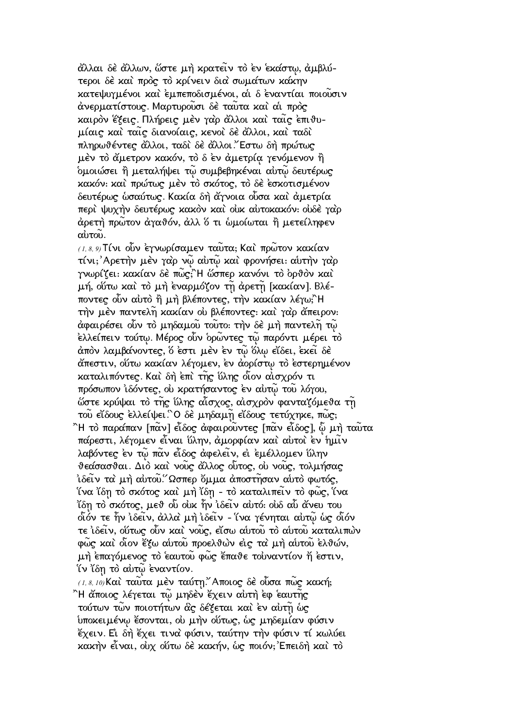άλλαι δὲ ἀλλων, ὥστε μὴ κρατεῖν τὸ ἐν Ἑκαστω, ἀμβλύτεροι δέ και πρός το κρίνειν δια σωμάτων κάκην κατεψυγμένοι και εμπεποδισμένοι, αι δ εναντίαι ποιούσιν άνερματίστους. Μαρτυρούσι δε ταύτα και αί πρός καιοὸν ἕξεις. Πλήρεις μèν γαὸ ἄλλοι καὶ ταῖς ἐπιθυμίαις και ταις διανοίαις, κενοι δε άλλοι, και ταδι πληρωθέντες άλλοι, ταδὶ δὲ άλλοι."Εστω δη πρώτως μέν τὸ ἄμετρον κακόν, τὸ δ εν ἀμετρία γενόμενον ἢ διιοιώσει ἢ μεταλήψει τῶ συμβεβηκέναι αὐτῶ δευτέοως κακόν: και πρώτως μέν το σκότος, το δε εσκοτισμένον δευτέρως ώσαύτως. Κακία δη άγνοια ούσα και άμετρία περι ψυχήν δευτέρως κακόν και ούκ αυτοκακόν: ουδε γαρ ἀρετὴ πρῶτον ἀγαθόν, ἀλλ ὅ τι ὡμρίωται ἢ μετείληφεν  $\alpha \rightarrow \alpha$ .

 $(1, 8, 9)$  Τίνι οὖν 'εγνωρίσαμεν ταῢτα; Καὶ πρὦτον κακίαν τίνι; Αρετήν μέν γαρ νώ αυτώ και φρονήσει: αυτήν γαρ γνωρίζει: κακίαν δὲ πὦς:``Η ὥσπερ κανόνι τὸ ὀοθὸν καὶ μή, ούτω και το μη εναρμόζον τη αρετη [κακίαν], Βλέποντες οὖν αὐτὸ ἢ μὴ βλέποντες, τὴν κακίαν λέγω;`Η την μὲν παντελῆ κακίαν οὐ βλέποντες: καὶ γαὸ ἄπειρον: άφαιρέσει οὗν τὸ μηδαμοῦ τοῦτο: τὴν δὲ μὴ παντελῆ τῶ ,<br>ελλείπειν τούτω. Μέρος οὖν δρῶντες τῶ παρόντι μέρει τὸ άπον λαμβάνοντες, δ΄ έστι μεν εν τῶ ὅλω εἴδει, ἐκεῖ δὲ άπεστιν, ούτω κακίαν λέγομεν, εν αοοίστω το εστεοημένον καταλιπόντες. Καὶ δὴ ἐπὶ τῆς ὕλης οἷον αἶσχρόν τι πρόσωπον ιδόντες, ου κρατήσαντος εν αυτῶ τοῦ λόγου. ὥστε κρύψαι τὸ τῆς ὕλης αἶσχος, αἰσχρὸν φανταζόμεθα τῆ τοῦ ἐίδους ἐλλείψει. Ὁ δὲ μηδαμῇ ἐίδους τετύχηκε, πῶς; Η τὸ παραπαν [π $\tilde{\alpha}$ ν] εἶδος ἀφαιροῦντες [π $\tilde{\alpha}$ ν εἶδος], ὧ μη ταῦτα πάρεστι, λέγομεν εἶναι ὕλην, ἀμορφίαν καὶ αὐτοὶ ἐν ἡμἶν λαβόντες ἐν τῶ πᾶν ἐἶδος ἀφελεῖν, ἐι ἐμέλλομεν ὕλην θεάσασθαι. Διὸ καὶ νοῦς ἄλλος οὗτος, οὐ νοῦς, τολμήσας ιδείν τα μη αυτου. Ωσπερ όμμα αποστήσαν αυτό φωτός, ίνα ἴδη τὸ σκότος καὶ μὴ ἴδη - τὸ καταλιπεῖν τὸ φῶς. ἵνα ίδη τὸ σκότος, μεθ οὗ οὐκ ἦν ἰδεῖν αὐτό: οὐδ αὖ άνευ του οἷόν τε ἦν ἰδεῖν, ἀλλα` μὴ ἰδεῖν - ἵνα γένηται αὐτῶ ὡς οἷόν τε ιδεῖν, οὕτως οὖν καὶ νοῦς, εἴσω αὑτοῦ τὸ αὑτοῦ καταλιπων φῶς καὶ δἶον ἔἕω αὑτοῦ ποοελθων ἐις τὰ μὴ αὑτοῦ ἐλθών. μη επαγόμενος το εαυτού φως έπαθε τουναντίον ή εστιν, ν ίδη το αυτώ εναντίον.

 $(1, 8, 10)$ Και ταύτα μεν ταύτη." Αποιος δε ούσα πώς κακή; Η άποιος λέγεται τῷ μηδεν ἔχειν αὐτὴ 'εφ 'εαυτῆς τούτων των ποιοτήτων δς δέξεται και εν αυτη ώς υποκειμένω έσονται, ου μην ούτως, ως μηδεμίαν φύσιν ἔχειν. Ει δὴ ἔχει τινα φύσιν, ταύτην τὴν φύσιν τί κωλύει κακήν είναι, ούχ ούτω δέ κακήν, ώς ποιόν; Επειδή και τό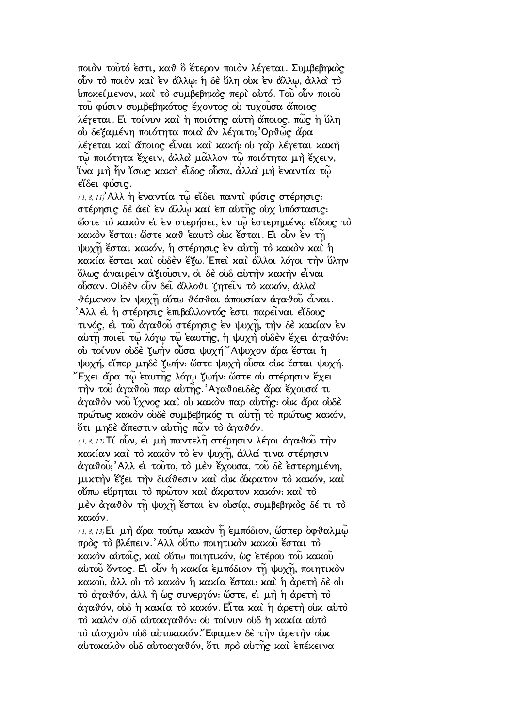ποιὸν τοῦτό ἐστι, καθ ὃ ἕτεοον ποιὸν λέγεται. Συμβεβηκὸς οὖν τὸ ποιὸν καὶ ἐν ἄλλω: ἡ δὲ ὕλη οὐκ ἐν ἄλλω, ἀλλα` τὸ <u>υποκείμενον, και το συμβεβηκός περι αυτό.</u> Του ούν ποιου του φύσιν συμβεβηκότος έχοντος ου τυχούσα άποιος λέγεται. Ει τοίνυν καὶ ἡ ποιότης αὐτὴ ἄποιος, πὧς ἡ ὕλη οὐ δεἕαμένη ποιότητα ποια` ἀν λέγοιτο:'Οοθὧς ἄοα λέγεται καὶ ἄποιος εἶναι καὶ κακή: οὐ γαὸ λέγεται κακὴ τῷ ποιότητα ἔχειν, ἀλλα` μᾶλλον τῷ ποιότητα μὴ ἔχειν, ίνα μη ἦν ἴσως κακη εἶδος οὗσα, ἀλλα μη ἐναντία τῶ είδει φύσις.

 $(1,8,11)$  Αλλ ή εναντία τῷ είδει παντι φύσις στέρησις: στέρησις δὲ ἀεὶ ἐν ἄλλῳ καὶ ἐπ αὐτῆς οὐχ ὑπόστασις: ώστε το κακόν ει εν στερήσει, εν τω εστερημένω είδους το κακόν έσται: ώστε καθ εαυτό ουκ έσται. Ει ούν εν τη ψυχη έσται κακόν, η στέρησις εν αυτη το κακον και η κακία ἔσται καὶ οὐδὲν ἔἕω. Ἐπεὶ καὶ ἀλλοι λόγοι τὴν ὕλην δλως αναιρεῖν α ειοῦσιν, οἱ δὲ οὐδ αὐτὴν κακὴν εἶναι οὖσαν. Οὐδὲν οὖν δεῖ ἀλλοθι Ψητεῖν τὸ κακόν, ἀλλα` θέμενον εν ψυχη ούτω θέσθαι άπουσίαν άγαθου είναι. Αλλ ει η στέρησις επιβαλλοντός εστι παρείναι είδους τινός, ει του άγαθου στέρησις εν ψυχη, την δε κακίαν εν αὐτῆ ποιεῖ τῷ λόγῳ τῷ ἑαυτῆς, ἡ ψυχὴ οὐδὲν ἔχει ἀγαθόν: ου τοίνυν ουδέ ζωην ούσα ψυχή. Αψυχον άρα έσται η ψυχή, είπερ μηδε ζωήν: ὥστε ψυχη οὖσα οὐκ ἔσται ψυχή. Εχει άρα τῷ ξαυτης λόγω ζωήν: ὥστε οὐ στέρησιν έχει την του άγαθου παρ αύτης. Αγαθοειδές άρα έχουσα τι άγαθον νου ίχνος και ου κακόν παρ αυτής: ουκ άρα ουδε πρώτως κακόν ουδέ συμβεβηκός τι αυτή το πρώτως κακόν, ότι μηδέ άπεστιν αύτης παν το άγαθόν.

 $(1, 8, 12)$  Τί οὖν, ει μή παντελη στέρησιν λέγοι άγαθοῦ την κακίαν καὶ τὸ κακὸν τὸ ἐν ψυχῇ, ἀλλα τινα στέρησιν άγαθοῦ; Ἀλλ ἐι τοῦτο, τὸ μὲν ἔχουσα, τοῦ δὲ ἐστερημένη, μικτην έξει την διαθεσιν και ούκ άκρατον το κακόν, και ούπω εύρηται το πρώτον και άκρατον κακόν: και το μεν άγαθον τη ψυχη έσται εν ουσία, συμβεβηκος δέ τι το κακόν.

 $(1, 8, 13)$ Ει μή άρα τούτω κακὸν ή εμπόδιον, ὥσπερ οφθαλμῷ ποὸς τὸ βλέπειν. Αλλ οὕτω ποιητικὸν κακοῦ ἔσται τὸ κακόν αυτοίς, και ούτω ποιητικόν, ως ετέρου του κακού αύτου όντος. Ει ούν η κακία εμπόδιον τη ψυχη, ποιητικον κακοῦ, ἀλλ οὐ τὸ κακὸν ἡ κακία ἔσται: καὶ ἡ ἀοετὴ δὲ οὐ τὸ ἀγαθόν, ἀλλ ἢ ὡς συνεογόν: ὥστε, ἐι μὴ ἡ ἀοετὴ τὸ άγαθόν, οὐδ ἡ κακία τὸ κακόν. Εἶτα καὶ ἡ ἀρετὴ οὐκ αὐτὸ τὸ καλὸν οὐδ αὐτοαγαθόν: οὐ τοίνυν οὐδ ἡ κακία αὐτὸ το αισχρον ουδ αυτοκακόν. Έφαμεν δε την άρετην ουκ αύτοκαλον ουδ αυτοαγαθόν, ότι ποο αυτης και 'επέκεινα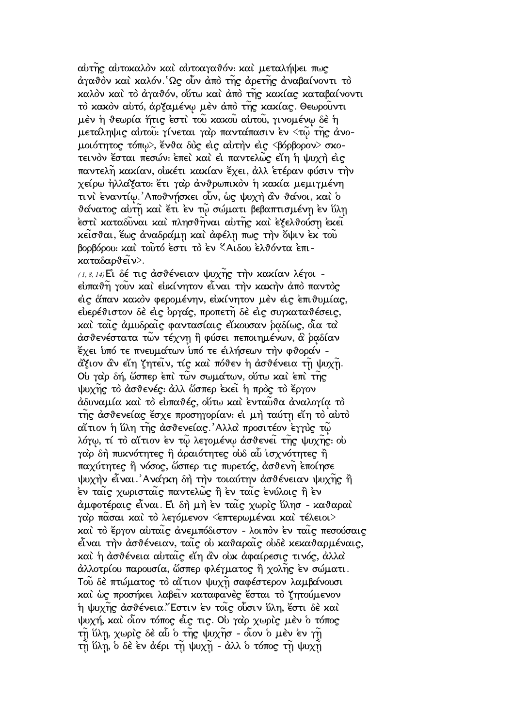αύτης αυτοκαλόν και αυτοαγαθόν: και μεταλήψει πως άγαθον και καλόν. Ώς ούν άπο της άρετης άναβαίνοντι το καλόν και το άγαθόν, ούτω και άπο της κακίας καταβαίνοντι τὸ κακὸν αὐτό, ἀρξαμένῳ μὲν ἀπὸ της κακίας. Θεωρουντι μεν η θεωρία ήτις εστι του κακού αυτου, γινομένω δε η μετάληψις αύτου: γίνεται γαρ παντάπασιν έν <τώ της άνομοιότητος τόπω>, ένθα δύς εις αυτήν εις <βόρβορον> σκοτεινον έσται πεσών: επει και ει παντελώς είη η ψυχη εις παντελη κακίαν, ούκέτι κακίαν έχει, άλλ ετέραν φύσιν την χείρω ηλλαξατο: έτι γαρ ανθρωπικον η κακία μεμιγμένη τινι εναντίω. Αποθνήσκει ούν, ως ψυχη άν θάνοι, και ο θανατος αυτη και έτι εν τω σώματι βεβαπτισμένη εν ύλη έστι καταδύναι και πλησθηναι αυτής και εξελθούση εκει κεισθαι, έως αναδράμη και αφέλη πως την όψιν εκ του βορβόρου: και τουτό έστι το έν <Αιδου ελθόντα επικαταδαρθείν>.

(1, 8, 14) Ει δέ τις άσθένειαν ψυχης την κακίαν λέγοι ευπαθη γουν και ευκίνητον είναι την κακην άπο παντός εις άπαν κακόν φερομένην, ευκίνητον μέν εις επιθυμίας, εύερέθιστον δε είς όργας, προπετή δε είς συγκαταθέσεις, και ταις αμυδραίς φαντασίαις είκουσαν ραδίως, οια τα άσθενέστατα των τέχνη ή φύσει πεποιημένων, α ραδίαν έχει υπό τε πνευμάτων υπό τε ειλήσεων την φθοράν άξιον άν είη ζητείν, τίς και πόθεν η άσθένεια τη ψυχη. Ου γαρ δή, ώσπερ επι των σωματων, ούτω και επι της ψυχης το άσθενές: άλλ ώσπερ έκει η προς το έργον άδυναμία και το ευπαθές, ούτω και ενταυθα άναλογία το της άσθενείας έσχε προσηγορίαν: εί μη ταύτη είη το αυτο αίτιον η ύλη της ασθενείας. Αλλα προσιτέον εγγύς τώ λόγω, τί το αίτιον εν τω λεγομένω ασθενει της ψυχης: ου γαρ δη πυκνότητες ή άραιότητες ουδ αὖ ισχνότητες ή παχύτητες ή νόσος, ώσπερ τις πυρετός, άσθενη εποίησε ψυχήν εἶναι. Ανάγκη δη την τοιαύτην ασθένειαν ψυχης ή έν ταις χωρισταις παντελως ή έν ταις ενύλοις ή έν άμφοτέραις είναι. Ει δή μή εν ταις χωρις ύλησ - καθαραι γαρ πασαι και το λεγόμενον < επτερωμέναι και τέλειοι> και το έργον αυταίς ανεμπόδιστον - λοιπον εν ταίς πεσούσαις είναι την άσθένειαν, ταις ου καθαραις ουδε κεκαθαρμέναις, και η ασθένεια αυταίς είη άν ουκ αφαίρεσις τινός, άλλα άλλοτρίου παρουσία, ὥσπερ φλέγματος ἢ χολης 'εν σώματι. Του δε πτώματος το αίτιον ψυχη σαφέστερον λαμβανουσι και ως προσήκει λαβείν καταφανες έσται το ζητούμενον ή ψυχης ἀσθένεια. Έστιν εν τοις ούσιν ὕλη, ἔστι δὲ καὶ ψυχή, και οίον τόπος είς τις. Ου γαρ χωρις μεν ο τόπος τη ύλη, χωρίς δέ αὖ ο της ψυχησ - οίον ο μέν έν γη τη ύλη, ο δέ έν άέρι τη ψυχη - άλλ ο τόπος τη ψυχη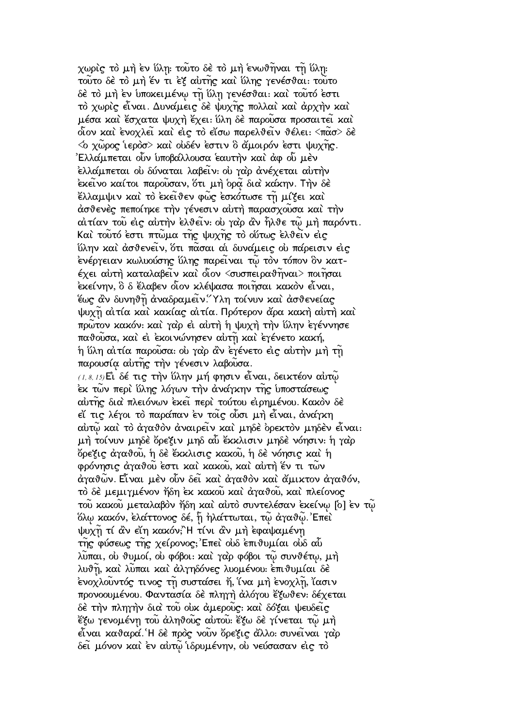χωρὶς τὸ μὴ ἐν ὕλῃ: τοῦτο δὲ τὸ μὴ ἑνωθῆναι τῇ ὕλῃ: τοῦτο δὲ τὸ μὴ ἕν τι ἐ αὐτῆς καὶ ὕλης γενέσθαι: τοῦτο δὲ τὸ μὴ ἐν ὑποκειμένω τῆ ὕλη γενέσθαι: καὶ τοῦτό ἐστι τὸ χωρὶς ἐἶναι. Δυναμεις δὲ ψυχῆς πολλαὶ καὶ ἀρχὴν καὶ μέσα καὶ ἔσχατα ψυχὴ ἔχει: ὕλη δὲ παροῦσα προσαιτεῖ καὶ οἷον καὶ ἐνοχλεῖ καὶ ἐις τὸ ἐίσω παρελθεῖν θέλει: <πᾶσ> δὲ  $\leq$  χώρος ίερὸσ> καὶ οὐδέν 'εστιν ὃ άμοιρόν 'εστι ψυχης. Ελλάμπεται οὖν υποβάλλουσα εαυτήν και άφ οὗ μεν ,<br>ελλαμπεται ου δύναται λαβεῖν: ου γαρ ἀνέχεται αυτὴν εκείνο καίτοι παρούσαν, ότι μή δρα δια κάκην. Την δε έλλαμψιν καὶ τὸ ἐκεἶθεν φῶς ἐσκότωσε τῆ μίζει καὶ άσθενές πεποίηκε την γένεσιν αύτη παρασχούσα και την αιτίαν τοῦ ἐις αὐτὴν ἐλθεῖν: οὐ γαὸ ἀν ἦλθε τῶ μὴ παρόντι. Καὶ τοῦτό ἐστι πτῶμα τῆς ψυχῆς τὸ οὕτως ἐλθεἶν εἰς ὕλην καὶ ἀσθενεῖν, ὅτι πᾶσαι αἱ δυναμεις οὐ παρεισιν εἰς ,<br>ενέογειαν κωλυούσης ύλης παρεῖναι τῶ τὸν τόπον ὃν κατέχει αὐτὴ καταλαβεῖν καὶ δῖον <συσπειραθῆναι> ποιῆσαι εκείνην, δ δ ἔλαβεν οἷον κλέψασα ποιησαι κακον εἶναι. έως ἀν δυνηθῆ ἀναδοαμεῖν. Ύλη τοίνυν καὶ ἀσθενείας ψυχη αιτία και κακίας αιτία. Πρότερον άρα κακη αυτη και πρῶτον κακόν: καὶ γαρ ἐι αὐτὴ ἡ ψυχὴ τὴν ὕλην ἐγέννησε παθούσα, και εί εκοινώνησεν αυτή και εγένετο κακή, ከ ύλη αιτία παροῦσα: οὐ γαρ ἀν ἐγένετο εἰς αὐτὴν μὴ τῆ παρουσία αύτης την γένεσιν λαβούσα.

 $(1, 8, 15)$ Ει δέ τις την ύλην μή φησιν είναι, δεικτέον αυτώ  $\hat{\epsilon}$ κ τῶν πεοὶ ὕλης λόγων τὴν ἀνάγκην τῆς ὑποστάσεως αὐτῆς δια πλειόνων ἐκεῖ περὶ τούτου εἰρημένου. Κακὸν δὲ εἴ τις λέγοι τὸ παραπαν ἐν τοῖς οὖσι μὴ εἶναι, ἀναγκη αύτω και το άγαθον αναιρείν και μηδε όρεκτον μηδεν είναι: un τοίνυν μηδέ ὄοε ίν μηδ αὗ ἔκκλισιν μηδέ νόησιν: ἡ γαὸ ὄοεἕις ἀγαθοῦ, ἡ δὲ ἔκκλισις κακοῦ, ἡ δὲ νόησις καὶ ἡ φρόνησις άγαθου έστι και κακού, και αύτη έν τι των άγαθών. Είναι μεν ούν δει και άγαθον και άμικτον άγαθόν, τὸ δὲ μεμιγμένον ἤδη ἐκ κακοῦ καὶ ἀγαθοῦ, καὶ πλείονος τοῦ κακοῦ μεταλαβὸν ἤδη καὶ αὐτὸ συντελέσαν ἐκείνω [ὁ] ἐν τῶ δλω κακόν, ελαττονος δέ, η ηλαττωται, τῶ ἀγαθῶ, Ἐπεὶ ψυχῆ τί ἀν ἐίη κακόν;`Η τίνι ἀν μὴ ἐφαψαμένη της φύσεως της χείρονος; Επει ουδ επιθυμίαι ουδ αύ  $\lambda \widetilde{\bf u}$ παι, οὐ θυμοί, οὐ φόβοι: καὶ γαὸ φόβοι τὦ συνθέτω, μὴ λυθῆ, καὶ λῦπαι καὶ ἀλγηδόνες λυομένου: ἐπιθυμίαι δὲ ,<br>ενοχλοῦντός τινος τῇ συστάσει ἤ, ἵνα μὴ ἐνοχλῇ, ἴασιν προνοουμένου. Φαντασία δὲ πληγὴ ἀλόγου ἔξωθεν: δέχεται δὲ τὴν πληγὴν δια τοῦ οὐκ ἀμεροῦς: καὶ δό ται ψευδεῖς έτω γενομένη τοῦ ἀληθοῦς αὐτοῦ: ἔτω δὲ γίνεται τῶ μὴ εἶναι καθαρά. Η δε ποδς νοῦν ὄρεἕις άλλο: συνεῖναι γαρ δει μόνον και έν αυτώ ιδρυμένην, ου νεύσασαν εις το